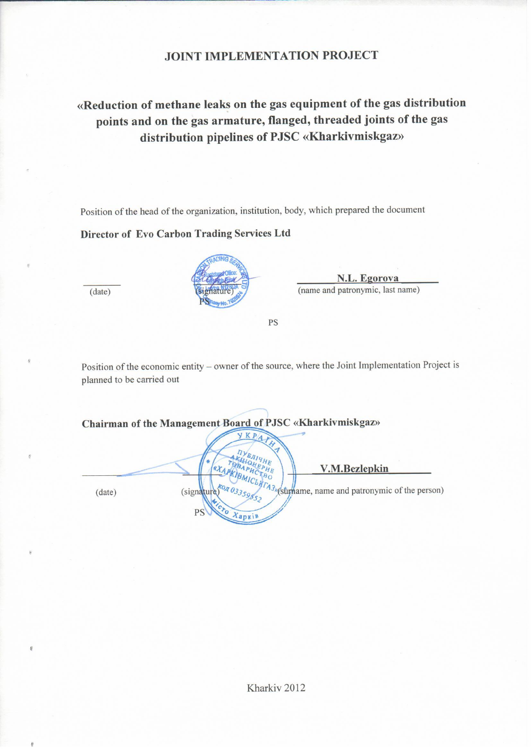# **JOINT IMPLEMENTATION PROJECT**

«Reduction of methane leaks on the gas equipment of the gas distribution points and on the gas armature, flanged, threaded joints of the gas distribution pipelines of PJSC «Kharkivmiskgaz»

Position of the head of the organization, institution, body, which prepared the document

Director of Evo Carbon Trading Services Ltd



N.L. Egorova (name and patronymic, last name)

PS

Position of the economic entity - owner of the source, where the Joint Implementation Project is planned to be carried out

Chairman of the Management Board of PJSC «Kharkivmiskgaz» K P V.M.Bezlepkin (surhame, name and patronymic of the person)  $(data)$ (signature PS Xapki

 $(date)$ 

 $\theta$ 

Kharkiv<sub>2012</sub>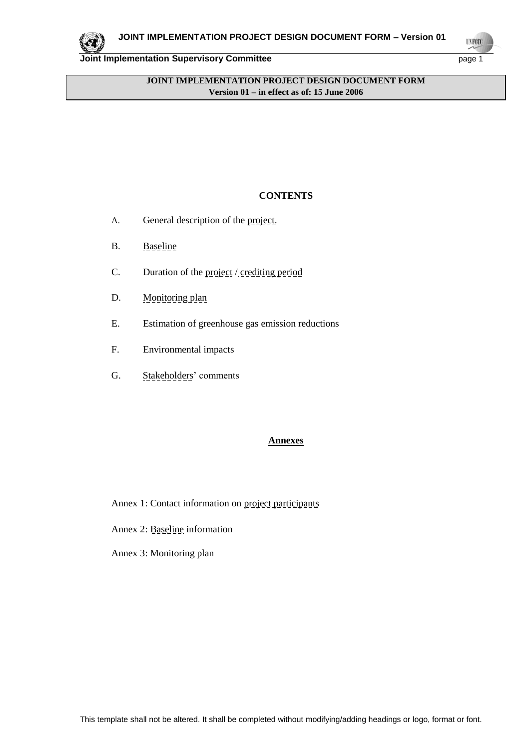

**UNFOO** 

# **JOINT IMPLEMENTATION PROJECT DESIGN DOCUMENT FORM Version 01 – in effect as of: 15 June 2006**

## **CONTENTS**

- A. General description of the project.
- B. Baseline
- C. Duration of the project / crediting period
- D. Monitoring plan
- E. Estimation of greenhouse gas emission reductions
- F. Environmental impacts
- G. Stakeholders' comments

## **Annexes**

- Annex 1: Contact information on project participants
- Annex 2: Baseline information
- Annex 3: Monitoring plan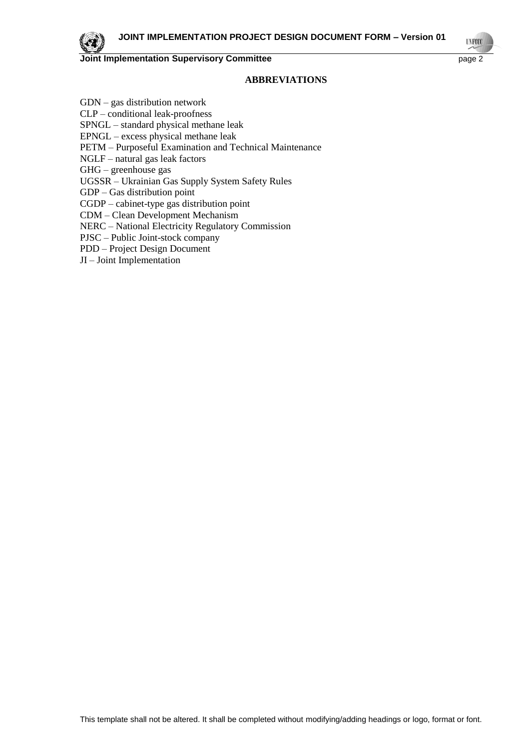

#### **ABBREVIATIONS**

GDN – gas distribution network CLP – conditional leak-proofness SPNGL – standard physical methane leak EPNGL – excess physical methane leak PETM – Purposeful Examination and Technical Maintenance NGLF – natural gas leak factors GHG – greenhouse gas UGSSR – Ukrainian Gas Supply System Safety Rules GDP – Gas distribution point CGDP – cabinet-type gas distribution point CDM – Clean Development Mechanism NERC – National Electricity Regulatory Commission PJSC – Public Joint-stock company PDD – Project Design Document JI – Joint Implementation

**UNFO**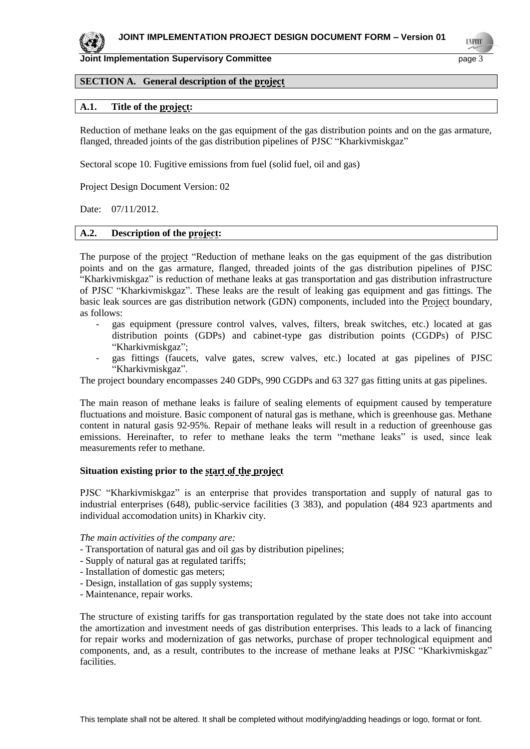

#### **SECTION A. General description of the project**

#### **A.1. Title of the project:**

Reduction of methane leaks on the gas equipment of the gas distribution points and on the gas armature, flanged, threaded joints of the gas distribution pipelines of PJSC "Kharkivmiskgaz"

Sectoral scope 10. Fugitive emissions from fuel (solid fuel, oil and gas)

Project Design Document Version: 02

Date: 07/11/2012.

# **A.2. Description of the project:**

The purpose of the project "Reduction of methane leaks on the gas equipment of the gas distribution points and on the gas armature, flanged, threaded joints of the gas distribution pipelines of PJSC "Kharkivmiskgaz" is reduction of methane leaks at gas transportation and gas distribution infrastructure of PJSC "Kharkivmiskgaz". These leaks are the result of leaking gas equipment and gas fittings. The basic leak sources are gas distribution network (GDN) components, included into the Project boundary, as follows:

- *-* gas equipment (pressure control valves, valves, filters, break switches, etc.) located at gas distribution points (GDPs) and cabinet-type gas distribution points (CGDPs) of PJSC "Kharkivmiskgaz";
- *-* gas fittings (faucets, valve gates, screw valves, etc.) located at gas pipelines of PJSC "Kharkivmiskgaz".

The project boundary encompasses 240 GDPs, 990 CGDPs and 63 327 gas fitting units at gas pipelines.

The main reason of methane leaks is failure of sealing elements of equipment caused by temperature fluctuations and moisture. Basic component of natural gas is methane, which is greenhouse gas. Methane content in natural gasis 92-95%. Repair of methane leaks will result in a reduction of greenhouse gas emissions. Hereinafter, to refer to methane leaks the term "methane leaks" is used, since leak measurements refer to methane.

#### **Situation existing prior to the start of the project**

PJSC "Kharkivmiskgaz" is an enterprise that provides transportation and supply of natural gas to industrial enterprises (648), public-service facilities (3 383), and population (484 923 apartments and individual accomodation units) in Kharkiv city.

*The main activities of the company are:*

- Transportation of natural gas and oil gas by distribution pipelines;
- Supply of natural gas at regulated tariffs;
- Installation of domestic gas meters;
- Design, installation of gas supply systems;
- Maintenance, repair works.

The structure of existing tariffs for gas transportation regulated by the state does not take into account the amortization and investment needs of gas distribution enterprises. This leads to a lack of financing for repair works and modernization of gas networks, purchase of proper technological equipment and components, and, as a result, contributes to the increase of methane leaks at PJSC "Kharkivmiskgaz" facilities.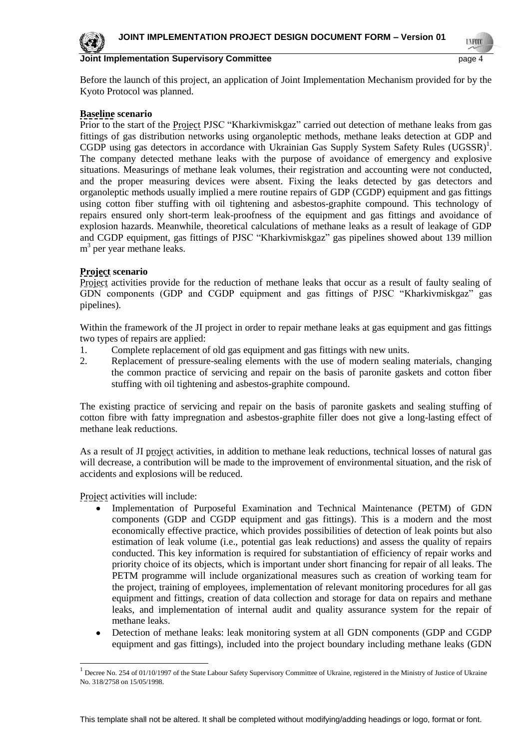**UNFOO** 



#### **Joint Implementation Supervisory Committee** page 4

Before the launch of this project, an application of Joint Implementation Mechanism provided for by the Kyoto Protocol was planned.

## **Baseline scenario**

Prior to the start of the **Project PJSC** "Kharkivmiskgaz" carried out detection of methane leaks from gas fittings of gas distribution networks using organoleptic methods, methane leaks detection at GDP and CGDP using gas detectors in accordance with Ukrainian Gas Supply System Safety Rules  $(UGSSR)^{1}$ . The company detected methane leaks with the purpose of avoidance of emergency and explosive situations. Measurings of methane leak volumes, their registration and accounting were not conducted, and the proper measuring devices were absent. Fixing the leaks detected by gas detectors and organoleptic methods usually implied a mere routine repairs of GDP (CGDP) equipment and gas fittings using cotton fiber stuffing with oil tightening and asbestos-graphite compound. This technology of repairs ensured only short-term leak-proofness of the equipment and gas fittings and avoidance of explosion hazards. Meanwhile, theoretical calculations of methane leaks as a result of leakage of GDP and CGDP equipment, gas fittings of PJSC "Kharkivmiskgaz" gas pipelines showed about 139 million m<sup>3</sup> per year methane leaks.

## **Project scenario**

Project activities provide for the reduction of methane leaks that occur as a result of faulty sealing of GDN components (GDP and CGDP equipment and gas fittings of PJSC "Kharkivmiskgaz" gas pipelines).

Within the framework of the JI project in order to repair methane leaks at gas equipment and gas fittings two types of repairs are applied:

- 1. Complete replacement of old gas equipment and gas fittings with new units.
- 2. Replacement of pressure-sealing elements with the use of modern sealing materials, changing the common practice of servicing and repair on the basis of paronite gaskets and cotton fiber stuffing with oil tightening and asbestos-graphite compound.

The existing practice of servicing and repair on the basis of paronite gaskets and sealing stuffing of cotton fibre with fatty impregnation and asbestos-graphite filler does not give a long-lasting effect of methane leak reductions.

As a result of JI project activities, in addition to methane leak reductions, technical losses of natural gas will decrease, a contribution will be made to the improvement of environmental situation, and the risk of accidents and explosions will be reduced.

Project activities will include:

l

- Implementation of Purposeful Examination and Technical Maintenance (PETM) of GDN components (GDP and CGDP equipment and gas fittings). This is a modern and the most economically effective practice, which provides possibilities of detection of leak points but also estimation of leak volume (i.e., potential gas leak reductions) and assess the quality of repairs conducted. This key information is required for substantiation of efficiency of repair works and priority choice of its objects, which is important under short financing for repair of all leaks. The PETM programme will include organizational measures such as creation of working team for the project, training of employees, implementation of relevant monitoring procedures for all gas equipment and fittings, creation of data collection and storage for data on repairs and methane leaks, and implementation of internal audit and quality assurance system for the repair of methane leaks.
- $\bullet$ Detection of methane leaks: leak monitoring system at all GDN components (GDP and CGDP equipment and gas fittings), included into the project boundary including methane leaks (GDN

 $<sup>1</sup>$  Decree No. 254 of 01/10/1997 of the State Labour Safety Supervisory Committee of Ukraine, registered in the Ministry of Justice of Ukraine</sup> No. 318/2758 on 15/05/1998.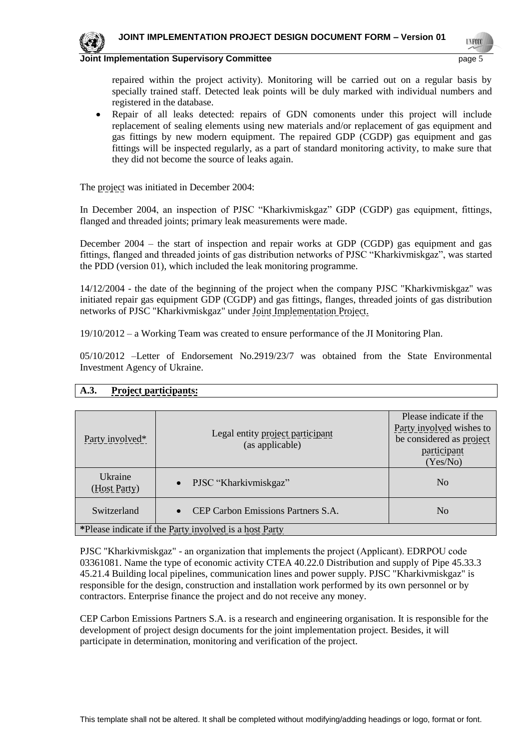

**UNFOC** 



#### **Joint Implementation Supervisory Committee** page 5

repaired within the project activity). Monitoring will be carried out on a regular basis by specially trained staff. Detected leak points will be duly marked with individual numbers and registered in the database.

 $\bullet$ Repair of all leaks detected: repairs of GDN comonents under this project will include replacement of sealing elements using new materials and/or replacement of gas equipment and gas fittings by new modern equipment. The repaired GDP (CGDP) gas equipment and gas fittings will be inspected regularly, as a part of standard monitoring activity, to make sure that they did not become the source of leaks again.

The project was initiated in December 2004:

In December 2004, an inspection of PJSC "Kharkivmiskgaz" GDP (CGDP) gas equipment, fittings, flanged and threaded joints; primary leak measurements were made.

December 2004 – the start of inspection and repair works at GDP (CGDP) gas equipment and gas fittings, flanged and threaded joints of gas distribution networks of PJSC "Kharkivmiskgaz", was started the PDD (version 01), which included the leak monitoring programme.

14/12/2004 - the date of the beginning of the project when the company PJSC "Kharkivmiskgaz" was initiated repair gas equipment GDP (CGDP) and gas fittings, flanges, threaded joints of gas distribution networks of PJSC "Kharkivmiskgaz" under Joint Implementation Project.

19/10/2012 – a Working Team was created to ensure performance of the JI Monitoring Plan.

05/10/2012 –Letter of Endorsement No.2919/23/7 was obtained from the State Environmental Investment Agency of Ukraine.

|                                                        |                                                     | Please indicate if the   |
|--------------------------------------------------------|-----------------------------------------------------|--------------------------|
| Party involved*                                        | Legal entity project participant<br>(as applicable) | Party involved wishes to |
|                                                        |                                                     | be considered as project |
|                                                        |                                                     | participant              |
|                                                        |                                                     | (Yes/No)                 |
| Ukraine<br>(Host Party)                                | PJSC "Kharkivmiskgaz"<br>$\bullet$                  | N <sub>o</sub>           |
| Switzerland                                            | CEP Carbon Emissions Partners S.A.<br>$\bullet$     | N <sub>0</sub>           |
| *Please indicate if the Party involved is a host Party |                                                     |                          |

# **A.3. Project participants:**

PJSC "Kharkivmiskgaz" - an organization that implements the project (Аpplicant). EDRPOU code 03361081. Name the type of economic activity CTEA 40.22.0 Distribution and supply of Pipe 45.33.3 45.21.4 Building local pipelines, communication lines and power supply. PJSC "Kharkivmiskgaz" is responsible for the design, construction and installation work performed by its own personnel or by contractors. Enterprise finance the project and do not receive any money.

CEP Carbon Emissions Partners S.A. is a research and engineering organisation. It is responsible for the development of project design documents for the joint implementation project. Besides, it will participate in determination, monitoring and verification of the project.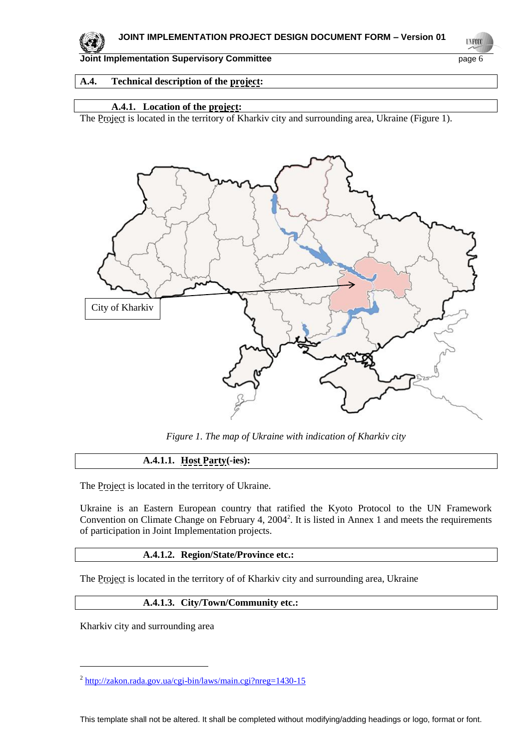

**UNFOCO** 

**Joint Implementation Supervisory Committee** page 6

# **A.4. Technical description of the project:**

# **A.4.1. Location of the project:**

The Project is located in the territory of Kharkiv city and surrounding area, Ukraine (Figure 1).



*Figure 1. The map of Ukraine with indication of Kharkiv city*

# **A.4.1.1. Host Party(-ies):**

The Project is located in the territory of Ukraine.

Ukraine is an Eastern European country that ratified the Kyoto Protocol to the UN Framework Convention on Climate Change on February 4, 2004<sup>2</sup>. It is listed in Annex 1 and meets the requirements of participation in Joint Implementation projects.

## **A.4.1.2. Region/State/Province etc.:**

The Project is located in the territory of of Kharkiv city and surrounding area, Ukraine

## **A.4.1.3. City/Town/Community etc.:**

Kharkiv city and surrounding area

l

<sup>&</sup>lt;sup>2</sup> <http://zakon.rada.gov.ua/cgi-bin/laws/main.cgi?nreg=1430-15>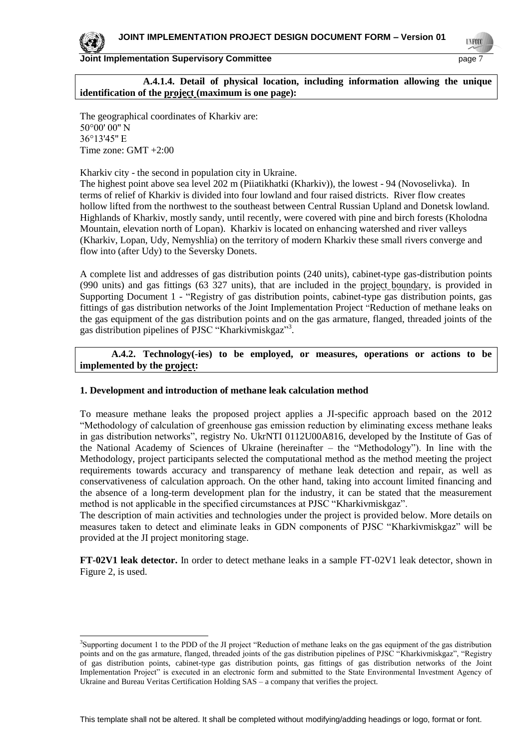**UNFOC** 



-

**Joint Implementation Supervisory Committee** page 7

**A.4.1.4. Detail of physical location, including information allowing the unique identification of the project (maximum is one page):**

The geographical coordinates of Kharkiv are: 50°00' 00'' N 36°13'45'' E Time zone: GMT +2:00

Kharkiv city - the second in population city in Ukraine.

The highest point above sea level 202 m (Piiatikhatki (Kharkiv)), the lowest - 94 (Novoselivka). In terms of relief of Kharkiv is divided into four lowland and four raised districts. River flow creates hollow lifted from the northwest to the southeast between Central Russian Upland and Donetsk lowland. Highlands of Kharkiv, mostly sandy, until recently, were covered with pine and birch forests (Kholodna Mountain, elevation north of Lopan). Kharkiv is located on enhancing watershed and river valleys (Kharkiv, Lopan, Udy, Nemyshlia) on the territory of modern Kharkiv these small rivers converge and flow into (after Udy) to the Seversky Donets.

A complete list and addresses of gas distribution points (240 units), cabinet-type gas-distribution points (990 units) and gas fittings (63 327 units), that are included in the project boundary, is provided in Supporting Document 1 - "Registry of gas distribution points, cabinet-type gas distribution points, gas fittings of gas distribution networks of the Joint Implementation Project "Reduction of methane leaks on the gas equipment of the gas distribution points and on the gas armature, flanged, threaded joints of the gas distribution pipelines of PJSC "Kharkivmiskgaz"3.

**A.4.2. Technology(-ies) to be employed, or measures, operations or actions to be implemented by the project:** 

#### **1. Development and introduction of methane leak calculation method**

To measure methane leaks the proposed project applies a JI-specific approach based on the 2012 "Methodology of calculation of greenhouse gas emission reduction by eliminating excess methane leaks in gas distribution networks", registry No. UkrNTI 0112U00A816, developed by the Institute of Gas of the National Academy of Sciences of Ukraine (hereinafter – the "Methodology"). In line with the Methodology, project participants selected the computational method as the method meeting the project requirements towards accuracy and transparency of methane leak detection and repair, as well as conservativeness of calculation approach. On the other hand, taking into account limited financing and the absence of a long-term development plan for the industry, it can be stated that the measurement method is not applicable in the specified circumstances at PJSC "Kharkivmiskgaz".

The description of main activities and technologies under the project is provided below. More details on measures taken to detect and eliminate leaks in GDN components of PJSC "Kharkivmiskgaz" will be provided at the JI project monitoring stage.

**FT-02V1 leak detector.** In order to detect methane leaks in a sample FT-02V1 leak detector, shown in Figure 2, is used.

<sup>&</sup>lt;sup>3</sup>Supporting document 1 to the PDD of the JI project "Reduction of methane leaks on the gas equipment of the gas distribution points and on the gas armature, flanged, threaded joints of the gas distribution pipelines of PJSC "Kharkivmiskgaz", "Registry of gas distribution points, cabinet-type gas distribution points, gas fittings of gas distribution networks of the Joint Implementation Project" is executed in an electronic form and submitted to the State Environmental Investment Agency of Ukraine and Bureau Veritas Certification Holding SAS – a company that verifies the project.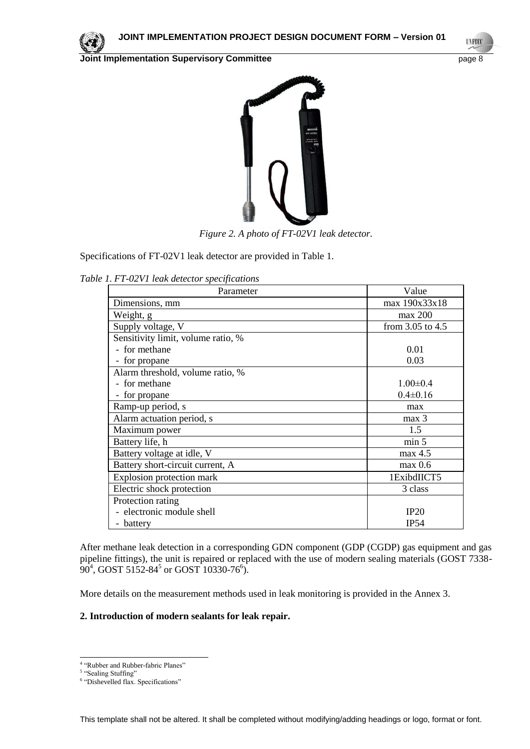



*Figure 2. A photo of FT-02V1 leak detector.*

Specifications of FT-02V1 leak detector are provided in Table 1.

*Table 1. FT-02V1 leak detector specifications*

| Parameter                          | Value                |
|------------------------------------|----------------------|
| Dimensions, mm                     | max 190x33x18        |
| Weight, g                          | max 200              |
| Supply voltage, V                  | from $3.05$ to $4.5$ |
| Sensitivity limit, volume ratio, % |                      |
| - for methane                      | 0.01                 |
| - for propane                      | 0.03                 |
| Alarm threshold, volume ratio, %   |                      |
| - for methane                      | $1.00 \pm 0.4$       |
| - for propane                      | $0.4 \pm 0.16$       |
| Ramp-up period, s                  | max                  |
| Alarm actuation period, s          | max <sub>3</sub>     |
| Maximum power                      | 1.5                  |
| Battery life, h                    | min 5                |
| Battery voltage at idle, V         | max 4.5              |
| Battery short-circuit current, A   | $max$ 0.6            |
| Explosion protection mark          | 1ExibdIICT5          |
| Electric shock protection          | 3 class              |
| Protection rating                  |                      |
| - electronic module shell          | IP20                 |
| - battery                          | IP54                 |

After methane leak detection in a corresponding GDN component (GDP (CGDP) gas equipment and gas pipeline fittings), the unit is repaired or replaced with the use of modern sealing materials (GOST 7338-  $90^4$ , GOST 5152-84<sup>5</sup> or GOST 10330-76<sup>6</sup>).

More details on the measurement methods used in leak monitoring is provided in the Annex 3.

#### **2. Introduction of modern sealants for leak repair.**

l

**UNFOC** 

<sup>&</sup>lt;sup>4</sup> "Rubber and Rubber-fabric Planes"

<sup>&</sup>lt;sup>5</sup> "Sealing Stuffing"

<sup>6</sup> "Dishevelled flax. Specifications"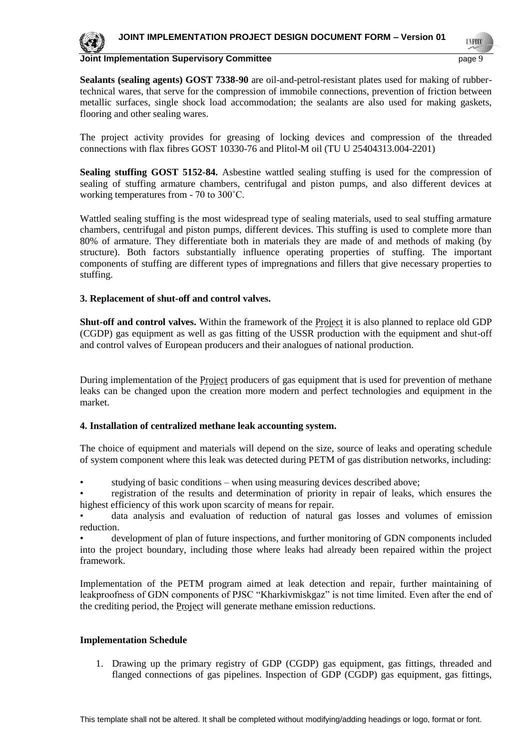

**UNFOO** 



#### **Joint Implementation Supervisory Committee** page 9

**Sealants (sealing agents) GOST 7338-90** are oil-and-petrol-resistant plates used for making of rubbertechnical wares, that serve for the compression of immobile connections, prevention of friction between metallic surfaces, single shock load accommodation; the sealants are also used for making gaskets, flooring and other sealing wares.

The project activity provides for greasing of locking devices and compression of the threaded connections with flax fibres GOST 10330-76 and Plitol-M oil (TU U 25404313.004-2201)

**Sealing stuffing GOST 5152-84.** Asbestine wattled sealing stuffing is used for the compression of sealing of stuffing armature chambers, centrifugal and piston pumps, and also different devices at working temperatures from - 70 to 300˚С.

Wattled sealing stuffing is the most widespread type of sealing materials, used to seal stuffing armature chambers, centrifugal and piston pumps, different devices. This stuffing is used to complete more than 80% of armature. They differentiate both in materials they are made of and methods of making (by structure). Both factors substantially influence operating properties of stuffing. The important components of stuffing are different types of impregnations and fillers that give necessary properties to stuffing.

#### **3. Replacement of shut-off and control valves.**

**Shut-off and control valves.** Within the framework of the Project it is also planned to replace old GDP (CGDP) gas equipment as well as gas fitting of the USSR production with the equipment and shut-off and control valves of European producers and their analogues of national production.

During implementation of the Project producers of gas equipment that is used for prevention of methane leaks can be changed upon the creation more modern and perfect technologies and equipment in the market.

#### **4. Installation of centralized methane leak accounting system.**

The choice of equipment and materials will depend on the size, source of leaks and operating schedule of system component where this leak was detected during PETM of gas distribution networks, including:

• studying of basic conditions – when using measuring devices described above;

• registration of the results and determination of priority in repair of leaks, which ensures the highest efficiency of this work upon scarcity of means for repair.

data analysis and evaluation of reduction of natural gas losses and volumes of emission reduction.

• development of plan of future inspections, and further monitoring of GDN components included into the project boundary, including those where leaks had already been repaired within the project framework.

Implementation of the PETM program aimed at leak detection and repair, further maintaining of leakproofness of GDN components of PJSC "Kharkivmiskgaz" is not time limited. Even after the end of the crediting period, the Project will generate methane emission reductions.

#### **Implementation Schedule**

1. Drawing up the primary registry of GDP (CGDP) gas equipment, gas fittings, threaded and flanged connections of gas pipelines. Inspection of GDP (CGDP) gas equipment, gas fittings,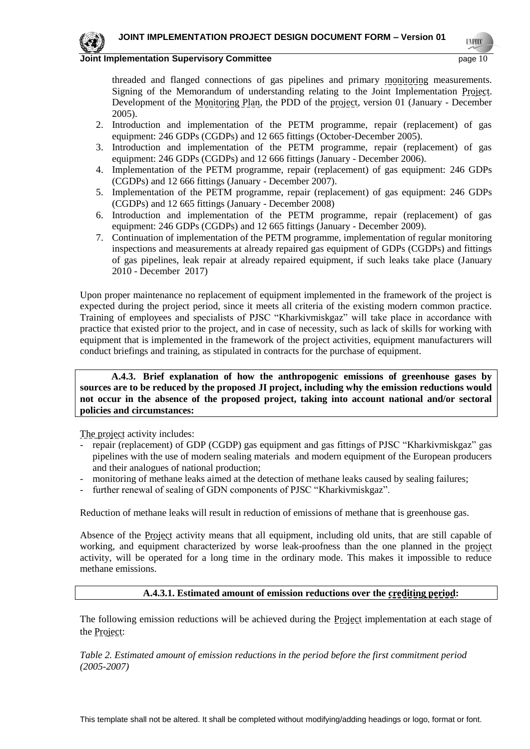# **UNFOO**



#### **Joint Implementation Supervisory Committee <b>Page 10 Page 10 Page 10 Page 10**

threaded and flanged connections of gas pipelines and primary monitoring measurements. Signing of the Memorandum of understanding relating to the Joint Implementation Project. Development of the Monitoring Plan, the PDD of the project, version 01 (January - December 2005).

- 2. Introduction and implementation of the PETM programme, repair (replacement) of gas equipment: 246 GDPs (CGDPs) and 12 665 fittings (October-December 2005).
- 3. Introduction and implementation of the PETM programme, repair (replacement) of gas equipment: 246 GDPs (CGDPs) and 12 666 fittings (January - December 2006).
- 4. Implementation of the PETM programme, repair (replacement) of gas equipment: 246 GDPs (CGDPs) and 12 666 fittings (January - December 2007).
- 5. Implementation of the PETM programme, repair (replacement) of gas equipment: 246 GDPs (CGDPs) and 12 665 fittings (January - December 2008)
- 6. Introduction and implementation of the PETM programme, repair (replacement) of gas equipment: 246 GDPs (CGDPs) and 12 665 fittings (January - December 2009).
- 7. Continuation of implementation of the PETM programme, implementation of regular monitoring inspections and measurements at already repaired gas equipment of GDPs (CGDPs) and fittings of gas pipelines, leak repair at already repaired equipment, if such leaks take place (January 2010 - December 2017)

Upon proper maintenance no replacement of equipment implemented in the framework of the project is expected during the project period, since it meets all criteria of the existing modern common practice. Training of employees and specialists of PJSC "Kharkivmiskgaz" will take place in accordance with practice that existed prior to the project, and in case of necessity, such as lack of skills for working with equipment that is implemented in the framework of the project activities, equipment manufacturers will conduct briefings and training, as stipulated in contracts for the purchase of equipment.

#### **A.4.3. Brief explanation of how the anthropogenic emissions of greenhouse gases by sources are to be reduced by the proposed JI project, including why the emission reductions would not occur in the absence of the proposed project, taking into account national and/or sectoral policies and circumstances:**

The project activity includes:

- repair (replacement) of GDP (CGDP) gas equipment and gas fittings of PJSC "Kharkivmiskgaz" gas pipelines with the use of modern sealing materials and modern equipment of the European producers and their analogues of national production;
- monitoring of methane leaks aimed at the detection of methane leaks caused by sealing failures;
- further renewal of sealing of GDN components of PJSC "Kharkivmiskgaz".

Reduction of methane leaks will result in reduction of emissions of methane that is greenhouse gas.

Absence of the Project activity means that all equipment, including old units, that are still capable of working, and equipment characterized by worse leak-proofness than the one planned in the project activity, will be operated for a long time in the ordinary mode. This makes it impossible to reduce methane emissions.

#### **A.4.3.1. Estimated amount of emission reductions over the crediting period:**

The following emission reductions will be achieved during the Project implementation at each stage of the Project:

*Table 2. Estimated amount of emission reductions in the period before the first commitment period (2005-2007)*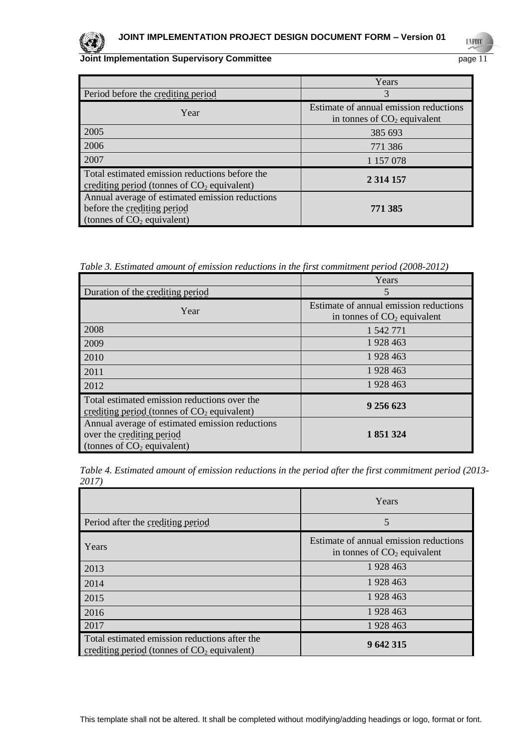

**UNFCCC** 

|                                                                                                                | Years                                                                   |
|----------------------------------------------------------------------------------------------------------------|-------------------------------------------------------------------------|
| Period before the crediting period                                                                             | 3                                                                       |
| Year                                                                                                           | Estimate of annual emission reductions<br>in tonnes of $CO2$ equivalent |
| 2005                                                                                                           | 385 693                                                                 |
| 2006                                                                                                           | 771 386                                                                 |
| 2007                                                                                                           | 1 157 078                                                               |
| Total estimated emission reductions before the<br>crediting period (tonnes of $CO2$ equivalent)                | 2 3 14 15 7                                                             |
| Annual average of estimated emission reductions<br>before the crediting period<br>(tonnes of $CO2$ equivalent) | 771 385                                                                 |

*Table 3. Estimated amount of emission reductions in the first commitment period (2008-2012)*

|                                                                                                              | Years                                                                   |
|--------------------------------------------------------------------------------------------------------------|-------------------------------------------------------------------------|
| Duration of the crediting period                                                                             | 5                                                                       |
| Year                                                                                                         | Estimate of annual emission reductions<br>in tonnes of $CO2$ equivalent |
| 2008                                                                                                         | 1 542 771                                                               |
| 2009                                                                                                         | 1928 463                                                                |
| 2010                                                                                                         | 1928 463                                                                |
| 2011                                                                                                         | 1928463                                                                 |
| 2012                                                                                                         | 1928463                                                                 |
| Total estimated emission reductions over the<br>crediting period (tonnes of $CO2$ equivalent)                | 9 256 623                                                               |
| Annual average of estimated emission reductions<br>over the crediting period<br>(tonnes of $CO2$ equivalent) | 1 851 324                                                               |

*Table 4. Estimated amount of emission reductions in the period after the first commitment period (2013- 2017)*

|                                                                                                | Years                                                                   |
|------------------------------------------------------------------------------------------------|-------------------------------------------------------------------------|
| Period after the crediting period                                                              | 5                                                                       |
| Years                                                                                          | Estimate of annual emission reductions<br>in tonnes of $CO2$ equivalent |
| 2013                                                                                           | 1 928 463                                                               |
| 2014                                                                                           | 1 928 463                                                               |
| 2015                                                                                           | 1 928 463                                                               |
| 2016                                                                                           | 1 928 463                                                               |
| 2017                                                                                           | 1 928 463                                                               |
| Total estimated emission reductions after the<br>crediting period (tonnes of $CO2$ equivalent) | 9 642 315                                                               |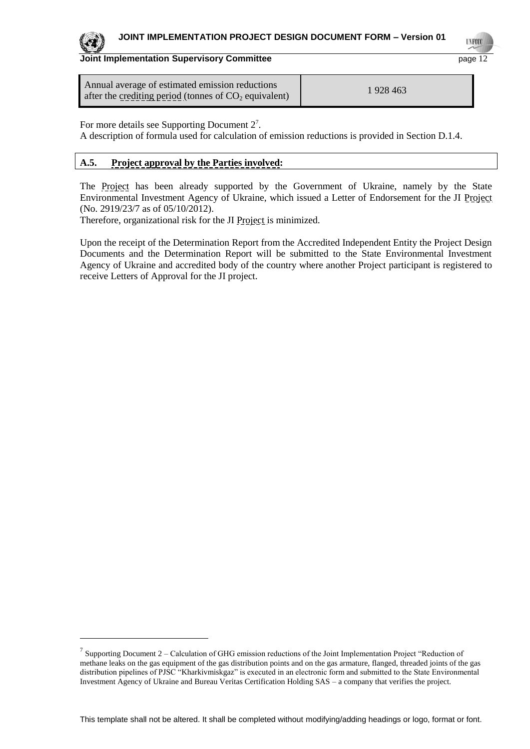

l

## **Joint Implementation Supervisory Committee Example 2 and Secure 2 and Secure 2 and Secure 2 and Page 12**

| Annual average of estimated emission reductions         | 1 928 463 |
|---------------------------------------------------------|-----------|
| after the crediting period (tonnes of $CO2$ equivalent) |           |

For more details see Supporting Document  $2^7$ .

A description of formula used for calculation of emission reductions is provided in Section D.1.4.

# **A.5. Project approval by the Parties involved:**

The Project has been already supported by the Government of Ukraine, namely by the State Environmental Investment Agency of Ukraine, which issued a Letter of Endorsement for the JI Project (No. 2919/23/7 as of 05/10/2012).

Therefore, organizational risk for the JI Project is minimized.

Upon the receipt of the Determination Report from the Accredited Independent Entity the Project Design Documents and the Determination Report will be submitted to the State Environmental Investment Agency of Ukraine and accredited body of the country where another Project participant is registered to receive Letters of Approval for the JI project.

<sup>&</sup>lt;sup>7</sup> Supporting Document 2 – Calculation of GHG emission reductions of the Joint Implementation Project "Reduction of methane leaks on the gas equipment of the gas distribution points and on the gas armature, flanged, threaded joints of the gas distribution pipelines of PJSC "Kharkivmiskgaz" is executed in an electronic form and submitted to the State Environmental Investment Agency of Ukraine and Bureau Veritas Certification Holding SAS – a company that verifies the project.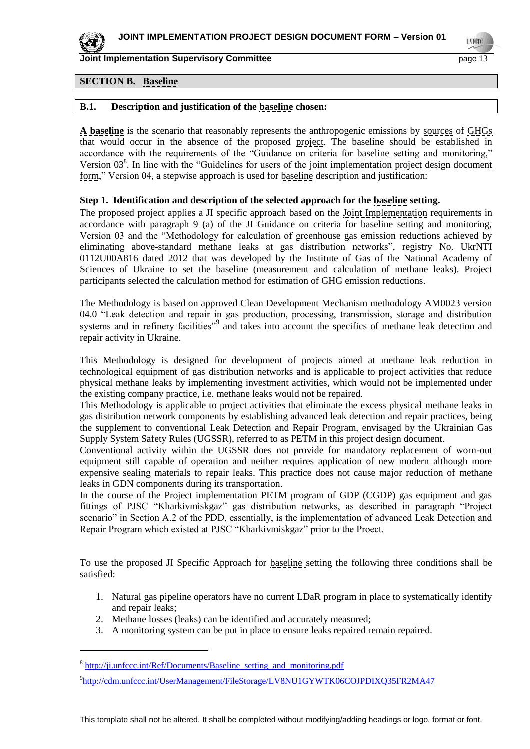

l

**Joint Implementation Supervisory Committee <b>Page 13** and the page 13

## **SECTION B. Baseline**

## **B.1. Description and justification of the baseline chosen:**

**A baseline** is the scenario that reasonably represents the anthropogenic emissions by sources of GHGs that would occur in the absence of the proposed project. The baseline should be established in accordance with the requirements of the "Guidance on criteria for baseline setting and monitoring," Version 03<sup>8</sup>. In line with the "Guidelines for users of the joint implementation project design document form," Version 04, a stepwise approach is used for baseline description and justification:

## **Step 1. Identification and description of the selected approach for the baseline setting.**

The proposed project applies a JI specific approach based on the Joint Implementation requirements in accordance with paragraph 9 (a) of the JI Guidance on criteria for baseline setting and monitoring, Version 03 and the "Methodology for calculation of greenhouse gas emission reductions achieved by eliminating above-standard methane leaks at gas distribution networks", registry No. UkrNTI 0112U00A816 dated 2012 that was developed by the Institute of Gas of the National Academy of Sciences of Ukraine to set the baseline (measurement and calculation of methane leaks). Project participants selected the calculation method for estimation of GHG emission reductions.

The Methodology is based on approved Clean Development Mechanism methodology AM0023 version 04.0 "Leak detection and repair in gas production, processing, transmission, storage and distribution systems and in refinery facilities"<sup>9</sup> and takes into account the specifics of methane leak detection and repair activity in Ukraine.

This Methodology is designed for development of projects aimed at methane leak reduction in technological equipment of gas distribution networks and is applicable to project activities that reduce physical methane leaks by implementing investment activities, which would not be implemented under the existing company practice, i.e. methane leaks would not be repaired.

This Methodology is applicable to project activities that eliminate the excess physical methane leaks in gas distribution network components by establishing advanced leak detection and repair practices, being the supplement to conventional Leak Detection and Repair Program, envisaged by the Ukrainian Gas Supply System Safety Rules (UGSSR), referred to as PETM in this project design document.

Conventional activity within the UGSSR does not provide for mandatory replacement of worn-out equipment still capable of operation and neither requires application of new modern although more expensive sealing materials to repair leaks. This practice does not cause major reduction of methane leaks in GDN components during its transportation.

In the course of the Project implementation PETM program of GDP (CGDP) gas equipment and gas fittings of PJSC "Kharkivmiskgaz" gas distribution networks, as described in paragraph "Project scenario" in Section A.2 of the PDD, essentially, is the implementation of advanced Leak Detection and Repair Program which existed at PJSC "Kharkivmiskgaz" prior to the Proect.

To use the proposed JI Specific Approach for **baseling** setting the following three conditions shall be satisfied:

- 1. Natural gas pipeline operators have no current LDaR program in place to systematically identify and repair leaks;
- 2. Methane losses (leaks) can be identified and accurately measured;
- 3. A monitoring system can be put in place to ensure leaks repaired remain repaired.

<sup>&</sup>lt;sup>8</sup> http://ji.unfccc.int/Ref/Documents/Baseline setting and monitoring.pdf

<sup>9</sup> <http://cdm.unfccc.int/UserManagement/FileStorage/LV8NU1GYWTK06COJPDIXQ35FR2MA47>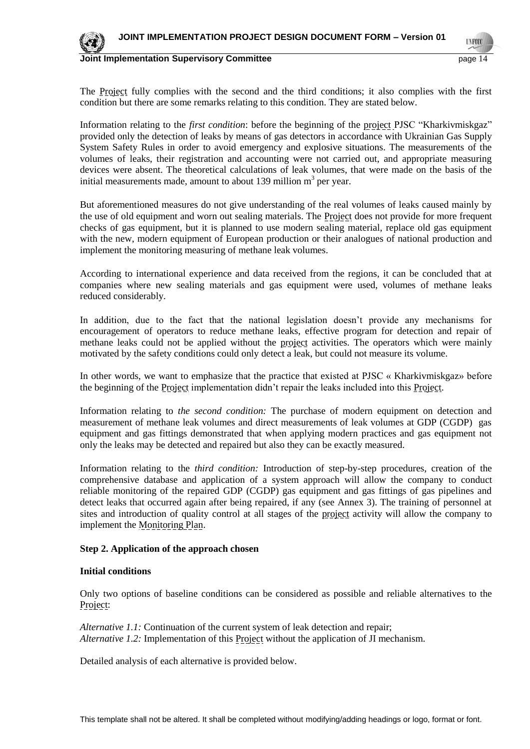

#### **Joint Implementation Supervisory Committee <b>Page 14** and the page 14

The Project fully complies with the second and the third conditions; it also complies with the first condition but there are some remarks relating to this condition. They are stated below.

Information relating to the *first condition*: before the beginning of the project PJSC "Kharkivmiskgaz" provided only the detection of leaks by means of gas detectors in accordance with Ukrainian Gas Supply System Safety Rules in order to avoid emergency and explosive situations. The measurements of the volumes of leaks, their registration and accounting were not carried out, and appropriate measuring devices were absent. The theoretical calculations of leak volumes, that were made on the basis of the initial measurements made, amount to about 139 million  $m<sup>3</sup>$  per year.

But aforementioned measures do not give understanding of the real volumes of leaks caused mainly by the use of old equipment and worn out sealing materials. The **Project** does not provide for more frequent checks of gas equipment, but it is planned to use modern sealing material, replace old gas equipment with the new, modern equipment of European production or their analogues of national production and implement the monitoring measuring of methane leak volumes.

According to international experience and data received from the regions, it can be concluded that at companies where new sealing materials and gas equipment were used, volumes of methane leaks reduced considerably.

In addition, due to the fact that the national legislation doesn't provide any mechanisms for encouragement of operators to reduce methane leaks, effective program for detection and repair of methane leaks could not be applied without the project activities. The operators which were mainly motivated by the safety conditions could only detect a leak, but could not measure its volume.

In other words, we want to emphasize that the practice that existed at PJSC « Kharkivmiskgaz» before the beginning of the Project implementation didn't repair the leaks included into this Project.

Information relating to *the second condition:* The purchase of modern equipment on detection and measurement of methane leak volumes and direct measurements of leak volumes at GDP (CGDP) gas equipment and gas fittings demonstrated that when applying modern practices and gas equipment not only the leaks may be detected and repaired but also they can be exactly measured.

Information relating to the *third condition:* Introduction of step-by-step procedures, creation of the comprehensive database and application of a system approach will allow the company to conduct reliable monitoring of the repaired GDP (CGDP) gas equipment and gas fittings of gas pipelines and detect leaks that occurred again after being repaired, if any (see Annex 3). The training of personnel at sites and introduction of quality control at all stages of the project activity will allow the company to implement the Monitoring Plan.

#### **Step 2. Application of the approach chosen**

#### **Initial conditions**

Only two options of baseline conditions can be considered as possible and reliable alternatives to the Project:

*Alternative 1.1:* Continuation of the current system of leak detection and repair; *Alternative 1.2:* Implementation of this Project without the application of JI mechanism.

Detailed analysis of each alternative is provided below.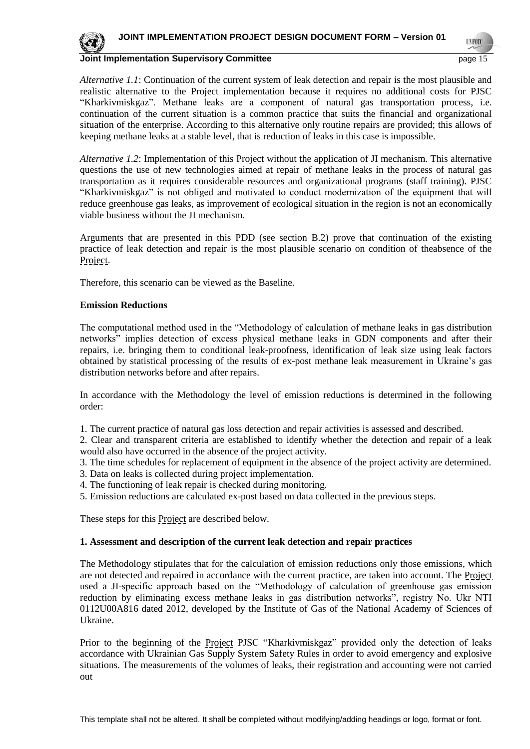

#### **Joint Implementation Supervisory Committee <b>Page 15** and the page 15

**UNFOC** 

*Alternative 1.1*: Continuation of the current system of leak detection and repair is the most plausible and realistic alternative to the Project implementation because it requires no additional costs for PJSC "Kharkivmiskgaz". Methane leaks are a component of natural gas transportation process, i.e. continuation of the current situation is a common practice that suits the financial and organizational situation of the enterprise. According to this alternative only routine repairs are provided; this allows of keeping methane leaks at a stable level, that is reduction of leaks in this case is impossible.

*Alternative 1.2*: Implementation of this **Project** without the application of JI mechanism. This alternative questions the use of new technologies aimed at repair of methane leaks in the process of natural gas transportation as it requires considerable resources and organizational programs (staff training). PJSC "Kharkivmiskgaz" is not obliged and motivated to conduct modernization of the equipment that will reduce greenhouse gas leaks, as improvement of ecological situation in the region is not an economically viable business without the JI mechanism.

Arguments that are presented in this PDD (see section B.2) prove that continuation of the existing practice of leak detection and repair is the most plausible scenario on condition of theabsence of the Project.

Therefore, this scenario can be viewed as the Baseline.

#### **Emission Reductions**

The computational method used in the "Methodology of calculation of methane leaks in gas distribution networks" implies detection of excess physical methane leaks in GDN components and after their repairs, i.e. bringing them to conditional leak-proofness, identification of leak size using leak factors obtained by statistical processing of the results of ex-post methane leak measurement in Ukraine's gas distribution networks before and after repairs.

In accordance with the Methodology the level of emission reductions is determined in the following order:

1. The current practice of natural gas loss detection and repair activities is assessed and described.

2. Clear and transparent criteria are established to identify whether the detection and repair of a leak would also have occurred in the absence of the project activity.

3. The time schedules for replacement of equipment in the absence of the project activity are determined.

- 3. Data on leaks is collected during project implementation.
- 4. The functioning of leak repair is checked during monitoring.
- 5. Emission reductions are calculated ex-post based on data collected in the previous steps.

These steps for this **Project** are described below.

#### **1. Assessment and description of the current leak detection and repair practices**

The Methodology stipulates that for the calculation of emission reductions only those emissions, which are not detected and repaired in accordance with the current practice, are taken into account. The Project used a JI-specific approach based on the "Methodology of calculation of greenhouse gas emission reduction by eliminating excess methane leaks in gas distribution networks", registry No. Ukr NTI 0112U00A816 dated 2012, developed by the Institute of Gas of the National Academy of Sciences of Ukraine.

Prior to the beginning of the **Project PJSC** "Kharkivmiskgaz" provided only the detection of leaks accordance with Ukrainian Gas Supply System Safety Rules in order to avoid emergency and explosive situations. The measurements of the volumes of leaks, their registration and accounting were not carried out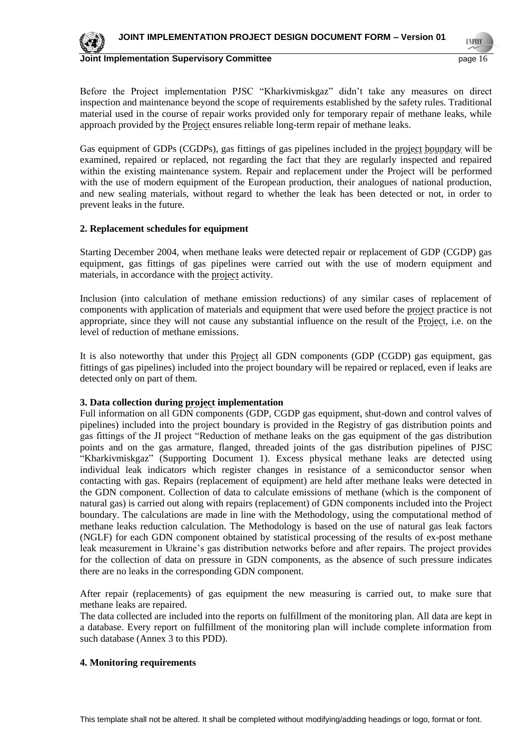

#### **Joint Implementation Supervisory Committee <b>Page 16** and the page 16

**UNFOC** 

Before the Project implementation PJSC "Kharkivmiskgaz" didn't take any measures on direct inspection and maintenance beyond the scope of requirements established by the safety rules. Traditional material used in the course of repair works provided only for temporary repair of methane leaks, while approach provided by the Project ensures reliable long-term repair of methane leaks.

Gas equipment of GDPs (CGDPs), gas fittings of gas pipelines included in the <u>project boundary</u> will be examined, repaired or replaced, not regarding the fact that they are regularly inspected and repaired within the existing maintenance system. Repair and replacement under the Project will be performed with the use of modern equipment of the European production, their analogues of national production, and new sealing materials, without regard to whether the leak has been detected or not, in order to prevent leaks in the future.

#### **2. Replacement schedules for equipment**

Starting December 2004, when methane leaks were detected repair or replacement of GDP (CGDP) gas equipment, gas fittings of gas pipelines were carried out with the use of modern equipment and materials, in accordance with the project activity.

Inclusion (into calculation of methane emission reductions) of any similar cases of replacement of components with application of materials and equipment that were used before the project practice is not appropriate, since they will not cause any substantial influence on the result of the Project, i.e. on the level of reduction of methane emissions.

It is also noteworthy that under this Project all GDN components (GDP (CGDP) gas equipment, gas fittings of gas pipelines) included into the project boundary will be repaired or replaced, even if leaks are detected only on part of them.

#### **3. Data collection during project implementation**

Full information on all GDN components (GDP, CGDP gas equipment, shut-down and control valves of pipelines) included into the project boundary is provided in the Registry of gas distribution points and gas fittings of the JI project "Reduction of methane leaks on the gas equipment of the gas distribution points and on the gas armature, flanged, threaded joints of the gas distribution pipelines of PJSC "Kharkivmiskgaz" (Supporting Document 1). Excess physical methane leaks are detected using individual leak indicators which register changes in resistance of a semiconductor sensor when contacting with gas. Repairs (replacement of equipment) are held after methane leaks were detected in the GDN component. Collection of data to calculate emissions of methane (which is the component of natural gas) is carried out along with repairs (replacement) of GDN components included into the Project boundary. The calculations are made in line with the Methodology, using the computational method of methane leaks reduction calculation. The Methodology is based on the use of natural gas leak factors (NGLF) for each GDN component obtained by statistical processing of the results of ex-post methane leak measurement in Ukraine's gas distribution networks before and after repairs. The project provides for the collection of data on pressure in GDN components, as the absence of such pressure indicates there are no leaks in the corresponding GDN component.

After repair (replacements) of gas equipment the new measuring is carried out, to make sure that methane leaks are repaired.

The data collected are included into the reports on fulfillment of the monitoring plan. All data are kept in a database. Every report on fulfillment of the monitoring plan will include complete information from such database (Annex 3 to this PDD).

#### **4. Monitoring requirements**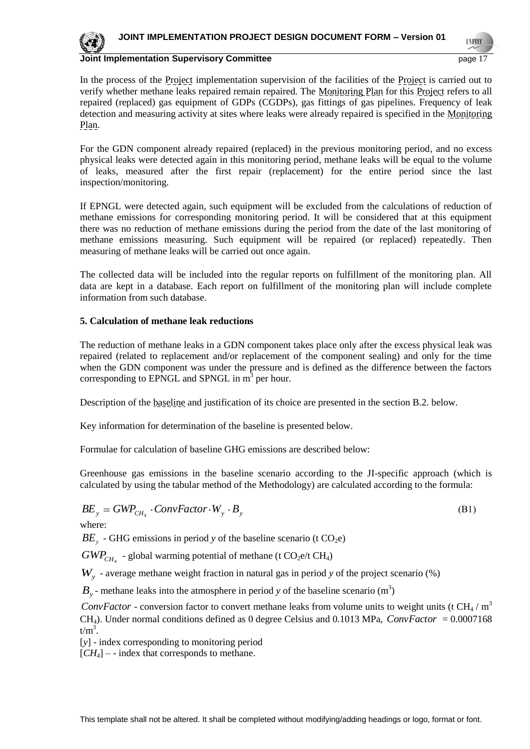**INFOC** 



**Joint Implementation Supervisory Committee** page 17

In the process of the Project implementation supervision of the facilities of the Project is carried out to verify whether methane leaks repaired remain repaired. The Monitoring Plan for this Project refers to all repaired (replaced) gas equipment of GDPs (CGDPs), gas fittings of gas pipelines. Frequency of leak detection and measuring activity at sites where leaks were already repaired is specified in the Monitoring Plan.

For the GDN component already repaired (replaced) in the previous monitoring period, and no excess physical leaks were detected again in this monitoring period, methane leaks will be equal to the volume of leaks, measured after the first repair (replacement) for the entire period since the last inspection/monitoring.

If EPNGL were detected again, such equipment will be excluded from the calculations of reduction of methane emissions for corresponding monitoring period. It will be considered that at this equipment there was no reduction of methane emissions during the period from the date of the last monitoring of methane emissions measuring. Such equipment will be repaired (or replaced) repeatedly. Then measuring of methane leaks will be carried out once again.

The collected data will be included into the regular reports on fulfillment of the monitoring plan. All data are kept in a database. Each report on fulfillment of the monitoring plan will include complete information from such database.

## **5. Calculation of methane leak reductions**

The reduction of methane leaks in a GDN component takes place only after the excess physical leak was repaired (related to replacement and/or replacement of the component sealing) and only for the time when the GDN component was under the pressure and is defined as the difference between the factors corresponding to EPNGL and SPNGL in  $m<sup>3</sup>$  per hour.

Description of the baseline and justification of its choice are presented in the section B.2. below.

Key information for determination of the baseline is presented below.

Formulae for calculation of baseline GHG emissions are described below:

Greenhouse gas emissions in the baseline scenario according to the JI-specific approach (which is calculated by using the tabular method of the Methodology) are calculated according to the formula:

$$
BE_{y} = GWP_{CH_{4}} \cdot ConvFactor \cdot W_{y} \cdot B_{y}
$$
\n(B1)

where:

 $BE<sub>y</sub>$  - GHG emissions in period *y* of the baseline scenario (t CO<sub>2</sub>e)

 $GWP_{CH_4}$  - global warming potential of methane (t  $CO_2$ e/t CH<sub>4</sub>)

*Wy* - average methane weight fraction in natural gas in period *y* of the project scenario (%)

 $B_y$  - methane leaks into the atmosphere in period *y* of the baseline scenario (m<sup>3</sup>)

*ConvFactor* - conversion factor to convert methane leaks from volume units to weight units (t CH<sub>4</sub> / m<sup>3</sup> CH<sub>4</sub>). Under normal conditions defined as 0 degree Celsius and  $0.1013$  MPa, *ConvFactor* =  $0.0007168$  $t/m^3$ .

[*y*] - index corresponding to monitoring period

 $[CH_4]$  – - index that corresponds to methane.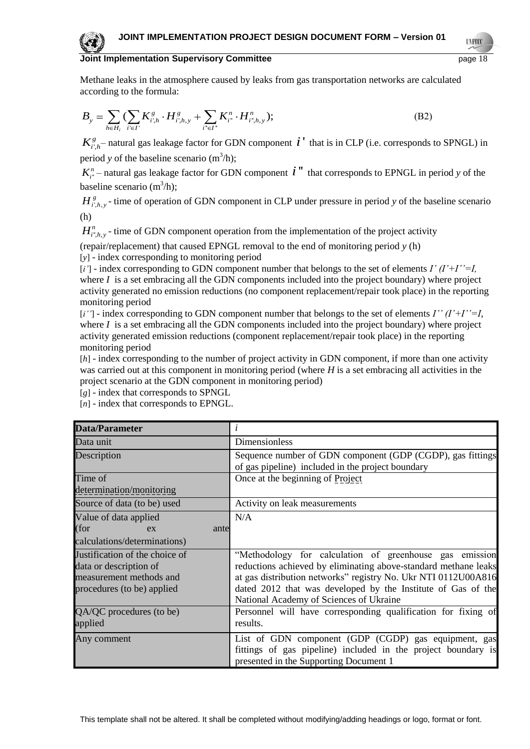Methane leaks in the atmosphere caused by leaks from gas transportation networks are calculated according to the formula:

$$
B_{y} = \sum_{h \in H_{i}} (\sum_{i' \in I'} K_{i',h}^{g} \cdot H_{i',h,y}^{g} + \sum_{i'' \in I''} K_{i''}^{n} \cdot H_{i'',h,y}^{n});
$$
\n(B2)

 $K_{i',h}^g$  - natural gas leakage factor for GDN component  $i'$  that is in CLP (i.e. corresponds to SPNGL) in period *y* of the baseline scenario  $(m^3/h)$ ;

 $K_{i'}^n$  – natural gas leakage factor for GDN component  $i'$  " that corresponds to EPNGL in period *y* of the baseline scenario  $(m^3/h)$ ;

 $H_{i',h,y}^g$ - time of operation of GDN component in CLP under pressure in period *y* of the baseline scenario (h)

 $H_{i^*,h,y}^n$  - time of GDN component operation from the implementation of the project activity

(repair/replacement) that caused EPNGL removal to the end of monitoring period *y* (h) [*y*] - index corresponding to monitoring period

[*і'*] - index corresponding to GDN component number that belongs to the set of elements *I' (I'+I''=I,* where  $I$  is a set embracing all the GDN components included into the project boundary) where project activity generated no emission reductions (no component replacement/repair took place) in the reporting monitoring period

[*і''*] - index corresponding to GDN component number that belongs to the set of elements *I'' (I'+I''=I*, where  $I$  is a set embracing all the GDN components included into the project boundary) where project activity generated emission reductions (component replacement/repair took place) in the reporting monitoring period

[*h*] - index corresponding to the number of project activity in GDN component, if more than one activity was carried out at this component in monitoring period (where *H* is a set embracing all activities in the project scenario at the GDN component in monitoring period)

[*g*] - index that corresponds to SPNGL

[*n*] - index that corresponds to EPNGL.

| <b>Data/Parameter</b>          |                                                                 |
|--------------------------------|-----------------------------------------------------------------|
| Data unit                      | Dimensionless                                                   |
| Description                    | Sequence number of GDN component (GDP (CGDP), gas fittings      |
|                                | of gas pipeline) included in the project boundary               |
| Time of                        | Once at the beginning of Project                                |
| determination/monitoring       |                                                                 |
| Source of data (to be) used    | Activity on leak measurements                                   |
| Value of data applied          | N/A                                                             |
| (for<br>ante<br>ex             |                                                                 |
| calculations/determinations)   |                                                                 |
| Justification of the choice of | "Methodology for calculation of greenhouse gas emission         |
| data or description of         | reductions achieved by eliminating above-standard methane leaks |
| measurement methods and        | at gas distribution networks" registry No. Ukr NTI 0112U00A816  |
| procedures (to be) applied     | dated 2012 that was developed by the Institute of Gas of the    |
|                                | National Academy of Sciences of Ukraine                         |
| QA/QC procedures (to be)       | Personnel will have corresponding qualification for fixing of   |
| applied                        | results.                                                        |
| Any comment                    | List of GDN component (GDP (CGDP) gas equipment, gas            |
|                                | fittings of gas pipeline) included in the project boundary is   |
|                                | presented in the Supporting Document 1                          |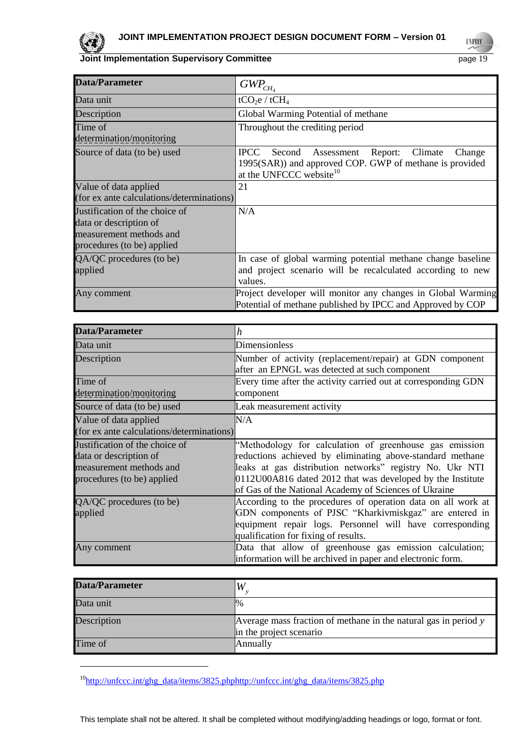

l

**Joint Implementation Supervisory Committee** page 19

**UNFOCO** 

| <b>Data/Parameter</b>                                                                                             | $GWP_{CH_4}$                                                                                                                                                       |
|-------------------------------------------------------------------------------------------------------------------|--------------------------------------------------------------------------------------------------------------------------------------------------------------------|
| Data unit                                                                                                         | tCO <sub>2</sub> e / tCH <sub>4</sub>                                                                                                                              |
| Description                                                                                                       | Global Warming Potential of methane                                                                                                                                |
| Time of<br>determination/monitoring                                                                               | Throughout the crediting period                                                                                                                                    |
| Source of data (to be) used                                                                                       | <b>IPCC</b><br>Second Assessment<br>Report:<br>Climate<br>Change<br>1995(SAR)) and approved COP. GWP of methane is provided<br>at the UNFCCC website <sup>10</sup> |
| Value of data applied<br>(for ex ante calculations/determinations)                                                | 21                                                                                                                                                                 |
| Justification of the choice of<br>data or description of<br>measurement methods and<br>procedures (to be) applied | N/A                                                                                                                                                                |
| QA/QC procedures (to be)<br>applied                                                                               | In case of global warming potential methane change baseline<br>and project scenario will be recalculated according to new<br>values.                               |
| Any comment                                                                                                       | Project developer will monitor any changes in Global Warming<br>Potential of methane published by IPCC and Approved by COP                                         |

| <b>Data/Parameter</b>                     | h                                                              |
|-------------------------------------------|----------------------------------------------------------------|
| Data unit                                 | Dimensionless                                                  |
| Description                               | Number of activity (replacement/repair) at GDN component       |
|                                           | after an EPNGL was detected at such component                  |
| Time of                                   | Every time after the activity carried out at corresponding GDN |
| determination/monitoring                  | component                                                      |
| Source of data (to be) used               | Leak measurement activity                                      |
| Value of data applied                     | N/A                                                            |
| (for ex ante calculations/determinations) |                                                                |
| Justification of the choice of            | "Methodology for calculation of greenhouse gas emission        |
| data or description of                    | reductions achieved by eliminating above-standard methane      |
| measurement methods and                   | leaks at gas distribution networks" registry No. Ukr NTI       |
| procedures (to be) applied                | 0112U00A816 dated 2012 that was developed by the Institute     |
|                                           | of Gas of the National Academy of Sciences of Ukraine          |
| QA/QC procedures (to be)                  | According to the procedures of operation data on all work at   |
| applied                                   | GDN components of PJSC "Kharkivmiskgaz" are entered in         |
|                                           | equipment repair logs. Personnel will have corresponding       |
|                                           | qualification for fixing of results.                           |
| Any comment                               | Data that allow of greenhouse gas emission calculation;        |
|                                           | information will be archived in paper and electronic form.     |

| <b>Data/Parameter</b> |                                                                                            |
|-----------------------|--------------------------------------------------------------------------------------------|
| Data unit             | 1%                                                                                         |
| Description           | Average mass fraction of methane in the natural gas in period y<br>in the project scenario |
| Time of               | Annually                                                                                   |

<sup>&</sup>lt;sup>10</sup>[http://unfccc.int/ghg\\_data/items/3825.phphttp://unfccc.int/ghg\\_data/items/3825.php](http://unfccc.int/ghg_data/items/3825.phphttp:/unfccc.int/ghg_data/items/3825.php)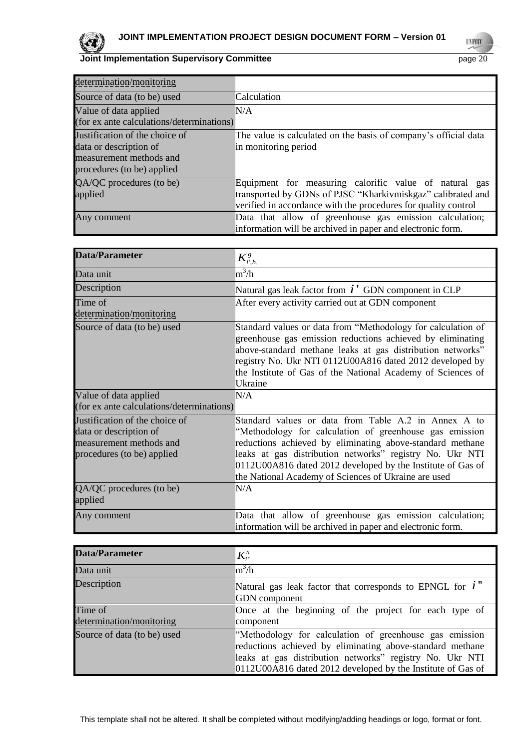**UNFOCO** 

| determination/monitoring                                                                                          |                                                                                                                                                                                         |
|-------------------------------------------------------------------------------------------------------------------|-----------------------------------------------------------------------------------------------------------------------------------------------------------------------------------------|
| Source of data (to be) used                                                                                       | Calculation                                                                                                                                                                             |
| Value of data applied<br>(for ex ante calculations/determinations)                                                | N/A                                                                                                                                                                                     |
| Justification of the choice of<br>data or description of<br>measurement methods and<br>procedures (to be) applied | The value is calculated on the basis of company's official data<br>in monitoring period                                                                                                 |
| QA/QC procedures (to be)<br>applied                                                                               | Equipment for measuring calorific value of natural gas<br>transported by GDNs of PJSC "Kharkivmiskgaz" calibrated and<br>verified in accordance with the procedures for quality control |
| Any comment                                                                                                       | Data that allow of greenhouse gas emission calculation;<br>information will be archived in paper and electronic form.                                                                   |

| <b>Data/Parameter</b>                                                                                             | $K^s_{i',h}$                                                                                                                                                                                                                                                                                                                                                    |
|-------------------------------------------------------------------------------------------------------------------|-----------------------------------------------------------------------------------------------------------------------------------------------------------------------------------------------------------------------------------------------------------------------------------------------------------------------------------------------------------------|
| Data unit                                                                                                         | $\text{m}^3/\text{h}$                                                                                                                                                                                                                                                                                                                                           |
| Description                                                                                                       | Natural gas leak factor from $i'$ GDN component in CLP                                                                                                                                                                                                                                                                                                          |
| Time of                                                                                                           | After every activity carried out at GDN component                                                                                                                                                                                                                                                                                                               |
| determination/monitoring                                                                                          |                                                                                                                                                                                                                                                                                                                                                                 |
| Source of data (to be) used                                                                                       | Standard values or data from "Methodology for calculation of<br>greenhouse gas emission reductions achieved by eliminating<br>above-standard methane leaks at gas distribution networks"<br>registry No. Ukr NTI 0112U00A816 dated 2012 developed by<br>the Institute of Gas of the National Academy of Sciences of<br>Ukraine                                  |
| Value of data applied<br>(for ex ante calculations/determinations)                                                | N/A                                                                                                                                                                                                                                                                                                                                                             |
| Justification of the choice of<br>data or description of<br>measurement methods and<br>procedures (to be) applied | Standard values or data from Table A.2 in Annex A to<br>"Methodology for calculation of greenhouse gas emission<br>reductions achieved by eliminating above-standard methane<br>leaks at gas distribution networks" registry No. Ukr NTI<br>0112U00A816 dated 2012 developed by the Institute of Gas of<br>the National Academy of Sciences of Ukraine are used |
| QA/QC procedures (to be)<br>applied                                                                               | N/A                                                                                                                                                                                                                                                                                                                                                             |
| Any comment                                                                                                       | Data that allow of greenhouse gas emission calculation;<br>information will be archived in paper and electronic form.                                                                                                                                                                                                                                           |

| <b>Data/Parameter</b>               | $K_{i}^{n}$                                                                                                                                                                                                                                     |
|-------------------------------------|-------------------------------------------------------------------------------------------------------------------------------------------------------------------------------------------------------------------------------------------------|
| Data unit                           | $\mathrm{m}^3/\mathrm{h}$                                                                                                                                                                                                                       |
| Description                         | Natural gas leak factor that corresponds to EPNGL for $i$ "<br><b>GDN</b> component                                                                                                                                                             |
| Time of<br>determination/monitoring | Once at the beginning of the project for each type of<br>component                                                                                                                                                                              |
| Source of data (to be) used         | "Methodology for calculation of greenhouse gas emission<br>reductions achieved by eliminating above-standard methane<br>leaks at gas distribution networks" registry No. Ukr NTI<br>0112U00A816 dated 2012 developed by the Institute of Gas of |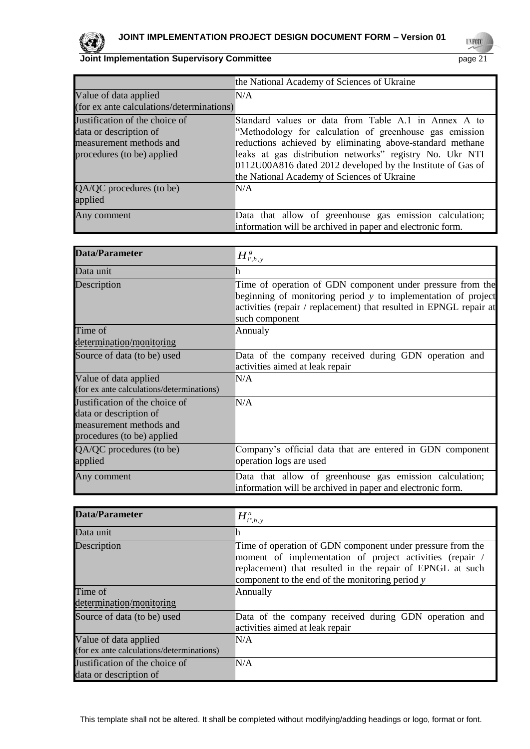

**UNFCCC** 

|                                                                                                                   | the National Academy of Sciences of Ukraine                                                                                                                                                                                                                                                                                                            |
|-------------------------------------------------------------------------------------------------------------------|--------------------------------------------------------------------------------------------------------------------------------------------------------------------------------------------------------------------------------------------------------------------------------------------------------------------------------------------------------|
| Value of data applied<br>(for ex ante calculations/determinations)                                                | N/A                                                                                                                                                                                                                                                                                                                                                    |
| Justification of the choice of<br>data or description of<br>measurement methods and<br>procedures (to be) applied | Standard values or data from Table A.1 in Annex A to<br>"Methodology for calculation of greenhouse gas emission<br>reductions achieved by eliminating above-standard methane<br>leaks at gas distribution networks" registry No. Ukr NTI<br>0112U00A816 dated 2012 developed by the Institute of Gas of<br>the National Academy of Sciences of Ukraine |
| QA/QC procedures (to be)<br>applied                                                                               | N/A                                                                                                                                                                                                                                                                                                                                                    |
| Any comment                                                                                                       | Data that allow of greenhouse gas emission calculation;<br>information will be archived in paper and electronic form.                                                                                                                                                                                                                                  |

| Data/Parameter                                                                                                    | $H^{\,g}_{i^{\cdot},h,\,y}$                                                                                                                                                                                         |
|-------------------------------------------------------------------------------------------------------------------|---------------------------------------------------------------------------------------------------------------------------------------------------------------------------------------------------------------------|
| Data unit                                                                                                         | ın                                                                                                                                                                                                                  |
| Description                                                                                                       | Time of operation of GDN component under pressure from the<br>beginning of monitoring period y to implementation of project<br>activities (repair / replacement) that resulted in EPNGL repair at<br>such component |
| Time of<br>determination/monitoring                                                                               | Annualy                                                                                                                                                                                                             |
| Source of data (to be) used                                                                                       | Data of the company received during GDN operation and<br>activities aimed at leak repair                                                                                                                            |
| Value of data applied<br>(for ex ante calculations/determinations)                                                | N/A                                                                                                                                                                                                                 |
| Justification of the choice of<br>data or description of<br>measurement methods and<br>procedures (to be) applied | N/A                                                                                                                                                                                                                 |
| $QA/QC$ procedures (to be)<br>applied                                                                             | Company's official data that are entered in GDN component<br>operation logs are used                                                                                                                                |
| Any comment                                                                                                       | Data that allow of greenhouse gas emission calculation;<br>information will be archived in paper and electronic form.                                                                                               |

| Data/Parameter                                                     | $H^n_{i^*,h,y}$                                                                                                                                                                                                                        |
|--------------------------------------------------------------------|----------------------------------------------------------------------------------------------------------------------------------------------------------------------------------------------------------------------------------------|
| Data unit                                                          |                                                                                                                                                                                                                                        |
| Description                                                        | Time of operation of GDN component under pressure from the<br>moment of implementation of project activities (repair /<br>replacement) that resulted in the repair of EPNGL at such<br>component to the end of the monitoring period y |
| Time of                                                            | Annually                                                                                                                                                                                                                               |
| determination/monitoring                                           |                                                                                                                                                                                                                                        |
| Source of data (to be) used                                        | Data of the company received during GDN operation and<br>activities aimed at leak repair                                                                                                                                               |
| Value of data applied<br>(for ex ante calculations/determinations) | N/A                                                                                                                                                                                                                                    |
| Justification of the choice of<br>data or description of           | $\rm N/A$                                                                                                                                                                                                                              |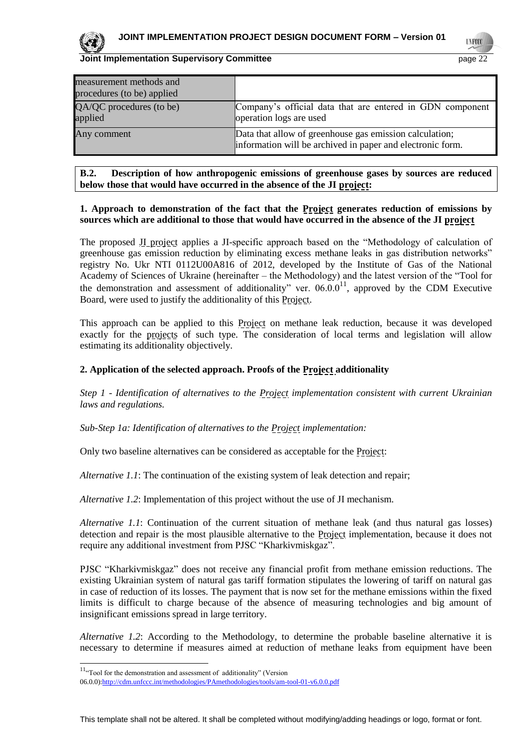

**UNFOC** 

| measurement methods and<br>procedures (to be) applied |                                                                                                                       |
|-------------------------------------------------------|-----------------------------------------------------------------------------------------------------------------------|
| QA/QC procedures (to be)<br>applied                   | Company's official data that are entered in GDN component<br>operation logs are used                                  |
| Any comment                                           | Data that allow of greenhouse gas emission calculation;<br>information will be archived in paper and electronic form. |

#### **B.2. Description of how anthropogenic emissions of greenhouse gases by sources are reduced below those that would have occurred in the absence of the JI project:**

#### **1. Approach to demonstration of the fact that the Project generates reduction of emissions by sources which are additional to those that would have occurred in the absence of the JI project**

The proposed JI project applies a JI-specific approach based on the "Methodology of calculation of greenhouse gas emission reduction by eliminating excess methane leaks in gas distribution networks" registry No. Ukr NTI 0112U00A816 of 2012, developed by the Institute of Gas of the National Academy of Sciences of Ukraine (hereinafter – the Methodology) and the latest version of the "Tool for the demonstration and assessment of additionality" ver.  $06.00^{11}$ , approved by the CDM Executive Board, were used to justify the additionality of this Project.

This approach can be applied to this Project on methane leak reduction, because it was developed exactly for the projects of such type. The consideration of local terms and legislation will allow estimating its additionality objectively.

#### **2. Application of the selected approach. Proofs of the Project additionality**

*Step 1 - Identification of alternatives to the Project implementation consistent with current Ukrainian laws and regulations.*

*Sub-Step 1a: Identification of alternatives to the Project implementation:*

Only two baseline alternatives can be considered as acceptable for the **Project**:

*Alternative 1.1*: The continuation of the existing system of leak detection and repair;

*Alternative 1.2*: Implementation of this project without the use of JI mechanism.

*Alternative 1.1*: Continuation of the current situation of methane leak (and thus natural gas losses) detection and repair is the most plausible alternative to the Project implementation, because it does not require any additional investment from PJSC "Kharkivmiskgaz".

PJSC "Kharkivmiskgaz" does not receive any financial profit from methane emission reductions. The existing Ukrainian system of natural gas tariff formation stipulates the lowering of tariff on natural gas in case of reduction of its losses. The payment that is now set for the methane emissions within the fixed limits is difficult to charge because of the absence of measuring technologies and big amount of insignificant emissions spread in large territory.

*Alternative 1.2*: According to the Methodology, to determine the probable baseline alternative it is necessary to determine if measures aimed at reduction of methane leaks from equipment have been

l

 $11<sub>cc</sub>$  Tool for the demonstration and assessment of additionality" (Version

<sup>06.0.0</sup>[\):http://cdm.unfccc.int/methodologies/PAmethodologies/tools/am-tool-01-v6.0.0.pdf](http://cdm.unfccc.int/methodologies/PAmethodologies/tools/am-tool-01-v6.0.0.pdf)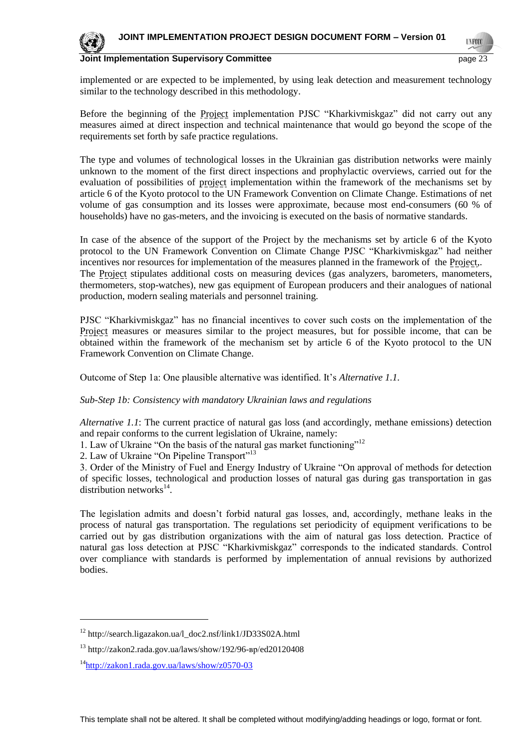

implemented or are expected to be implemented, by using leak detection and measurement technology similar to the technology described in this methodology.

Before the beginning of the Project implementation PJSC "Kharkivmiskgaz" did not carry out any measures aimed at direct inspection and technical maintenance that would go beyond the scope of the requirements set forth by safe practice regulations.

The type and volumes of technological losses in the Ukrainian gas distribution networks were mainly unknown to the moment of the first direct inspections and prophylactic overviews, carried out for the evaluation of possibilities of project implementation within the framework of the mechanisms set by article 6 of the Kyoto protocol to the UN Framework Convention on Climate Change. Estimations of net volume of gas consumption and its losses were approximate, because most end-consumers (60 % of households) have no gas-meters, and the invoicing is executed on the basis of normative standards.

In case of the absence of the support of the Project by the mechanisms set by article 6 of the Kyoto protocol to the UN Framework Convention on Climate Change PJSC "Kharkivmiskgaz" had neither incentives nor resources for implementation of the measures planned in the framework of the Project,. The Project stipulates additional costs on measuring devices (gas analyzers, barometers, manometers, thermometers, stop-watches), new gas equipment of European producers and their analogues of national production, modern sealing materials and personnel training.

PJSC "Kharkivmiskgaz" has no financial incentives to cover such costs on the implementation of the Project measures or measures similar to the project measures, but for possible income, that can be obtained within the framework of the mechanism set by article 6 of the Kyoto protocol to the UN Framework Convention on Climate Change.

Outcome of Step 1a: One plausible alternative was identified. It's *Alternative 1.1.*

#### *Sub-Step 1b: Consistency with mandatory Ukrainian laws and regulations*

*Alternative 1.1*: The current practice of natural gas loss (and accordingly, methane emissions) detection and repair conforms to the current legislation of Ukraine, namely:

- 1. Law of Ukraine "On the basis of the natural gas market functioning"<sup>12</sup>
- 2. Law of Ukraine "On Pipeline Transport"<sup>13</sup>

3. Order of the Ministry of Fuel and Energy Industry of Ukraine "On approval of methods for detection of specific losses, technological and production losses of natural gas during gas transportation in gas distribution networks $^{14}$ .

The legislation admits and doesn't forbid natural gas losses, and, accordingly, methane leaks in the process of natural gas transportation. The regulations set periodicity of equipment verifications to be carried out by gas distribution organizations with the aim of natural gas loss detection. Practice of natural gas loss detection at PJSC "Kharkivmiskgaz" corresponds to the indicated standards. Control over compliance with standards is performed by implementation of annual revisions by authorized bodies.

l

<sup>12</sup> http://search.ligazakon.ua/l\_doc2.nsf/link1/JD33S02A.html

<sup>13</sup> http://zakon2.rada.gov.ua/laws/show/192/96-вр/ed20120408

<sup>&</sup>lt;sup>14</sup><http://zakon1.rada.gov.ua/laws/show/z0570-03>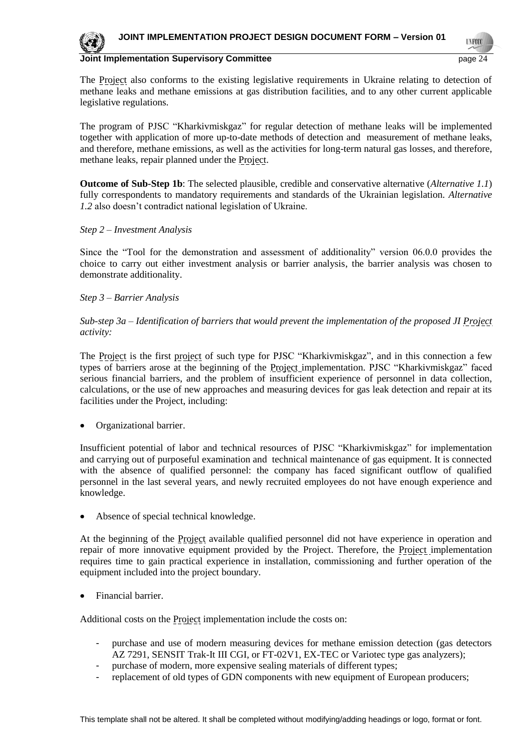**UNFOC** 



#### **Joint Implementation Supervisory Committee <b>Page 14** and 24 and 24 and 25 and 26 and 26 and 26 and 26 and 26 and 26 and 26 and 26 and 26 and 26 and 26 and 26 and 26 and 26 and 26 and 26 and 27 and 27 and 27 and 27 and 27

The Project also conforms to the existing legislative requirements in Ukraine relating to detection of methane leaks and methane emissions at gas distribution facilities, and to any other current applicable legislative regulations.

The program of PJSC "Kharkivmiskgaz" for regular detection of methane leaks will be implemented together with application of more up-to-date methods of detection and measurement of methane leaks, and therefore, methane emissions, as well as the activities for long-term natural gas losses, and therefore, methane leaks, repair planned under the Project.

**Outcome of Sub-Step 1b**: The selected plausible, credible and conservative alternative (*Alternative 1.1*) fully correspondents to mandatory requirements and standards of the Ukrainian legislation. *Alternative 1.2* also doesn't contradict national legislation of Ukraine.

#### *Step 2 – Investment Analysis*

Since the "Tool for the demonstration and assessment of additionality" version 06.0.0 provides the choice to carry out either investment analysis or barrier analysis, the barrier analysis was chosen to demonstrate additionality.

## *Step 3 – Barrier Analysis*

## *Sub-step 3a – Identification of barriers that would prevent the implementation of the proposed JI Project activity:*

The Project is the first project of such type for PJSC "Kharkivmiskgaz", and in this connection a few types of barriers arose at the beginning of the Project implementation. PJSC "Kharkivmiskgaz" faced serious financial barriers, and the problem of insufficient experience of personnel in data collection, calculations, or the use of new approaches and measuring devices for gas leak detection and repair at its facilities under the Project, including:

Organizational barrier.

Insufficient potential of labor and technical resources of PJSC "Kharkivmiskgaz" for implementation and carrying out of purposeful examination and technical maintenance of gas equipment. It is connected with the absence of qualified personnel: the company has faced significant outflow of qualified personnel in the last several years, and newly recruited employees do not have enough experience and knowledge.

Absence of special technical knowledge.

At the beginning of the Project available qualified personnel did not have experience in operation and repair of more innovative equipment provided by the Project. Therefore, the Project implementation requires time to gain practical experience in installation, commissioning and further operation of the equipment included into the project boundary.

Financial barrier.

Additional costs on the Project implementation include the costs on:

- purchase and use of modern measuring devices for methane emission detection (gas detectors AZ 7291, SENSIT Trak-It III CGI, or FT-02V1, EX-TEC or Variotec type gas analyzers);
- purchase of modern, more expensive sealing materials of different types;
- replacement of old types of GDN components with new equipment of European producers;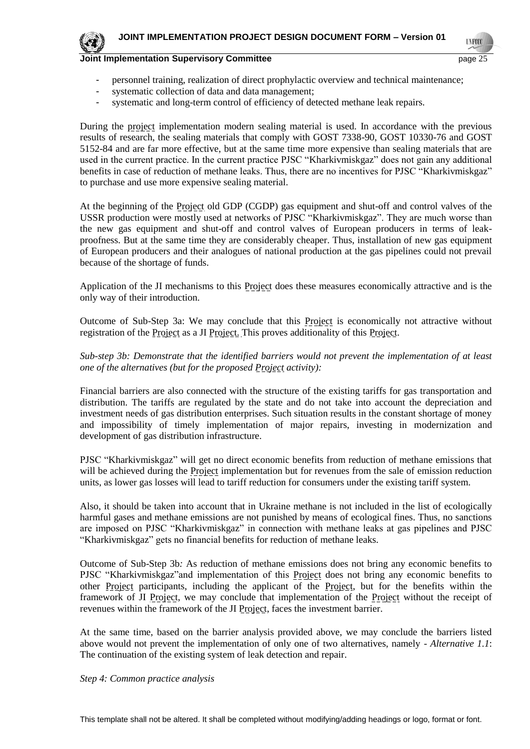

**TYFOO** 

- personnel training, realization of direct prophylactic overview and technical maintenance;
- systematic collection of data and data management;
- systematic and long-term control of efficiency of detected methane leak repairs.

During the project implementation modern sealing material is used. In accordance with the previous results of research, the sealing materials that comply with GOST 7338-90, GOST 10330-76 and GOST 5152-84 and are far more effective, but at the same time more expensive than sealing materials that are used in the current practice. In the current practice PJSC "Kharkivmiskgaz" does not gain any additional benefits in case of reduction of methane leaks. Thus, there are no incentives for PJSC "Kharkivmiskgaz" to purchase and use more expensive sealing material.

At the beginning of the Project old GDP (CGDP) gas equipment and shut-off and control valves of the USSR production were mostly used at networks of PJSC "Kharkivmiskgaz". They are much worse than the new gas equipment and shut-off and control valves of European producers in terms of leakproofness. But at the same time they are considerably cheaper. Thus, installation of new gas equipment of European producers and their analogues of national production at the gas pipelines could not prevail because of the shortage of funds.

Application of the JI mechanisms to this Project does these measures economically attractive and is the only way of their introduction.

Outcome of Sub-Step 3a: We may conclude that this Project is economically not attractive without registration of the Project as a JI Project. This proves additionality of this Project.

*Sub-step 3b: Demonstrate that the identified barriers would not prevent the implementation of at least one of the alternatives (but for the proposed Project activity):*

Financial barriers are also connected with the structure of the existing tariffs for gas transportation and distribution. The tariffs are regulated by the state and do not take into account the depreciation and investment needs of gas distribution enterprises. Such situation results in the constant shortage of money and impossibility of timely implementation of major repairs, investing in modernization and development of gas distribution infrastructure.

PJSC "Kharkivmiskgaz" will get no direct economic benefits from reduction of methane emissions that will be achieved during the Project implementation but for revenues from the sale of emission reduction units, as lower gas losses will lead to tariff reduction for consumers under the existing tariff system.

Also, it should be taken into account that in Ukraine methane is not included in the list of ecologically harmful gases and methane emissions are not punished by means of ecological fines. Thus, no sanctions are imposed on PJSC "Kharkivmiskgaz" in connection with methane leaks at gas pipelines and PJSC "Kharkivmiskgaz" gets no financial benefits for reduction of methane leaks.

Outcome of Sub-Step 3b*:* As reduction of methane emissions does not bring any economic benefits to PJSC "Kharkivmiskgaz"and implementation of this Project does not bring any economic benefits to other Project participants, including the applicant of the Project, but for the benefits within the framework of JI Project, we may conclude that implementation of the Project without the receipt of revenues within the framework of the JI Project, faces the investment barrier.

At the same time, based on the barrier analysis provided above, we may conclude the barriers listed above would not prevent the implementation of only one of two alternatives, namely - *Alternative 1.1*: The continuation of the existing system of leak detection and repair.

#### *Step 4: Common practice analysis*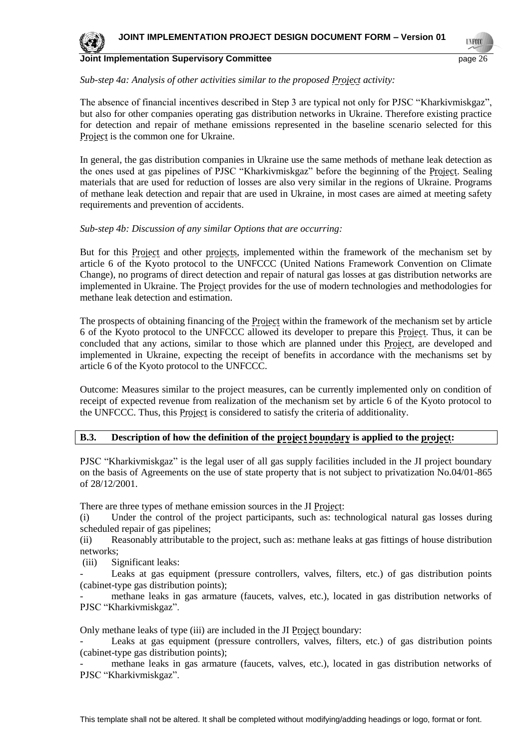

**UNFOO** 

#### *Sub-step 4a: Analysis of other activities similar to the proposed Project activity:*

The absence of financial incentives described in Step 3 are typical not only for PJSC "Kharkivmiskgaz", but also for other companies operating gas distribution networks in Ukraine. Therefore existing practice for detection and repair of methane emissions represented in the baseline scenario selected for this Project is the common one for Ukraine.

In general, the gas distribution companies in Ukraine use the same methods of methane leak detection as the ones used at gas pipelines of PJSC "Kharkivmiskgaz" before the beginning of the Project. Sealing materials that are used for reduction of losses are also very similar in the regions of Ukraine. Programs of methane leak detection and repair that are used in Ukraine, in most cases are aimed at meeting safety requirements and prevention of accidents.

#### *Sub-step 4b: Discussion of any similar Options that are occurring:*

But for this Project and other projects, implemented within the framework of the mechanism set by article 6 of the Kyoto protocol to the UNFCCC (United Nations Framework Convention on Climate Change), no programs of direct detection and repair of natural gas losses at gas distribution networks are implemented in Ukraine. The Project provides for the use of modern technologies and methodologies for methane leak detection and estimation.

The prospects of obtaining financing of the Project within the framework of the mechanism set by article 6 of the Kyoto protocol to the UNFCCC allowed its developer to prepare this Project. Thus, it can be concluded that any actions, similar to those which are planned under this Project, are developed and implemented in Ukraine, expecting the receipt of benefits in accordance with the mechanisms set by article 6 of the Kyoto protocol to the UNFCCC.

Outcome: Measures similar to the project measures, can be currently implemented only on condition of receipt of expected revenue from realization of the mechanism set by article 6 of the Kyoto protocol to the UNFCCC. Thus, this Project is considered to satisfy the criteria of additionality.

#### **B.3. Description of how the definition of the project boundary is applied to the project:**

PJSC "Kharkivmiskgaz" is the legal user of all gas supply facilities included in the JI project boundary on the basis of Agreements on the use of state property that is not subject to privatization No.04/01-865 of 28/12/2001.

There are three types of methane emission sources in the JI Project:

(i) Under the control of the project participants, such as: technological natural gas losses during scheduled repair of gas pipelines;

(ii) Reasonably attributable to the project, such as: methane leaks at gas fittings of house distribution networks;

(iii) Significant leaks:

Leaks at gas equipment (pressure controllers, valves, filters, etc.) of gas distribution points (cabinet-type gas distribution points);

methane leaks in gas armature (faucets, valves, etc.), located in gas distribution networks of PJSC "Kharkivmiskgaz".

Only methane leaks of type (iii) are included in the JI Project boundary:

Leaks at gas equipment (pressure controllers, valves, filters, etc.) of gas distribution points (cabinet-type gas distribution points);

methane leaks in gas armature (faucets, valves, etc.), located in gas distribution networks of PJSC "Kharkivmiskgaz".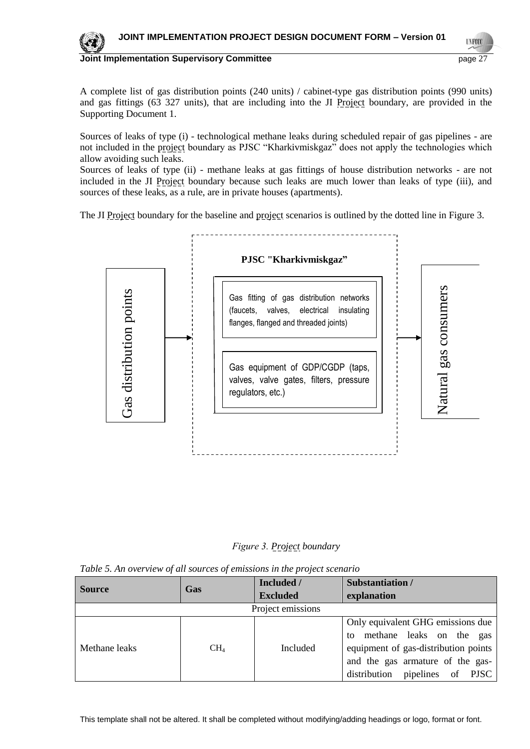

**Joint Implementation Supervisory Committee <b>Page 17** and the page 27

A complete list of gas distribution points (240 units) / cabinet-type gas distribution points (990 units) and gas fittings (63 327 units), that are including into the JI Project boundary, are provided in the Supporting Document 1.

Sources of leaks of type (i) - technological methane leaks during scheduled repair of gas pipelines - are not included in the project boundary as PJSC "Kharkivmiskgaz" does not apply the technologies which allow avoiding such leaks.

Sources of leaks of type (ii) - methane leaks at gas fittings of house distribution networks - are not included in the JI Project boundary because such leaks are much lower than leaks of type (iii), and sources of these leaks, as a rule, are in private houses (apartments).

The JI Project boundary for the baseline and project scenarios is outlined by the dotted line in Figure 3.



*Fіgure 3. Project boundary*

|  |  | Table 5. An overview of all sources of emissions in the project scenario |
|--|--|--------------------------------------------------------------------------|
|  |  |                                                                          |

| <b>Source</b>     | Gas    | Included /      | Substantiation /                                                                                                                                                                  |  |  |  |
|-------------------|--------|-----------------|-----------------------------------------------------------------------------------------------------------------------------------------------------------------------------------|--|--|--|
|                   |        | <b>Excluded</b> | explanation                                                                                                                                                                       |  |  |  |
| Project emissions |        |                 |                                                                                                                                                                                   |  |  |  |
| Methane leaks     | $CH_4$ | <b>Included</b> | Only equivalent GHG emissions due<br>methane leaks on the gas<br>to<br>equipment of gas-distribution points<br>and the gas armature of the gas-<br>distribution pipelines of PJSC |  |  |  |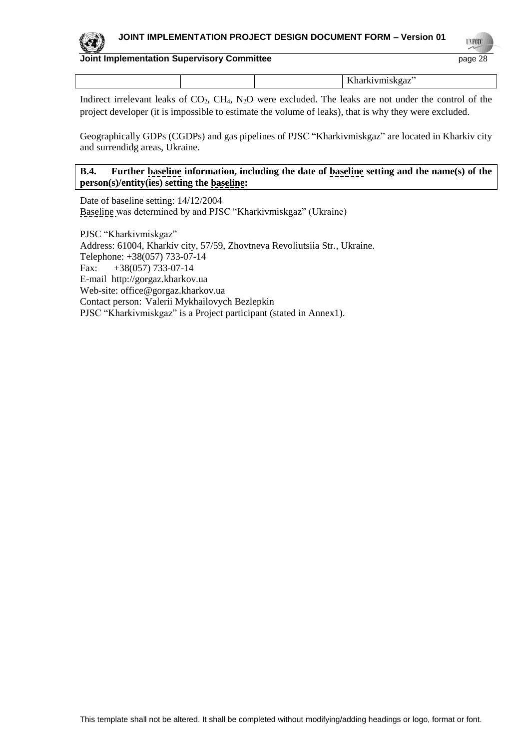

**UNFOC** 

## **Joint Implementation Supervisory Committee** page 28

|  | --------- |
|--|-----------|
|  |           |

Indirect irrelevant leaks of  $CO_2$ ,  $CH_4$ ,  $N_2O$  were excluded. The leaks are not under the control of the project developer (it is impossible to estimate the volume of leaks), that is why they were excluded.

Geographically GDPs (CGDPs) and gas pipelines of PJSC "Kharkivmiskgaz" are located in Kharkiv city and surrendidg areas, Ukraine.

## **B.4. Further baseline information, including the date of baseline setting and the name(s) of the person(s)/entity(ies) setting the baseline:**

Date of baseline setting: 14/12/2004 Baseline was determined by and PJSC "Kharkivmiskgaz" (Ukraine)

PJSC "Kharkivmiskgaz" Address: 61004, Kharkiv city, 57/59, Zhovtneva Revoliutsiia Str., Ukraine. Telephone: +38(057) 733-07-14 Fax:  $+38(057)$  733-07-14 E-mail [http://gorgaz.kharkov.ua](http://gorgaz.kharkov.ua/) Web-site: [office@gorgaz.kharkov.ua](mailto:office@gorgaz.kharkov.ua) Contact person: Valerii Mykhailovych Bezlepkin PJSC "Kharkivmiskgaz" is a Project participant (stated in Annex1).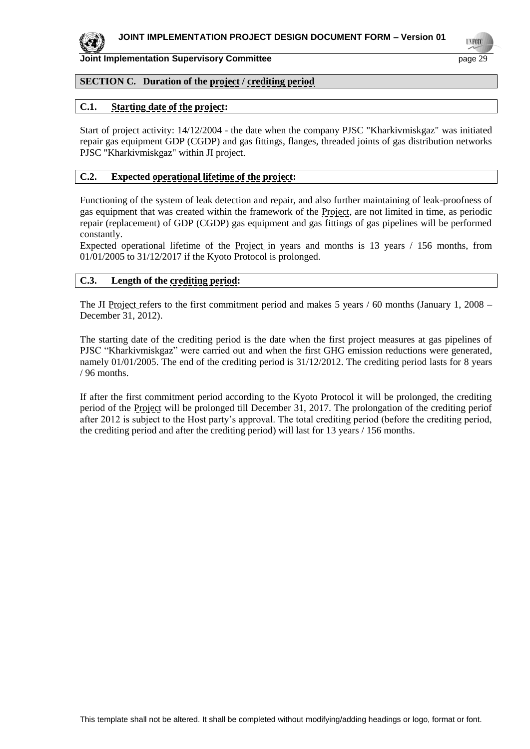

# **SECTION C. Duration of the project / crediting period**

## **C.1. Starting date of the project:**

Start of project activity: 14/12/2004 - the date when the company PJSC "Kharkivmiskgaz" was initiated repair gas equipment GDP (CGDP) and gas fittings, flanges, threaded joints of gas distribution networks PJSC "Kharkivmiskgaz" within JI project.

## **C.2. Expected operational lifetime of the project:**

Functioning of the system of leak detection and repair, and also further maintaining of leak-proofness of gas equipment that was created within the framework of the Project, are not limited in time, as periodic repair (replacement) of GDP (CGDP) gas equipment and gas fittings of gas pipelines will be performed constantly.

Expected operational lifetime of the Project in years and months is 13 years / 156 months, from 01/01/2005 to 31/12/2017 if the Kyoto Protocol is prolonged.

#### **C.3. Length of the crediting period:**

The JI Project refers to the first commitment period and makes 5 years / 60 months (January 1, 2008 – December 31, 2012).

The starting date of the crediting period is the date when the first project measures at gas pipelines of PJSC "Kharkivmiskgaz" were carried out and when the first GHG emission reductions were generated, namely 01/01/2005. The end of the crediting period is 31/12/2012. The crediting period lasts for 8 years / 96 months.

If after the first commitment period according to the Kyoto Protocol it will be prolonged, the crediting period of the Project will be prolonged till December 31, 2017. The prolongation of the crediting periof after 2012 is subject to the Host party's approval. The total crediting period (before the crediting period, the crediting period and after the crediting period) will last for 13 years / 156 months.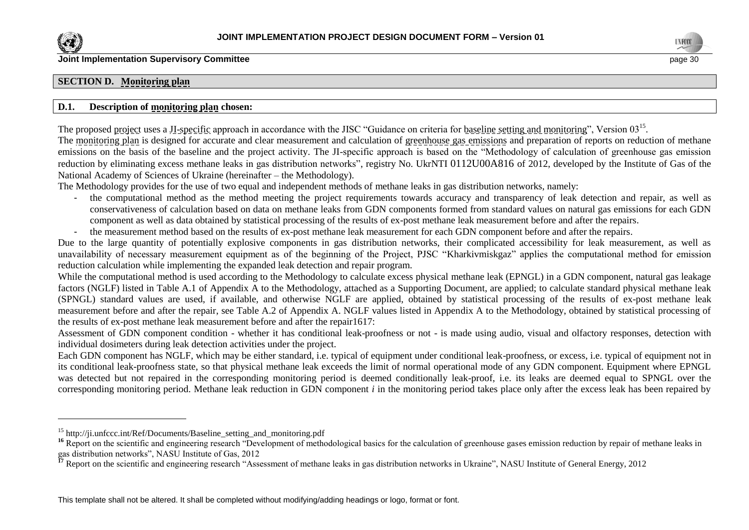

l



#### **SECTION D. Monitoring plan**

#### **D.1. Description of monitoring plan chosen:**

The proposed project uses a *JI-specific* approach in accordance with the JISC "Guidance on criteria for baseline setting and monitoring", Version 03<sup>15</sup>. The monitoring plan is designed for accurate and clear measurement and calculation of greenhouse gas emissions and preparation of reports on reduction of methane emissions on the basis of the baseline and the project activity. The JI-specific approach is based on the "Methodology of calculation of greenhouse gas emission

reduction by eliminating excess methane leaks in gas distribution networks", registry No. UkrNTI 0112U00A816 of 2012, developed by the Institute of Gas of the National Academy of Sciences of Ukraine (hereinafter – the Methodology).

The Methodology provides for the use of two equal and independent methods of methane leaks in gas distribution networks, namely:

- the computational method as the method meeting the project requirements towards accuracy and transparency of leak detection and repair, as well as conservativeness of calculation based on data on methane leaks from GDN components formed from standard values on natural gas emissions for each GDN component as well as data obtained by statistical processing of the results of ex-post methane leak measurement before and after the repairs.
- the measurement method based on the results of ex-post methane leak measurement for each GDN component before and after the repairs.

Due to the large quantity of potentially explosive components in gas distribution networks, their complicated accessibility for leak measurement, as well as unavailability of necessary measurement equipment as of the beginning of the Project, PJSC "Kharkivmiskgaz" applies the computational method for emission reduction calculation while implementing the expanded leak detection and repair program.

While the computational method is used according to the Methodology to calculate excess physical methane leak (EPNGL) in a GDN component, natural gas leakage factors (NGLF) listed in Table A.1 of Appendix A to the Methodology, attached as a Supporting Document, are applied; to calculate standard physical methane leak (SPNGL) standard values are used, if available, and otherwise NGLF are applied, obtained by statistical processing of the results of ex-post methane leak measurement before and after the repair, see Table A.2 of Appendix A. NGLF values listed in Appendix A to the Methodology, obtained by statistical processing of the results of ex-post methane leak measurement before and after the repair1617:

Assessment of GDN component condition - whether it has conditional leak-proofness or not - is made using audio, visual and olfactory responses, detection with individual dosimeters during leak detection activities under the project.

Each GDN component has NGLF, which may be either standard, i.e. typical of equipment under conditional leak-proofness, or excess, i.e. typical of equipment not in its conditional leak-proofness state, so that physical methane leak exceeds the limit of normal operational mode of any GDN component. Equipment where EPNGL was detected but not repaired in the corresponding monitoring period is deemed conditionally leak-proof, i.e. its leaks are deemed equal to SPNGL over the corresponding monitoring period. Methane leak reduction in GDN component *i* in the monitoring period takes place only after the excess leak has been repaired by

<sup>&</sup>lt;sup>15</sup> http://ji.unfccc.int/Ref/Documents/Baseline setting and monitoring.pdf

<sup>&</sup>lt;sup>16</sup> Report on the scientific and engineering research "Development of methodological basics for the calculation of greenhouse gases emission reduction by repair of methane leaks in gas distribution networks", NASU Institute of Gas, 2012

<sup>&</sup>lt;sup>17</sup> Report on the scientific and engineering research "Assessment of methane leaks in gas distribution networks in Ukraine", NASU Institute of General Energy, 2012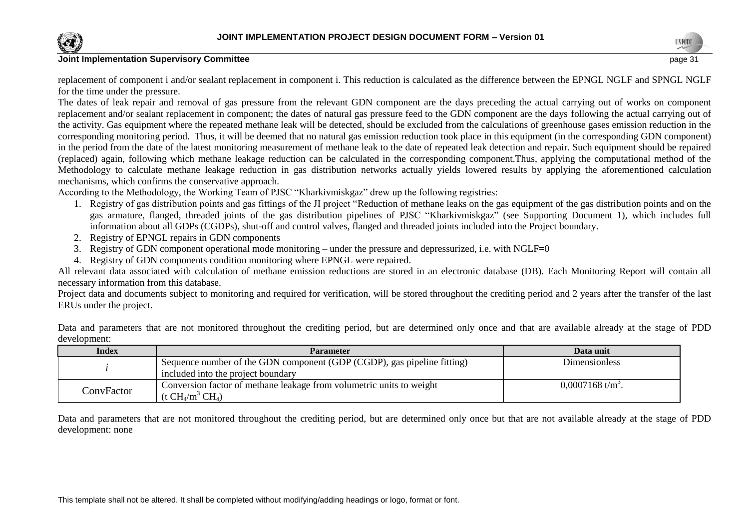

replacement of component i and/or sealant replacement in component i. This reduction is calculated as the difference between the EPNGL NGLF and SPNGL NGLF for the time under the pressure.

The dates of leak repair and removal of gas pressure from the relevant GDN component are the days preceding the actual carrying out of works on component replacement and/or sealant replacement in component; the dates of natural gas pressure feed to the GDN component are the days following the actual carrying out of the activity. Gas equipment where the repeated methane leak will be detected, should be excluded from the calculations of greenhouse gases emission reduction in the corresponding monitoring period. Thus, it will be deemed that no natural gas emission reduction took place in this equipment (in the corresponding GDN component) in the period from the date of the latest monitoring measurement of methane leak to the date of repeated leak detection and repair. Such equipment should be repaired (replaced) again, following which methane leakage reduction can be calculated in the corresponding component.Thus, applying the computational method of the Methodology to calculate methane leakage reduction in gas distribution networks actually yields lowered results by applying the aforementioned calculation mechanisms, which confirms the conservative approach.

According to the Methodology, the Working Team of PJSC "Kharkivmiskgaz" drew up the following registries:

- 1. Registry of gas distribution points and gas fittings of the JI project "Reduction of methane leaks on the gas equipment of the gas distribution points and on the gas armature, flanged, threaded joints of the gas distribution pipelines of PJSC "Kharkivmiskgaz" (see Supporting Document 1), which includes full information about all GDPs (CGDPs), shut-off and control valves, flanged and threaded joints included into the Project boundary.
- 2. Registry of EPNGL repairs in GDN components
- 3. Registry of GDN component operational mode monitoring under the pressure and depressurized, i.e. with NGLF=0
- 4. Registry of GDN components condition monitoring where EPNGL were repaired.

All relevant data associated with calculation of methane emission reductions are stored in an electronic database (DB). Each Monitoring Report will contain all necessary information from this database.

Project data and documents subject to monitoring and required for verification, will be stored throughout the crediting period and 2 years after the transfer of the last ERUs under the project.

Data and parameters that are not monitored throughout the crediting period, but are determined only once and that are available already at the stage of PDD development:

| Index      | <b>Parameter</b>                                                                                                   | Data unit                      |
|------------|--------------------------------------------------------------------------------------------------------------------|--------------------------------|
|            | Sequence number of the GDN component (GDP (CGDP), gas pipeline fitting)                                            | Dimensionless                  |
|            | included into the project boundary                                                                                 |                                |
| ConvFactor | Conversion factor of methane leakage from volumetric units to weight<br>$(t \text{ CH}_4/\text{m}^3 \text{ CH}_4)$ | $0,0007168$ t/m <sup>3</sup> . |

Data and parameters that are not monitored throughout the crediting period, but are determined only once but that are not available already at the stage of PDD development: none

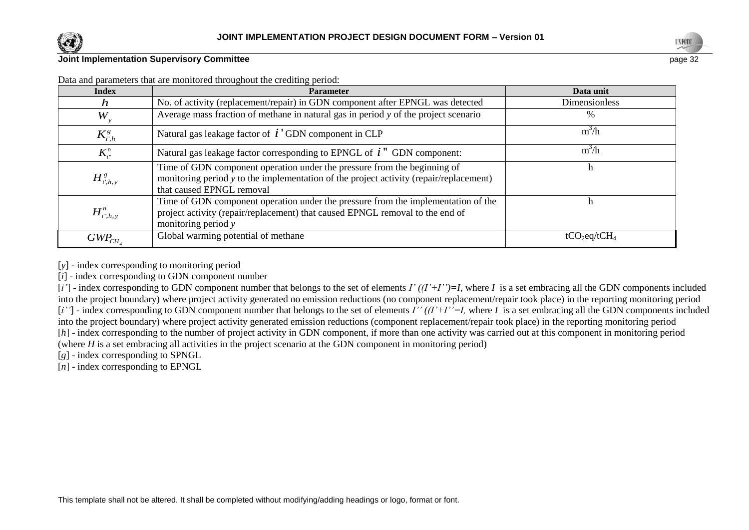

**Index Parameter Data unit** *h* No. of activity (replacement/repair) in GDN component after EPNGL was detected Dimensionless *Wy* Average mass fraction of methane in natural gas in period *y* of the project scenario  $\%$  $K^g_{i^{\prime},h}$ Natural gas leakage factor of  $\boldsymbol{i}'$  GDN component in CLP m  $\frac{3}{h}$  $K_{i}^{n}$ Natural gas leakage factor corresponding to EPNGL of *i* " GDN component: m  $\frac{3}{h}$  $H_{i^{\prime},h, y}^{g}$ Time of GDN component operation under the pressure from the beginning of monitoring period y to the implementation of the project activity (repair/replacement) that caused EPNGL removal h  $H_{i^*,h, y}^n$ Time of GDN component operation under the pressure from the implementation of the project activity (repair/replacement) that caused EPNGL removal to the end of monitoring period *y* h  $GWP_{CH_4}$ Global warming potential of methane  $tCO_2$ eq/tCH<sub>4</sub>

Data and parameters that are monitored throughout the crediting period:

[y] - index corresponding to monitoring period

[*i*] - index corresponding to GDN component number

[*i'*] - index corresponding to GDN component number that belongs to the set of elements *I' ((I'+I'')=I,* where *I* is a set embracing all the GDN components included into the project boundary) where project activity generated no emission reductions (no component replacement/repair took place) in the reporting monitoring period [*i''*] - index corresponding to GDN component number that belongs to the set of elements *I'' ((I'+I''=I,* where *I* is a set embracing all the GDN components included into the project boundary) where project activity generated emission reductions (component replacement/repair took place) in the reporting monitoring period [*h*] - index corresponding to the number of project activity in GDN component, if more than one activity was carried out at this component in monitoring period (where *H* is a set embracing all activities in the project scenario at the GDN component in monitoring period)

[*g*] - index corresponding to SPNGL

[*n*] - index corresponding to EPNGL

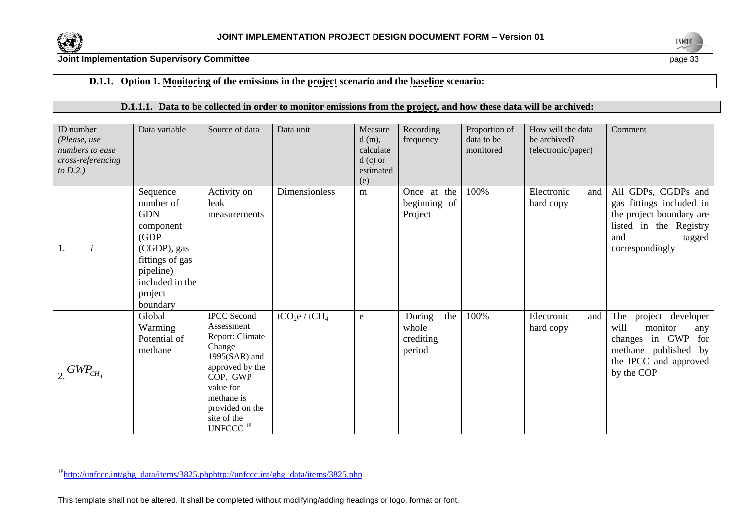

l



#### **Joint Implementation Supervisory Committee** page 33

# **D.1.1. Option 1. Monitoring of the emissions in the project scenario and the baseline scenario:**

## **D.1.1.1. Data to be collected in order to monitor emissions from the project, and how these data will be archived:**

| ID number<br>(Please, use<br>numbers to ease<br>cross-referencing<br>to $D.2.$ ) | Data variable                                                                                                                                      | Source of data                                                                                                                                                                                       | Data unit        | Measure<br>$d(m)$ ,<br>calculate<br>$d(c)$ or<br>estimated<br>(e) | Recording<br>frequency                        | Proportion of<br>data to be<br>monitored | How will the data<br>be archived?<br>(electronic/paper) | Comment                                                                                                                                    |
|----------------------------------------------------------------------------------|----------------------------------------------------------------------------------------------------------------------------------------------------|------------------------------------------------------------------------------------------------------------------------------------------------------------------------------------------------------|------------------|-------------------------------------------------------------------|-----------------------------------------------|------------------------------------------|---------------------------------------------------------|--------------------------------------------------------------------------------------------------------------------------------------------|
| $\dot{i}$<br><sup>1.</sup>                                                       | Sequence<br>number of<br><b>GDN</b><br>component<br>(GDP)<br>(CGDP), gas<br>fittings of gas<br>pipeline)<br>included in the<br>project<br>boundary | Activity on<br>leak<br>measurements                                                                                                                                                                  | Dimensionless    | m                                                                 | Once at the<br>beginning of<br>Project        | 100%                                     | Electronic<br>and<br>hard copy                          | All GDPs, CGDPs and<br>gas fittings included in<br>the project boundary are<br>listed in the Registry<br>and<br>tagged<br>correspondingly  |
| $\frac{1}{2}$ GWP <sub>CH<sub>4</sub></sub>                                      | Global<br>Warming<br>Potential of<br>methane                                                                                                       | <b>IPCC</b> Second<br>Assessment<br>Report: Climate<br>Change<br>$1995(SAR)$ and<br>approved by the<br>COP. GWP<br>value for<br>methane is<br>provided on the<br>site of the<br>UNFCCC <sup>18</sup> | $tCO_2e / tCH_4$ | ${\bf e}$                                                         | During<br>the<br>whole<br>crediting<br>period | 100%                                     | Electronic<br>and<br>hard copy                          | The<br>project developer<br>will<br>monitor<br>any<br>changes in GWP<br>for<br>methane published by<br>the IPCC and approved<br>by the COP |

<sup>18</sup>[http://unfccc.int/ghg\\_data/items/3825.phphttp://unfccc.int/ghg\\_data/items/3825.php](http://unfccc.int/ghg_data/items/3825.phphttp:/unfccc.int/ghg_data/items/3825.php)

This template shall not be altered. It shall be completed without modifying/adding headings or logo, format or font.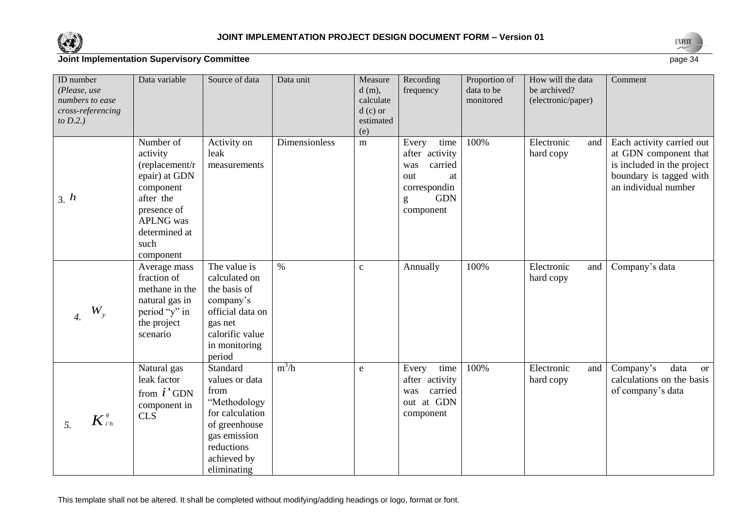



| ID number<br>(Please, use<br>numbers to ease<br>cross-referencing<br>to $D.2.$ ) | Data variable                                                                                                                                                | Source of data                                                                                                                                     | Data unit     | Measure<br>$d(m)$ ,<br>calculate<br>$d(c)$ or<br>estimated<br>(e) | Recording<br>frequency                                                                                         | Proportion of<br>data to be<br>monitored | How will the data<br>be archived?<br>(electronic/paper) | Comment                                                                                                                             |
|----------------------------------------------------------------------------------|--------------------------------------------------------------------------------------------------------------------------------------------------------------|----------------------------------------------------------------------------------------------------------------------------------------------------|---------------|-------------------------------------------------------------------|----------------------------------------------------------------------------------------------------------------|------------------------------------------|---------------------------------------------------------|-------------------------------------------------------------------------------------------------------------------------------------|
| 3. h                                                                             | Number of<br>activity<br>(replacement/r)<br>epair) at GDN<br>component<br>after the<br>presence of<br><b>APLNG</b> was<br>determined at<br>such<br>component | Activity on<br>leak<br>measurements                                                                                                                | Dimensionless | ${\bf m}$                                                         | time<br>Every<br>after activity<br>carried<br>was<br>out<br>at<br>correspondin<br><b>GDN</b><br>g<br>component | 100%                                     | Electronic<br>and<br>hard copy                          | Each activity carried out<br>at GDN component that<br>is included in the project<br>boundary is tagged with<br>an individual number |
| $W_{\rm y}$<br>4.                                                                | Average mass<br>fraction of<br>methane in the<br>natural gas in<br>period "y" in<br>the project<br>scenario                                                  | The value is<br>calculated on<br>the basis of<br>company's<br>official data on<br>gas net<br>calorific value<br>in monitoring<br>period            | $\%$          | $\mathbf{C}$                                                      | Annually                                                                                                       | 100%                                     | Electronic<br>and<br>hard copy                          | Company's data                                                                                                                      |
| $K^{\frac{s}{i'h}}$<br>5.                                                        | Natural gas<br>leak factor<br>from $i'$ GDN<br>component in<br>CLS                                                                                           | Standard<br>values or data<br>from<br>"Methodology<br>for calculation<br>of greenhouse<br>gas emission<br>reductions<br>achieved by<br>eliminating | $m^3/h$       | e                                                                 | time<br>Every<br>after activity<br>carried<br>was<br>out at GDN<br>component                                   | 100%                                     | Electronic<br>and<br>hard copy                          | Company's<br>data<br><sub>or</sub><br>calculations on the basis<br>of company's data                                                |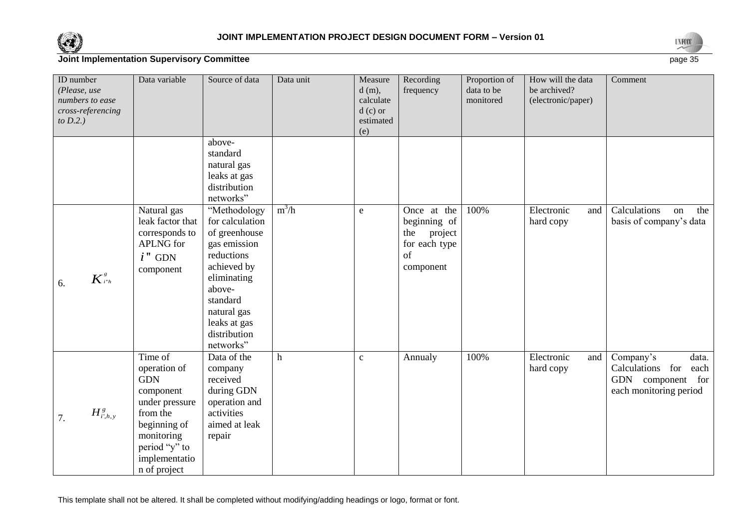



| ID number<br>(Please, use<br>numbers to ease<br>cross-referencing<br>to $D.2$ .) | Data variable                                                                                                                                                    | Source of data                                                                                                                                                                                 | Data unit   | Measure<br>$d(m)$ ,<br>calculate<br>$d(c)$ or<br>estimated<br>(e) | Recording<br>frequency                                                            | Proportion of<br>data to be<br>monitored | How will the data<br>be archived?<br>(electronic/paper) | Comment                                                                                       |
|----------------------------------------------------------------------------------|------------------------------------------------------------------------------------------------------------------------------------------------------------------|------------------------------------------------------------------------------------------------------------------------------------------------------------------------------------------------|-------------|-------------------------------------------------------------------|-----------------------------------------------------------------------------------|------------------------------------------|---------------------------------------------------------|-----------------------------------------------------------------------------------------------|
|                                                                                  |                                                                                                                                                                  | above-<br>standard<br>natural gas<br>leaks at gas<br>distribution<br>networks"                                                                                                                 |             |                                                                   |                                                                                   |                                          |                                                         |                                                                                               |
| $K^s_{\scriptscriptstyle i^*h}$<br>6.                                            | Natural gas<br>leak factor that<br>corresponds to<br><b>APLNG</b> for<br>$i$ " GDN<br>component                                                                  | "Methodology<br>for calculation<br>of greenhouse<br>gas emission<br>reductions<br>achieved by<br>eliminating<br>above-<br>standard<br>natural gas<br>leaks at gas<br>distribution<br>networks" | $m^3/h$     | e                                                                 | Once at the<br>beginning of<br>project<br>the<br>for each type<br>of<br>component | 100%                                     | Electronic<br>and<br>hard copy                          | Calculations<br>the<br>on<br>basis of company's data                                          |
| $H^s_{i,h,y}$<br>7.                                                              | Time of<br>operation of<br><b>GDN</b><br>component<br>under pressure<br>from the<br>beginning of<br>monitoring<br>period "y" to<br>implementatio<br>n of project | Data of the<br>company<br>received<br>during GDN<br>operation and<br>activities<br>aimed at leak<br>repair                                                                                     | $\mathbf h$ | $\mathbf{C}$                                                      | Annualy                                                                           | 100%                                     | Electronic<br>and<br>hard copy                          | Company's<br>data.<br>Calculations for<br>each<br>GDN component for<br>each monitoring period |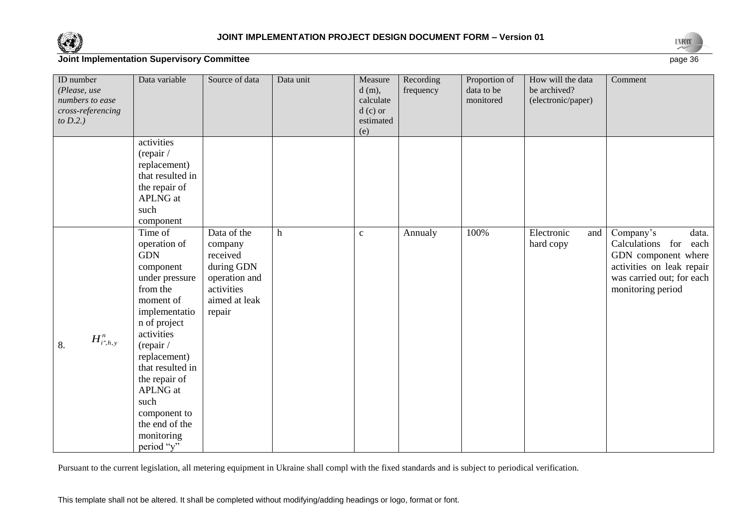



| ID number<br>(Please, use<br>numbers to ease<br>cross-referencing<br>to $D.2.$ ) | Data variable                                                                                                                                                                                                                                                                                           | Source of data                                                                                             | Data unit               | Measure<br>$d(m)$ ,<br>calculate<br>$d(c)$ or<br>estimated<br>(e) | Recording<br>frequency | Proportion of<br>data to be<br>monitored | How will the data<br>be archived?<br>(electronic/paper) | Comment                                                                                                                                              |
|----------------------------------------------------------------------------------|---------------------------------------------------------------------------------------------------------------------------------------------------------------------------------------------------------------------------------------------------------------------------------------------------------|------------------------------------------------------------------------------------------------------------|-------------------------|-------------------------------------------------------------------|------------------------|------------------------------------------|---------------------------------------------------------|------------------------------------------------------------------------------------------------------------------------------------------------------|
|                                                                                  | activities<br>(repair /<br>replacement)<br>that resulted in<br>the repair of<br><b>APLNG</b> at<br>such<br>component                                                                                                                                                                                    |                                                                                                            |                         |                                                                   |                        |                                          |                                                         |                                                                                                                                                      |
| $H^n_{i^*,h,y}$<br>8.                                                            | Time of<br>operation of<br><b>GDN</b><br>component<br>under pressure<br>from the<br>moment of<br>implementatio<br>n of project<br>activities<br>(repair /<br>replacement)<br>that resulted in<br>the repair of<br><b>APLNG</b> at<br>such<br>component to<br>the end of the<br>monitoring<br>period "y" | Data of the<br>company<br>received<br>during GDN<br>operation and<br>activities<br>aimed at leak<br>repair | $\boldsymbol{\text{h}}$ | $\mathbf{C}$                                                      | Annualy                | 100%                                     | Electronic<br>and<br>hard copy                          | Company's<br>data.<br>Calculations for<br>each<br>GDN component where<br>activities on leak repair<br>was carried out; for each<br>monitoring period |

Pursuant to the current legislation, all metering equipment in Ukraine shall compl with the fixed standards and is subject to periodical verification.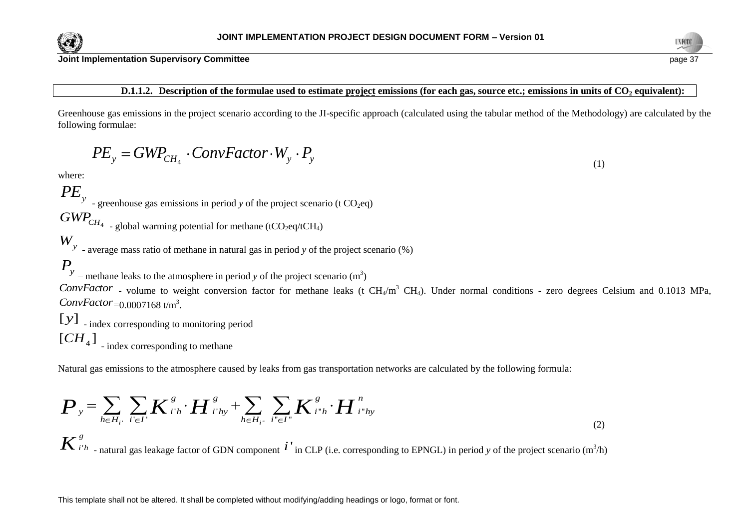

# **D.1.1.2. Description of the formulae used to estimate project emissions (for each gas, source etc.; emissions in units of CO<sup>2</sup> equivalent):**

Greenhouse gas emissions in the project scenario according to the JI-specific approach (calculated using the tabular method of the Methodology) are calculated by the following formulae:

$$
PE_{y} = GWP_{CH_{4}} \cdot ConvFactor \cdot W_{y} \cdot P_{y}
$$

where:

 $PE_y$  - greenhouse gas emissions in period *y* of the project scenario (t CO<sub>2</sub>eq)

 $GWP_{CH_4}$ 

- global warming potential for methane (tCO<sub>2</sub>eq/tCH<sub>4</sub>)

*Wy* - average mass ratio of methane in natural gas in period *y* of the project scenario (%)

 $P_y$  – methane leaks to the atmosphere in period *y* of the project scenario (m<sup>3</sup>)

ConvFactor - volume to weight conversion factor for methane leaks (t CH<sub>4</sub>/m<sup>3</sup> CH<sub>4</sub>). Under normal conditions - zero degrees Celsium and 0.1013 MPa, ConvFactor<sub>=0.0007168 t/m<sup>3</sup>.</sub>

[ $\mathcal{Y}$ ] <sub>-</sub> index corresponding to monitoring period  $[CH<sub>4</sub>]$  - index corresponding to methane

Natural gas emissions to the atmosphere caused by leaks from gas transportation networks are calculated by the following formula:

Natural gas emissions to the atmosphere caused by leaks from gas transportation networks are calculated by the following formula:  
\n
$$
\boldsymbol{P}_{y} = \sum_{h \in H_{i'}} \sum_{i' \in I'} \boldsymbol{K}_{i'h}^{g} \cdot \boldsymbol{H}_{i'hy}^{g} + \sum_{h \in H_{i''}} \sum_{i'' \in I''} \boldsymbol{K}_{i'h}^{g} \cdot \boldsymbol{H}_{i''hy}^{n}
$$
\n(2)  
\n
$$
\boldsymbol{K}_{i'h}^{g}
$$
\n- natural gas leakage factor of GDN component  $i'$  in CLP (i.e. corresponding to EPNGL) in period *y* of the project scenario (m<sup>3</sup>/h)



(1)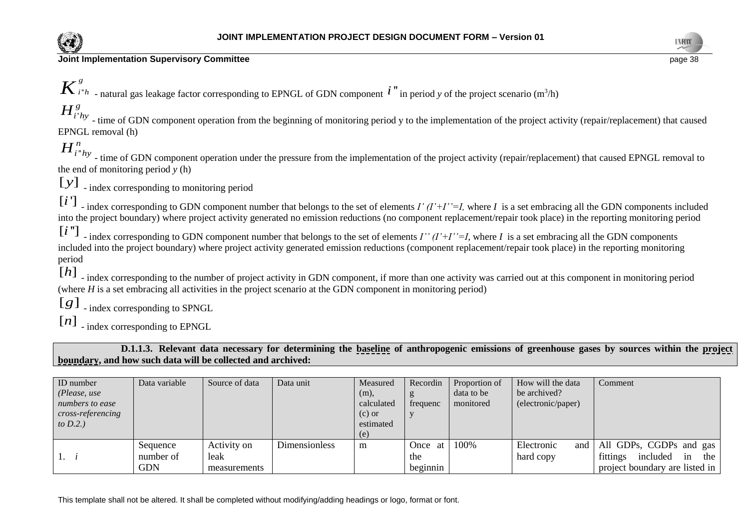



''  $K^{g}_{i^*h}$  - natural gas leakage factor corresponding to EPNGL of GDN component  $i^"$  in period *y* of the project scenario (m<sup>3</sup>/h)

'  $H_{i'hy}^g$  - time of GDN component operation from the beginning of monitoring period y to the implementation of the project activity (repair/replacement) that caused EPNGL removal (h)

''  $H_{i^*h}^n$  - time of GDN component operation under the pressure from the implementation of the project activity (repair/replacement) that caused EPNGL removal to the end of monitoring period *y* (h)

[y] \_ index corresponding to monitoring period

[*i*  $\lceil i \rceil$  - index corresponding to GDN component number that belongs to the set of elements *I' (I'+I''=I*, where *I* is a set embracing all the GDN components included into the project boundary) where project activity generated no emission reductions (no component replacement/repair took place) in the reporting monitoring period

[i''] - index corresponding to GDN component number that belongs to the set of elements *I'' (I'+I''=I*, where *I* is a set embracing all the GDN components included into the project boundary) where project activity generated emission reductions (component replacement/repair took place) in the reporting monitoring period

[h] - index corresponding to the number of project activity in GDN component, if more than one activity was carried out at this component in monitoring period (where *H* is a set embracing all activities in the project scenario at the GDN component in monitoring period)

 $[g]$ <sub>-index</sub> corresponding to SPNGL

[*n*] \_ index corresponding to EPNGL

**D.1.1.3. Relevant data necessary for determining the baseline of anthropogenic emissions of greenhouse gases by sources within the project boundary, and how such data will be collected and archived:**

| ID number<br>( $Please, use$<br>numbers to ease<br>cross-referencing<br>to $D.2.$ ) | Data variable | Source of data | Data unit     | Measured<br>(m),<br>calculated<br>$(c)$ or<br>estimated | Recordin<br>frequenc | Proportion of<br>data to be<br>monitored | How will the data<br>be archived?<br>(electronic/paper) | Comment                           |
|-------------------------------------------------------------------------------------|---------------|----------------|---------------|---------------------------------------------------------|----------------------|------------------------------------------|---------------------------------------------------------|-----------------------------------|
|                                                                                     |               |                |               | (e)                                                     |                      |                                          |                                                         |                                   |
|                                                                                     | Sequence      | Activity on    | Dimensionless | m                                                       | Once at              | 100%                                     | Electronic                                              | and   All GDPs, CGDPs and gas     |
| $\pm$ $\rightarrow$                                                                 | number of     | leak           |               |                                                         | the                  |                                          | hard copy                                               | included<br>fittings<br>the<br>in |
|                                                                                     | <b>GDN</b>    | measurements   |               |                                                         | beginnin             |                                          |                                                         | project boundary are listed in    |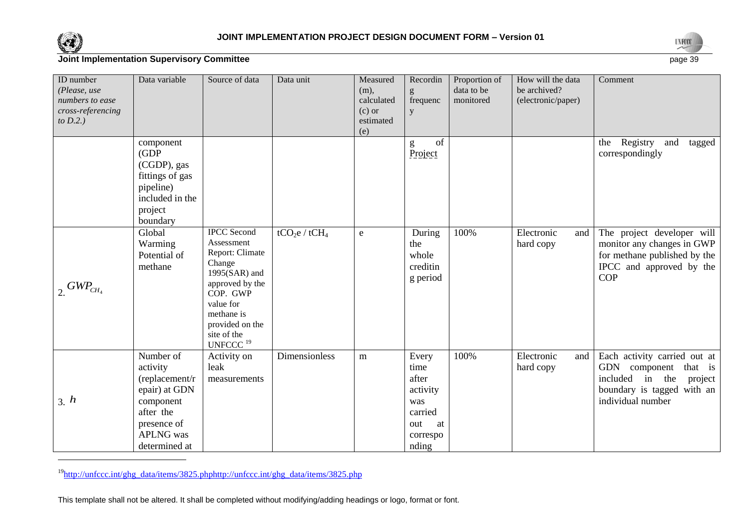

l



## **Joint Implementation Supervisory Committee** page 39

| ID number<br>(Please, use<br>numbers to ease<br>cross-referencing<br>to $D.2.$ ) | Data variable                                                                                                                          | Source of data                                                                                                                                                                                                        | Data unit                             | Measured<br>$(m)$ ,<br>calculated<br>$(c)$ or<br>estimated<br>(e) | Recordin<br>g<br>frequenc<br>y                                                         | Proportion of<br>data to be<br>monitored | How will the data<br>be archived?<br>(electronic/paper) | Comment                                                                                                                                      |
|----------------------------------------------------------------------------------|----------------------------------------------------------------------------------------------------------------------------------------|-----------------------------------------------------------------------------------------------------------------------------------------------------------------------------------------------------------------------|---------------------------------------|-------------------------------------------------------------------|----------------------------------------------------------------------------------------|------------------------------------------|---------------------------------------------------------|----------------------------------------------------------------------------------------------------------------------------------------------|
|                                                                                  | component<br>(GDP)<br>(CGDP), gas<br>fittings of gas<br>pipeline)<br>included in the<br>project<br>boundary                            |                                                                                                                                                                                                                       |                                       |                                                                   | of<br>g<br>Project                                                                     |                                          |                                                         | Registry<br>and<br>tagged<br>the<br>correspondingly                                                                                          |
| $\frac{1}{2} GWP_{CH_4}$                                                         | Global<br>Warming<br>Potential of<br>methane                                                                                           | <b>IPCC</b> Second<br>Assessment<br>Report: Climate<br>Change<br>$1995(SAR)$ and<br>approved by the<br>COP. GWP<br>value for<br>methane is<br>provided on the<br>site of the<br>$\ensuremath{\mathrm{UNFCCC}\,}^{19}$ | tCO <sub>2</sub> e / tCH <sub>4</sub> | e                                                                 | During<br>the<br>whole<br>creditin<br>g period                                         | 100%                                     | Electronic<br>and<br>hard copy                          | The project developer will<br>monitor any changes in GWP<br>for methane published by the<br>IPCC and approved by the<br><b>COP</b>           |
| 3. h                                                                             | Number of<br>activity<br>(replacement/r<br>epair) at GDN<br>component<br>after the<br>presence of<br><b>APLNG</b> was<br>determined at | Activity on<br>leak<br>measurements                                                                                                                                                                                   | Dimensionless                         | m                                                                 | Every<br>time<br>after<br>activity<br>was<br>carried<br>out<br>at<br>correspo<br>nding | 100%                                     | Electronic<br>and<br>hard copy                          | Each activity carried out at<br>GDN component<br>that is<br>included<br>in the<br>project<br>boundary is tagged with an<br>individual number |

<sup>19</sup>[http://unfccc.int/ghg\\_data/items/3825.phphttp://unfccc.int/ghg\\_data/items/3825.php](http://unfccc.int/ghg_data/items/3825.phphttp:/unfccc.int/ghg_data/items/3825.php)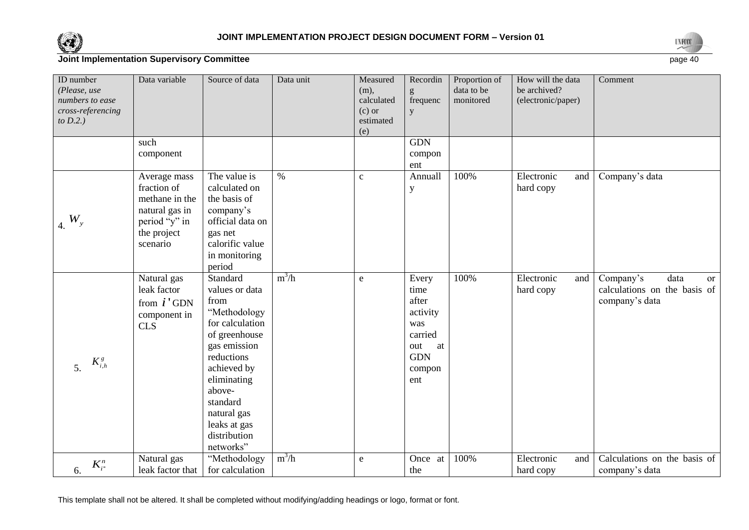



| ID number<br>(Please, use<br>numbers to ease<br>cross-referencing<br>to $D.2.$ ) | Data variable                                                                                               | Source of data                                                                                                                                                                                                                       | Data unit | Measured<br>$(m)$ ,<br>calculated<br>$(c)$ or<br>estimated<br>(e) | Recordin<br>frequenc<br>y                                                                        | Proportion of<br>data to be<br>monitored | How will the data<br>be archived?<br>(electronic/paper) | Comment                                                                          |
|----------------------------------------------------------------------------------|-------------------------------------------------------------------------------------------------------------|--------------------------------------------------------------------------------------------------------------------------------------------------------------------------------------------------------------------------------------|-----------|-------------------------------------------------------------------|--------------------------------------------------------------------------------------------------|------------------------------------------|---------------------------------------------------------|----------------------------------------------------------------------------------|
|                                                                                  | such<br>component                                                                                           |                                                                                                                                                                                                                                      |           |                                                                   | <b>GDN</b><br>compon<br>ent                                                                      |                                          |                                                         |                                                                                  |
| $4. W_y$                                                                         | Average mass<br>fraction of<br>methane in the<br>natural gas in<br>period "y" in<br>the project<br>scenario | The value is<br>calculated on<br>the basis of<br>company's<br>official data on<br>gas net<br>calorific value<br>in monitoring<br>period                                                                                              | $\%$      | $\mathbf{c}$                                                      | Annuall<br>$\mathbf y$                                                                           | 100%                                     | Electronic<br>and<br>hard copy                          | Company's data                                                                   |
| $K_{i,h}^g$<br>5.                                                                | Natural gas<br>leak factor<br>from $i'$ GDN<br>component in<br>CLS                                          | Standard<br>values or data<br>from<br>"Methodology<br>for calculation<br>of greenhouse<br>gas emission<br>reductions<br>achieved by<br>eliminating<br>above-<br>standard<br>natural gas<br>leaks at gas<br>distribution<br>networks" | $m^3/h$   | $\mathbf{e}$                                                      | Every<br>time<br>after<br>activity<br>was<br>carried<br>out<br>at<br><b>GDN</b><br>compon<br>ent | 100%                                     | Electronic<br>and<br>hard copy                          | Company's<br>data<br><b>or</b><br>calculations on the basis of<br>company's data |
| $K_{i}^{n}$<br>6.                                                                | Natural gas<br>leak factor that                                                                             | "Methodology<br>for calculation                                                                                                                                                                                                      | $m^3/h$   | ${\bf e}$                                                         | Once at<br>the                                                                                   | 100%                                     | Electronic<br>and<br>hard copy                          | Calculations on the basis of<br>company's data                                   |
|                                                                                  |                                                                                                             |                                                                                                                                                                                                                                      |           |                                                                   |                                                                                                  |                                          |                                                         |                                                                                  |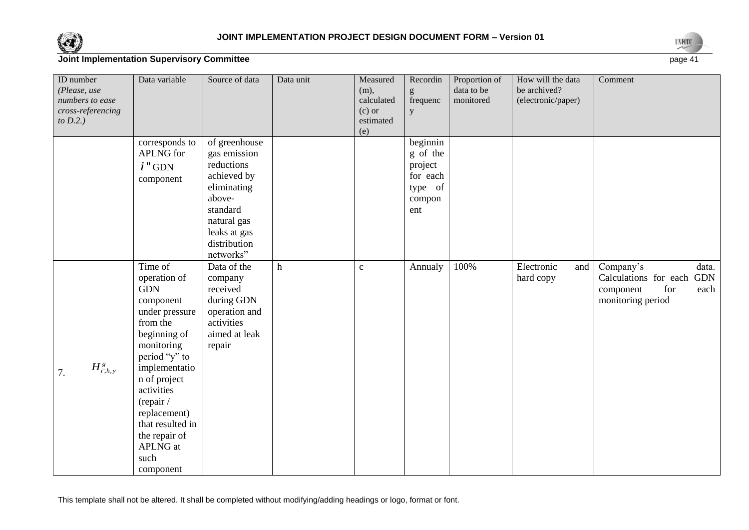



| ID number<br>(Please, use<br>numbers to ease<br>cross-referencing<br>to $D.2$ .) | Data variable                                                                                                                                                                                                                                                                     | Source of data                                                                                                                                              | Data unit                 | Measured<br>(m),<br>calculated<br>$(c)$ or<br>estimated<br>(e) | Recordin<br>frequenc<br>У                                               | Proportion of<br>data to be<br>monitored | How will the data<br>be archived?<br>(electronic/paper) | Comment                                                                                          |
|----------------------------------------------------------------------------------|-----------------------------------------------------------------------------------------------------------------------------------------------------------------------------------------------------------------------------------------------------------------------------------|-------------------------------------------------------------------------------------------------------------------------------------------------------------|---------------------------|----------------------------------------------------------------|-------------------------------------------------------------------------|------------------------------------------|---------------------------------------------------------|--------------------------------------------------------------------------------------------------|
|                                                                                  | corresponds to<br>APLNG for<br>$i$ "GDN<br>component                                                                                                                                                                                                                              | of greenhouse<br>gas emission<br>reductions<br>achieved by<br>eliminating<br>above-<br>standard<br>natural gas<br>leaks at gas<br>distribution<br>networks" |                           |                                                                | beginnin<br>g of the<br>project<br>for each<br>type of<br>compon<br>ent |                                          |                                                         |                                                                                                  |
| $H^s_{i',h,y}$<br>7.                                                             | Time of<br>operation of<br><b>GDN</b><br>component<br>under pressure<br>from the<br>beginning of<br>monitoring<br>period "y" to<br>implementatio<br>n of project<br>activities<br>(repair /<br>replacement)<br>that resulted in<br>the repair of<br>APLNG at<br>such<br>component | Data of the<br>company<br>received<br>during GDN<br>operation and<br>activities<br>aimed at leak<br>repair                                                  | $\boldsymbol{\textbf{h}}$ | $\mathbf{c}$                                                   | Annualy                                                                 | 100%                                     | Electronic<br>and<br>hard copy                          | Company's<br>data.<br>Calculations for each GDN<br>component<br>for<br>each<br>monitoring period |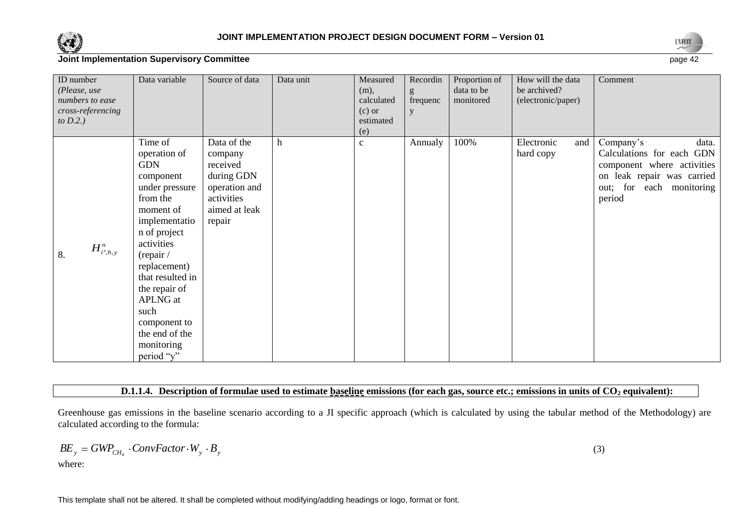



| ID number<br>(Please, use<br>numbers to ease<br>cross-referencing<br>to $D.2$ .) | Data variable                                                                                                                                                                                                                                                                                           | Source of data                                                                                             | Data unit   | Measured<br>$(m)$ ,<br>calculated<br>$(c)$ or<br>estimated<br>(e) | Recordin<br>g<br>frequenc<br>y | Proportion of<br>data to be<br>monitored | How will the data<br>be archived?<br>(electronic/paper) | Comment                                                                                                                                           |
|----------------------------------------------------------------------------------|---------------------------------------------------------------------------------------------------------------------------------------------------------------------------------------------------------------------------------------------------------------------------------------------------------|------------------------------------------------------------------------------------------------------------|-------------|-------------------------------------------------------------------|--------------------------------|------------------------------------------|---------------------------------------------------------|---------------------------------------------------------------------------------------------------------------------------------------------------|
| $H^n_{i^*,h,y}$<br>8.                                                            | Time of<br>operation of<br><b>GDN</b><br>component<br>under pressure<br>from the<br>moment of<br>implementatio<br>n of project<br>activities<br>(repair /<br>replacement)<br>that resulted in<br>the repair of<br><b>APLNG</b> at<br>such<br>component to<br>the end of the<br>monitoring<br>period "y" | Data of the<br>company<br>received<br>during GDN<br>operation and<br>activities<br>aimed at leak<br>repair | $\mathbf h$ | $\mathbf{C}$                                                      | Annualy                        | 100%                                     | Electronic<br>and<br>hard copy                          | Company's<br>data.<br>Calculations for each GDN<br>component where activities<br>on leak repair was carried<br>out; for each monitoring<br>period |

#### **D.1.1.4. Description of formulae used to estimate baseline emissions (for each gas, source etc.; emissions in units of CO<sup>2</sup> equivalent):**

Greenhouse gas emissions in the baseline scenario according to a JI specific approach (which is calculated by using the tabular method of the Methodology) are calculated according to the formula:

$$
BE_{y} = GWP_{CH_{4}} \cdot ConvFactor \cdot W_{y} \cdot B_{y}
$$

where:

(3)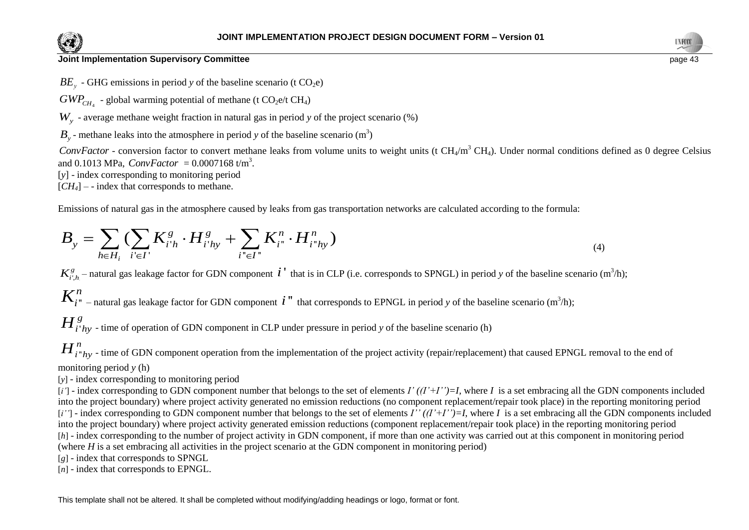



 $BE<sub>v</sub>$  - GHG emissions in period *y* of the baseline scenario (t CO<sub>2</sub>e)

 $GWP_{CH_4}$  - global warming potential of methane (t  $CO_2$ e/t CH<sub>4</sub>)

*Wy* - average methane weight fraction in natural gas in period *y* of the project scenario (%)

 $B_y$  - methane leaks into the atmosphere in period *y* of the baseline scenario (m<sup>3</sup>)

ConvFactor - conversion factor to convert methane leaks from volume units to weight units (t CH<sub>4</sub>/m<sup>3</sup> CH<sub>4</sub>). Under normal conditions defined as 0 degree Celsius and 0.1013 MPa,  $ConvFactor = 0.0007168 \text{ t/m}^3$ .

[*y*] - index corresponding to monitoring period

 $[CH_4]$  – - index that corresponds to methane.

Emissions of natural gas in the atmosphere caused by leaks from gas transportation networks are calculated according to the formula:  
\n
$$
B_{y} = \sum_{h \in H_{i}} \left( \sum_{i' \in I'} K_{i'h}^{g} \cdot H_{i'hy}^{g} + \sum_{i'' \in I''} K_{i''}^{h} \cdot H_{i''hy}^{n} \right)
$$
\n(4)

 $K_{i',h}^g$  – natural gas leakage factor for GDN component  $i'$  that is in CLP (i.e. corresponds to SPNGL) in period *y* of the baseline scenario (m<sup>3</sup>/h);

''  $K^n_{i}$  – natural gas leakage factor for GDN component  $i$  " that corresponds to EPNGL in period *y* of the baseline scenario (m<sup>3</sup>/h);

' *H*<sup>*g*</sup><sub>*i*'*hy*</sub> - time of operation of GDN component in CLP under pressure in period *y* of the baseline scenario (h)

''  $H^n_{i^*h\!}$  - time of GDN component operation from the implementation of the project activity (repair/replacement) that caused EPNGL removal to the end of monitoring period *y* (h)

[*y*] - index corresponding to monitoring period

*BE<sub><i>y*</sub></sub> - GHG emissions in period y of the baseline scenario (t CO<sub>2</sub>e) ( $\mathbf{H}_k$ )<br>  $GW_{CR_1}$  - global warming potential of methane (t CO<sub>2</sub>e) ( $\mathbf{H}_k$ )<br>  $W_y$  - average methane weight fraction in natural gas in period  $[i']$  - index corresponding to GDN component number that belongs to the set of elements  $I'(I'+I'')=I$ , where *I* is a set embracing all the GDN components included into the project boundary) where project activity generated no emission reductions (no component replacement/repair took place) in the reporting monitoring period [*i''*] - index corresponding to GDN component number that belongs to the set of elements *I''* ((*I'*+*I''*)=*I*, where *I* is a set embracing all the GDN components included into the project boundary) where project activity generated emission reductions (component replacement/repair took place) in the reporting monitoring period [*h*] - index corresponding to the number of project activity in GDN component, if more than one activity was carried out at this component in monitoring period (where *H* is a set embracing all activities in the project scenario at the GDN component in monitoring period)

[*g*] - index that corresponds to SPNGL

[*n*] - index that corresponds to EPNGL.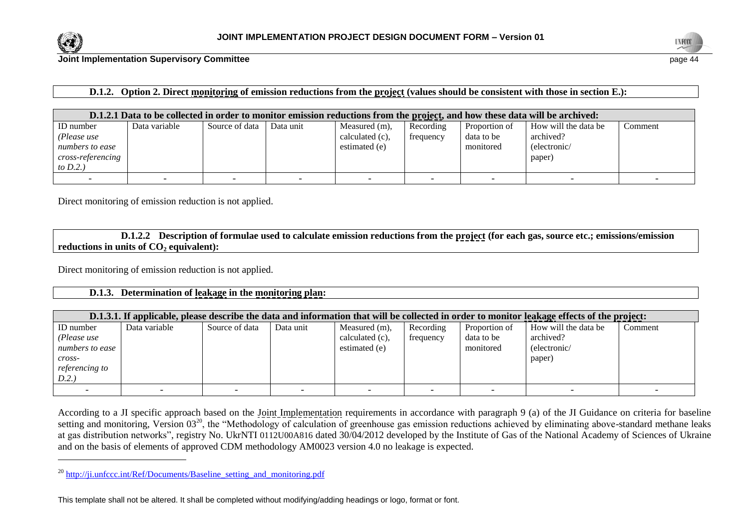

l



**Joint Implementation Supervisory Committee** page 44

## **D.1.2. Option 2. Direct monitoring of emission reductions from the project (values should be consistent with those in section E.):**

|                                                                                        | D.1.2.1 Data to be collected in order to monitor emission reductions from the project, and how these data will be archived: |                |           |                                                   |                        |                                          |                                                             |         |
|----------------------------------------------------------------------------------------|-----------------------------------------------------------------------------------------------------------------------------|----------------|-----------|---------------------------------------------------|------------------------|------------------------------------------|-------------------------------------------------------------|---------|
| ID number<br>(Please use<br>numbers to ease<br><i>cross-referencing</i><br>to $D.2.$ ) | Data variable                                                                                                               | Source of data | Data unit | Measured (m),<br>calculated (c).<br>estimated (e) | Recording<br>frequency | Proportion of<br>data to be<br>monitored | How will the data be<br>archived?<br>(electronic/<br>paper) | Comment |
|                                                                                        |                                                                                                                             |                |           |                                                   |                        |                                          |                                                             |         |

Direct monitoring of emission reduction is not applied.

**D.1.2.2 Description of formulae used to calculate emission reductions from the project (for each gas, source etc.; emissions/emission reductions in units of CO<sup>2</sup> equivalent):**

Direct monitoring of emission reduction is not applied.

#### **D.1.3. Determination of leakage in the monitoring plan:**

|                 | D.1.3.1. If applicable, please describe the data and information that will be collected in order to monitor leakage effects of the project: |                |           |                    |           |               |                      |         |
|-----------------|---------------------------------------------------------------------------------------------------------------------------------------------|----------------|-----------|--------------------|-----------|---------------|----------------------|---------|
| ID number       | Data variable                                                                                                                               | Source of data | Data unit | Measured (m),      | Recording | Proportion of | How will the data be | Comment |
| (Please use     |                                                                                                                                             |                |           | calculated $(c)$ , | frequency | data to be    | archived?            |         |
| numbers to ease |                                                                                                                                             |                |           | estimated (e)      |           | monitored     | (electronic/         |         |
| cross-          |                                                                                                                                             |                |           |                    |           |               | paper)               |         |
| referencing to  |                                                                                                                                             |                |           |                    |           |               |                      |         |
| D.2.            |                                                                                                                                             |                |           |                    |           |               |                      |         |
|                 |                                                                                                                                             |                |           |                    |           |               |                      |         |

According to a JI specific approach based on the Joint Implementation requirements in accordance with paragraph 9 (a) of the JI Guidance on criteria for baseline setting and monitoring, Version 03<sup>20</sup>, the "Methodology of calculation of greenhouse gas emission reductions achieved by eliminating above-standard methane leaks at gas distribution networks", registry No. UkrNTI 0112U00A816 dated 30/04/2012 developed by the Institute of Gas of the National Academy of Sciences of Ukraine and on the basis of elements of approved CDM methodology AM0023 version 4.0 no leakage is expected.

<sup>&</sup>lt;sup>20</sup> http://ji.unfccc.int/Ref/Documents/Baseline setting and monitoring.pdf

This template shall not be altered. It shall be completed without modifying/adding headings or logo, format or font.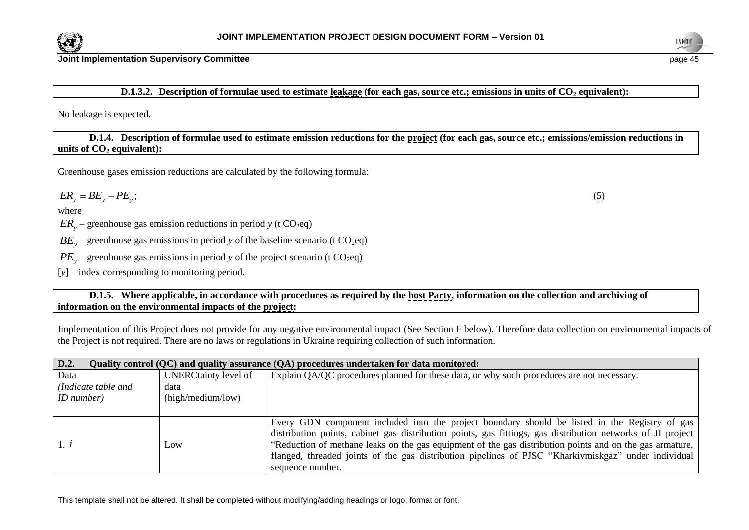



**D.1.3.2. Description of formulae used to estimate leakage (for each gas, source etc.; emissions in units of CO<sup>2</sup> equivalent):**

No leakage is expected.

**D.1.4. Description of formulae used to estimate emission reductions for the project (for each gas, source etc.; emissions/emission reductions in units of CO<sup>2</sup> equivalent):**

Greenhouse gases emission reductions are calculated by the following formula:

$$
ER_{y}=BE_{y}-PE_{y};
$$

where

 $ER_y$  – greenhouse gas emission reductions in period *y* (t CO<sub>2</sub>eq)

 $BE<sub>y</sub>$  – greenhouse gas emissions in period *y* of the baseline scenario (t CO<sub>2</sub>eq)

 $PE<sub>y</sub>$  – greenhouse gas emissions in period *y* of the project scenario (t CO<sub>2</sub>eq)

[*y*] – index corresponding to monitoring period.

**D.1.5. Where applicable, in accordance with procedures as required by the host Party, information on the collection and archiving of information on the environmental impacts of the project:**

Implementation of this Project does not provide for any negative environmental impact (See Section F below). Therefore data collection on environmental impacts of the Project is not required. There are no laws or regulations in Ukraine requiring collection of such information.

| D.2.<br>Quality control (QC) and quality assurance (QA) procedures undertaken for data monitored: |                             |                                                                                                             |  |  |  |  |
|---------------------------------------------------------------------------------------------------|-----------------------------|-------------------------------------------------------------------------------------------------------------|--|--|--|--|
| Data                                                                                              | <b>UNERCtainty level of</b> | Explain QA/QC procedures planned for these data, or why such procedures are not necessary.                  |  |  |  |  |
| (Indicate table and                                                                               | data                        |                                                                                                             |  |  |  |  |
| $ID$ number)                                                                                      | (high/medium/low)           |                                                                                                             |  |  |  |  |
|                                                                                                   |                             |                                                                                                             |  |  |  |  |
|                                                                                                   |                             | Every GDN component included into the project boundary should be listed in the Registry of gas              |  |  |  |  |
|                                                                                                   |                             | distribution points, cabinet gas distribution points, gas fittings, gas distribution networks of JI project |  |  |  |  |
| 1. i                                                                                              | Low                         | "Reduction of methane leaks on the gas equipment of the gas distribution points and on the gas armature,    |  |  |  |  |
|                                                                                                   |                             | flanged, threaded joints of the gas distribution pipelines of PJSC "Kharkivmiskgaz" under individual        |  |  |  |  |
|                                                                                                   |                             | sequence number.                                                                                            |  |  |  |  |

This template shall not be altered. It shall be completed without modifying/adding headings or logo, format or font.

(5)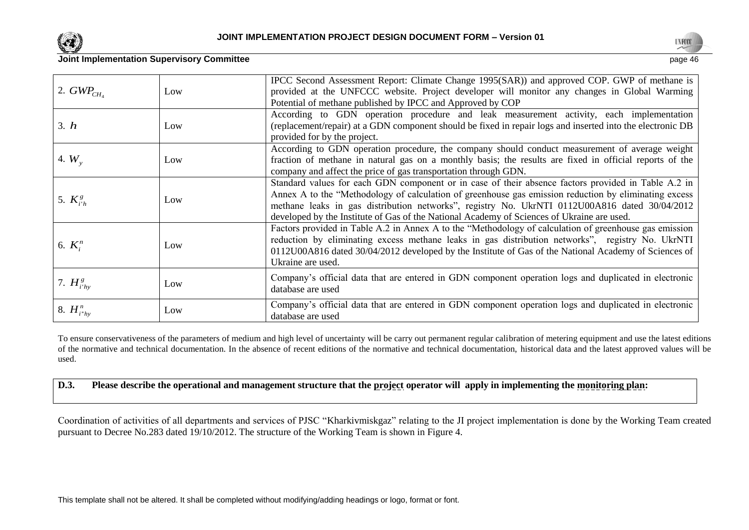



| 2. $GWP_{CH.}$  | Low | IPCC Second Assessment Report: Climate Change 1995(SAR)) and approved COP. GWP of methane is<br>provided at the UNFCCC website. Project developer will monitor any changes in Global Warming<br>Potential of methane published by IPCC and Approved by COP                                                                                                                                                  |
|-----------------|-----|-------------------------------------------------------------------------------------------------------------------------------------------------------------------------------------------------------------------------------------------------------------------------------------------------------------------------------------------------------------------------------------------------------------|
| 3. h            | Low | According to GDN operation procedure and leak measurement activity, each implementation<br>(replacement/repair) at a GDN component should be fixed in repair logs and inserted into the electronic DB<br>provided for by the project.                                                                                                                                                                       |
| 4. $W_{v}$      | Low | According to GDN operation procedure, the company should conduct measurement of average weight<br>fraction of methane in natural gas on a monthly basis; the results are fixed in official reports of the<br>company and affect the price of gas transportation through GDN.                                                                                                                                |
| 5. $K_{i'h}^g$  | Low | Standard values for each GDN component or in case of their absence factors provided in Table A.2 in<br>Annex A to the "Methodology of calculation of greenhouse gas emission reduction by eliminating excess<br>methane leaks in gas distribution networks", registry No. UkrNTI 0112U00A816 dated 30/04/2012<br>developed by the Institute of Gas of the National Academy of Sciences of Ukraine are used. |
| 6. $K_i^n$      | Low | Factors provided in Table A.2 in Annex A to the "Methodology of calculation of greenhouse gas emission<br>reduction by eliminating excess methane leaks in gas distribution networks", registry No. UkrNTI<br>0112U00A816 dated 30/04/2012 developed by the Institute of Gas of the National Academy of Sciences of<br>Ukraine are used.                                                                    |
| 7. $H_{i'hy}^g$ | Low | Company's official data that are entered in GDN component operation logs and duplicated in electronic<br>database are used                                                                                                                                                                                                                                                                                  |

8.  $H_{i^*}^n{}_{y}$ Low Company's official data that are entered in GDN component operation logs and duplicated in electronic database are used

To ensure conservativeness of the parameters of medium and high level of uncertainty will be carry out permanent regular calibration of metering equipment and use the latest editions of the normative and technical documentation. In the absence of recent editions of the normative and technical documentation, historical data and the latest approved values will be used.

**D.3. Please describe the operational and management structure that the project operator will apply in implementing the monitoring plan:**

Coordination of activities of all departments and services of PJSC "Kharkivmiskgaz" relating to the JI project implementation is done by the Working Team created pursuant to Decree No.283 dated 19/10/2012. The structure of the Working Team is shown in Figure 4.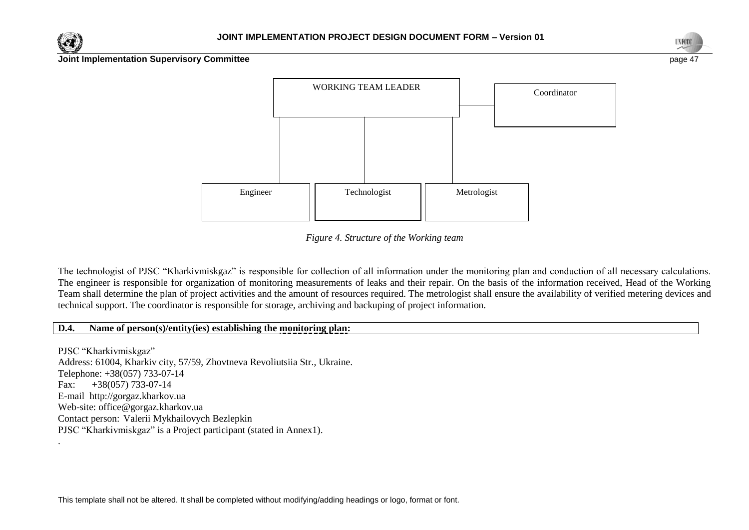





*Figure 4. Structure of the Working team*

The technologist of PJSC "Kharkivmiskgaz" is responsible for collection of all information under the monitoring plan and conduction of all necessary calculations. The engineer is responsible for organization of monitoring measurements of leaks and their repair. On the basis of the information received, Head of the Working Team shall determine the plan of project activities and the amount of resources required. The metrologist shall ensure the availability of verified metering devices and technical support. The coordinator is responsible for storage, archiving and backuping of project information.

#### **D.4. Name of person(s)/entity(ies) establishing the monitoring plan:**

PJSC "Kharkivmiskgaz" Address: 61004, Kharkiv city, 57/59, Zhovtneva Revoliutsiia Str., Ukraine. Telephone: +38(057) 733-07-14 Fax:  $+38(057)$  733-07-14 E-mail [http://gorgaz.kharkov.ua](http://gorgaz.kharkov.ua/) Web-site: [office@gorgaz.kharkov.ua](mailto:office@gorgaz.kharkov.ua) Contact person: Valerii Mykhailovych Bezlepkin PJSC "Kharkivmiskgaz" is a Project participant (stated in Annex1). .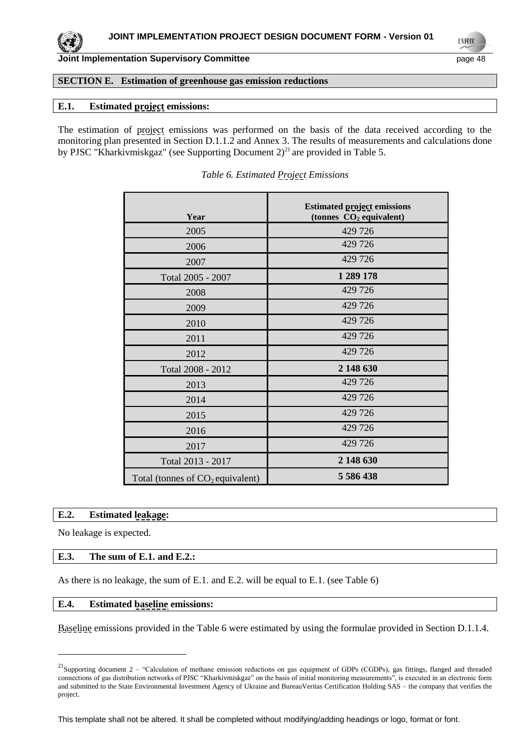## **SECTION E. Estimation of greenhouse gas emission reductions**

#### **E.1. Estimated project emissions:**

The estimation of project emissions was performed on the basis of the data received according to the monitoring plan presented in Section D.1.1.2 and Annex 3. The results of measurements and calculations done by PJSC "Kharkivmiskgaz" (see Supporting Document 2)<sup>21</sup> are provided in Table 5.

| Year                               | <b>Estimated project emissions</b><br>(tonnes $CO2$ equivalent) |
|------------------------------------|-----------------------------------------------------------------|
| 2005                               | 429 726                                                         |
| 2006                               | 429 726                                                         |
| 2007                               | 429 726                                                         |
| Total 2005 - 2007                  | 1 289 178                                                       |
| 2008                               | 429 726                                                         |
| 2009                               | 429 726                                                         |
| 2010                               | 429 726                                                         |
| 2011                               | 429 726                                                         |
| 2012                               | 429 726                                                         |
| Total 2008 - 2012                  | 2 148 630                                                       |
| 2013                               | 429 726                                                         |
| 2014                               | 429 726                                                         |
| 2015                               | 429 726                                                         |
| 2016                               | 429 726                                                         |
| 2017                               | 429 726                                                         |
| Total 2013 - 2017                  | 2 148 630                                                       |
| Total (tonnes of $CO2$ equivalent) | 5 586 438                                                       |

*Table 6. Estimated Project Emissions*

## **E.2. Estimated leakage:**

No leakage is expected.

l

#### **E.3. The sum of E.1. and E.2.:**

As there is no leakage, the sum of E.1. and E.2. will be equal to E.1. (see Table 6)

#### **E.4. Estimated baseline emissions:**

Baseline emissions provided in the Table 6 were estimated by using the formulae provided in Section D.1.1.4.

 $^{21}$ Supporting document 2 – "Calculation of methane emission reductions on gas equipment of GDPs (CGDPs), gas fittings, flanged and threaded connections of gas distribution networks of PJSC "Kharkivmiskgaz" on the basis of initial monitoring measurements", is executed in an electronic form and submitted to the State Environmental Investment Agency of Ukraine and BureauVeritas Certification Holding SAS – the company that verifies the project.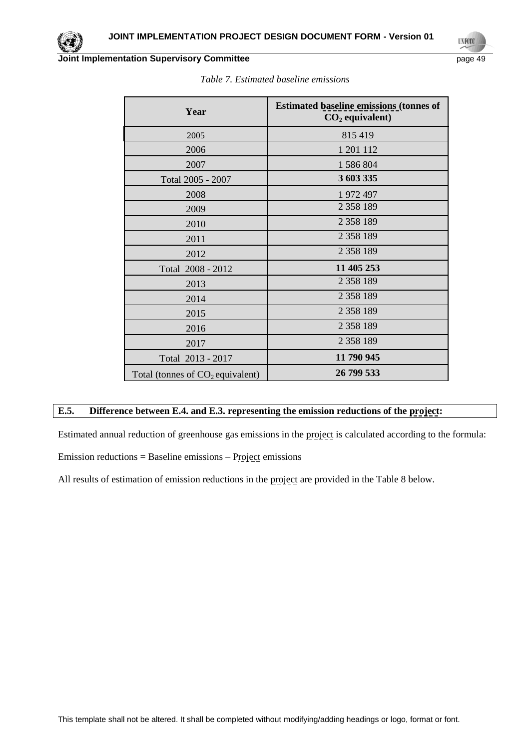

TN FO

| Year                               | <b>Estimated baseline emissions (tonnes of</b><br>$CO2$ equivalent) |
|------------------------------------|---------------------------------------------------------------------|
| 2005                               | 815 419                                                             |
| 2006                               | 1 201 112                                                           |
| 2007                               | 1 586 804                                                           |
| Total 2005 - 2007                  | 3 603 335                                                           |
| 2008                               | 1 972 497                                                           |
| 2009                               | 2 3 5 8 1 8 9                                                       |
| 2010                               | 2 3 5 8 1 8 9                                                       |
| 2011                               | 2 3 5 8 1 8 9                                                       |
| 2012                               | 2 3 5 8 1 8 9                                                       |
| Total 2008 - 2012                  | 11 405 253                                                          |
| 2013                               | 2 3 5 8 1 8 9                                                       |
| 2014                               | 2 3 5 8 1 8 9                                                       |
| 2015                               | 2 3 5 8 1 8 9                                                       |
| 2016                               | 2 3 5 8 1 8 9                                                       |
| 2017                               | 2 3 5 8 1 8 9                                                       |
| Total 2013 - 2017                  | 11 790 945                                                          |
| Total (tonnes of $CO2$ equivalent) | 26 799 533                                                          |

# **E.5. Difference between E.4. and E.3. representing the emission reductions of the project:**

Estimated annual reduction of greenhouse gas emissions in the project is calculated according to the formula:

Emission reductions = Baseline emissions – Project emissions

All results of estimation of emission reductions in the project are provided in the Table 8 below.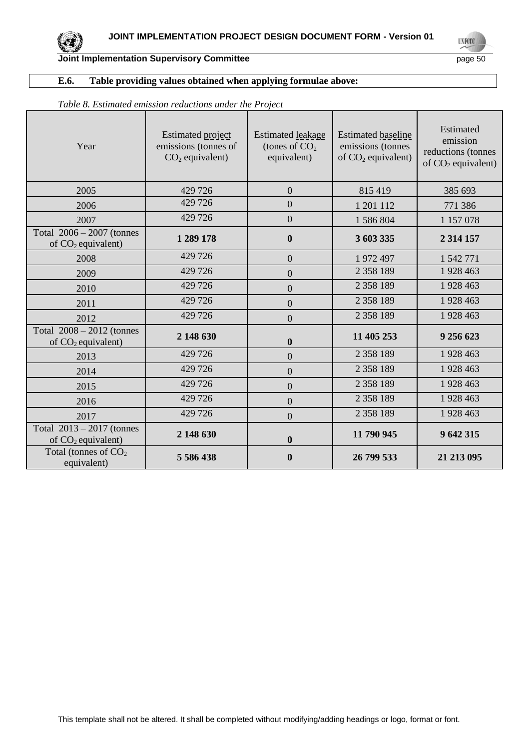## **E.6. Table providing values obtained when applying formulae above:**

| Year                                                | Estimated project<br>emissions (tonnes of<br>$CO2$ equivalent) | Estimated leakage<br>(tones of $CO2$<br>equivalent) | <b>Estimated baseline</b><br>emissions (tonnes<br>of $CO2$ equivalent) | Estimated<br>emission<br>reductions (tonnes<br>of $CO2$ equivalent) |
|-----------------------------------------------------|----------------------------------------------------------------|-----------------------------------------------------|------------------------------------------------------------------------|---------------------------------------------------------------------|
| 2005                                                | 429 726                                                        | $\overline{0}$                                      | 815 419                                                                | 385 693                                                             |
| 2006                                                | 429 726                                                        | $\overline{0}$                                      | 1 201 112                                                              | 771 386                                                             |
| 2007                                                | 429 726                                                        | $\overline{0}$                                      | 1 586 804                                                              | 1 157 078                                                           |
| Total $2006 - 2007$ (tonnes<br>of $CO2$ equivalent) | 1 289 178                                                      | $\boldsymbol{0}$                                    | 3 603 335                                                              | 2 3 1 4 1 5 7                                                       |
| 2008                                                | 429 726                                                        | $\overline{0}$                                      | 1972497                                                                | 1 542 771                                                           |
| 2009                                                | 429 726                                                        | $\overline{0}$                                      | 2 358 189                                                              | 1928 463                                                            |
| 2010                                                | 429 726                                                        | $\overline{0}$                                      | 2 3 5 8 1 8 9                                                          | 1928 463                                                            |
| 2011                                                | 429 726                                                        | $\overline{0}$                                      | 2 3 5 8 1 8 9                                                          | 1928 463                                                            |
| 2012                                                | 429 726                                                        | $\overline{0}$                                      | 2 3 5 8 1 8 9                                                          | 1928 463                                                            |
| Total $2008 - 2012$ (tonnes<br>of $CO2$ equivalent) | 2 148 630                                                      | $\boldsymbol{0}$                                    | 11 405 253                                                             | 9 256 623                                                           |
| 2013                                                | 429 726                                                        | $\overline{0}$                                      | 2 3 5 8 1 8 9                                                          | 1928 463                                                            |
| 2014                                                | 429 726                                                        | $\overline{0}$                                      | 2 3 5 8 1 8 9                                                          | 1928 463                                                            |
| 2015                                                | 429 726                                                        | $\overline{0}$                                      | 2 3 5 8 1 8 9                                                          | 1928 463                                                            |
| 2016                                                | 429 726                                                        | $\overline{0}$                                      | 2 3 5 8 1 8 9                                                          | 1928 463                                                            |
| 2017                                                | 429 726                                                        | $\overline{0}$                                      | 2 3 5 8 1 8 9                                                          | 1928 463                                                            |
| Total $2013 - 2017$ (tonnes<br>of $CO2$ equivalent) | 2 148 630                                                      | $\boldsymbol{0}$                                    | 11 790 945                                                             | 9 642 315                                                           |
| Total (tonnes of $CO2$<br>equivalent)               | 5 5 8 6 4 3 8                                                  | $\mathbf{0}$                                        | 26 799 533                                                             | 21 213 095                                                          |

## *Table 8. Estimated emission reductions under the Project*

**UNFOCO**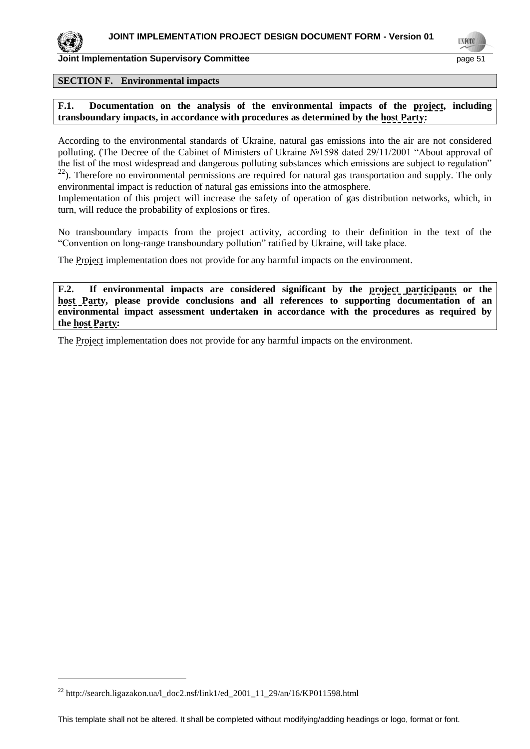

l

**Joint Implementation Supervisory Committee** page 51

#### **SECTION F. Environmental impacts**

**F.1. Documentation on the analysis of the environmental impacts of the project, including transboundary impacts, in accordance with procedures as determined by the host Party:**

According to the environmental standards of Ukraine, natural gas emissions into the air are not considered polluting. (The Decree of the Cabinet of Ministers of Ukraine №1598 dated 29/11/2001 "About approval of the list of the most widespread and dangerous polluting substances which emissions are subject to regulation"  $22$ ). Therefore no environmental permissions are required for natural gas transportation and supply. The only environmental impact is reduction of natural gas emissions into the atmosphere.

Implementation of this project will increase the safety of operation of gas distribution networks, which, in turn, will reduce the probability of explosions or fires.

No transboundary impacts from the project activity, according to their definition in the text of the "Convention on long-range transboundary pollution" ratified by Ukraine, will take place.

The Project implementation does not provide for any harmful impacts on the environment.

**F.2. If environmental impacts are considered significant by the project participants or the host Party, please provide conclusions and all references to supporting documentation of an environmental impact assessment undertaken in accordance with the procedures as required by the host Party:**

The Project implementation does not provide for any harmful impacts on the environment.

<sup>22</sup> http://search.ligazakon.ua/l\_doc2.nsf/link1/ed\_2001\_11\_29/an/16/KP011598.html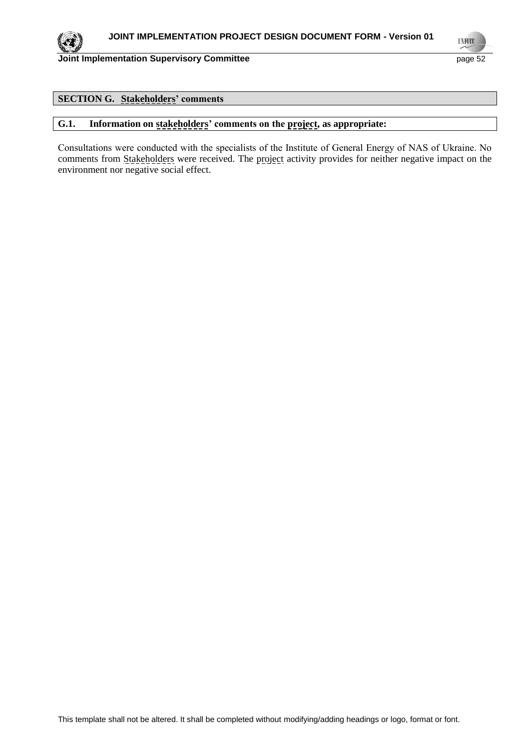

**UNFOO** 

# **SECTION G. Stakeholders' comments**

# **G.1. Information on stakeholders' comments on the project, as appropriate:**

Consultations were conducted with the specialists of the Institute of General Energy of NАS of Ukraine. No comments from Stakeholders were received. The project activity provides for neither negative impact on the environment nor negative social effect.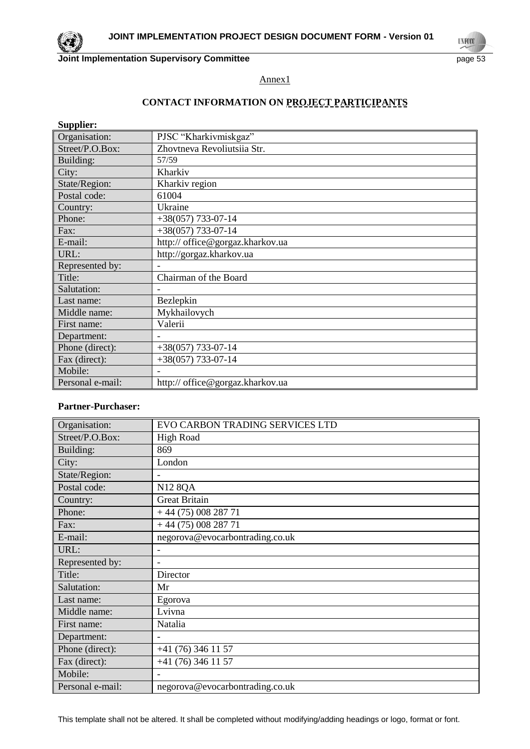**UNFOO** 

Annex1

# **CONTACT INFORMATION ON PROJECT PARTICIPANTS**

**Supplier:**

| Organisation:    | PJSC "Kharkivmiskgaz"            |
|------------------|----------------------------------|
| Street/P.O.Box:  | Zhovtneva Revoliutsiia Str.      |
| Building:        | 57/59                            |
| City:            | Kharkiv                          |
| State/Region:    | Kharkiv region                   |
| Postal code:     | 61004                            |
| Country:         | Ukraine                          |
| Phone:           | $+38(057)$ 733-07-14             |
| Fax:             | $+38(057)$ 733-07-14             |
| E-mail:          | http:// office@gorgaz.kharkov.ua |
| URL:             | http://gorgaz.kharkov.ua         |
| Represented by:  |                                  |
| Title:           | Chairman of the Board            |
| Salutation:      |                                  |
| Last name:       | Bezlepkin                        |
| Middle name:     | Mykhailovych                     |
| First name:      | Valerii                          |
| Department:      |                                  |
| Phone (direct):  | $+38(057)$ 733-07-14             |
| Fax (direct):    | $+38(057)$ 733-07-14             |
| Mobile:          |                                  |
| Personal e-mail: | http:// office@gorgaz.kharkov.ua |

## **Partner-Purchaser:**

| Organisation:    | EVO CARBON TRADING SERVICES LTD |
|------------------|---------------------------------|
| Street/P.O.Box:  | <b>High Road</b>                |
| Building:        | 869                             |
| City:            | London                          |
| State/Region:    |                                 |
| Postal code:     | <b>N12 8QA</b>                  |
| Country:         | <b>Great Britain</b>            |
| Phone:           | $+44(75)00828771$               |
| Fax:             | $+44(75)00828771$               |
| E-mail:          | negorova@evocarbontrading.co.uk |
| URL:             | $\overline{\phantom{0}}$        |
| Represented by:  |                                 |
| Title:           | Director                        |
| Salutation:      | Mr                              |
| Last name:       | Egorova                         |
| Middle name:     | Lvivna                          |
| First name:      | Natalia                         |
| Department:      |                                 |
| Phone (direct):  | $+41(76)3461157$                |
| Fax (direct):    | +41 (76) 346 11 57              |
| Mobile:          |                                 |
| Personal e-mail: | negorova@evocarbontrading.co.uk |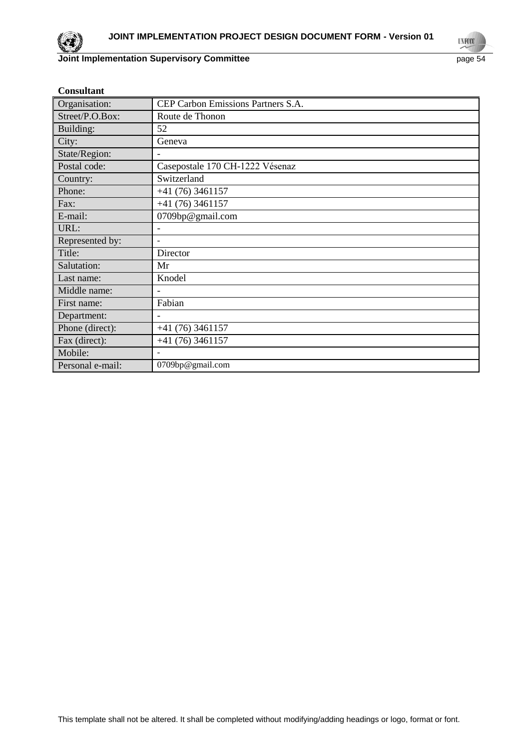

**UNFOCO** 

| <b>Consultant</b> |                                    |
|-------------------|------------------------------------|
| Organisation:     | CEP Carbon Emissions Partners S.A. |
| Street/P.O.Box:   | Route de Thonon                    |
| Building:         | 52                                 |
| City:             | Geneva                             |
| State/Region:     |                                    |
| Postal code:      | Casepostale 170 CH-1222 Vésenaz    |
| Country:          | Switzerland                        |
| Phone:            | $+41(76)3461157$                   |
| Fax:              | $+41(76)3461157$                   |
| E-mail:           | 0709bp@gmail.com                   |
| URL:              |                                    |
| Represented by:   | $\overline{a}$                     |
| Title:            | Director                           |
| Salutation:       | Mr                                 |
| Last name:        | Knodel                             |
| Middle name:      |                                    |
| First name:       | Fabian                             |
| Department:       | Ē,                                 |
| Phone (direct):   | $+41(76)3461157$                   |
| Fax (direct):     | $+41(76)3461157$                   |
| Mobile:           |                                    |
| Personal e-mail:  | 0709bp@gmail.com                   |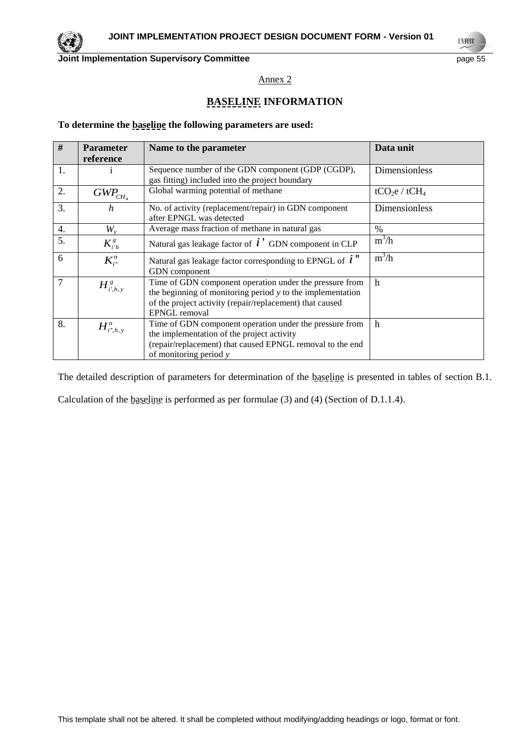

**TNFO** 

Annex 2

# **BASELINE INFORMATION**

#### **To determine the baseline the following parameters are used:**

| #                | <b>Parameter</b>                             | Name to the parameter                                                                                                                                                                                | Data unit                             |
|------------------|----------------------------------------------|------------------------------------------------------------------------------------------------------------------------------------------------------------------------------------------------------|---------------------------------------|
|                  | reference                                    |                                                                                                                                                                                                      |                                       |
| 1.               |                                              | Sequence number of the GDN component (GDP (CGDP),<br>gas fitting) included into the project boundary                                                                                                 | Dimensionless                         |
| 2.               | $GWP_{CH_4}$                                 | Global warming potential of methane                                                                                                                                                                  | tCO <sub>2</sub> e / tCH <sub>4</sub> |
| 3.               | h                                            | No. of activity (replacement/repair) in GDN component<br>after EPNGL was detected                                                                                                                    | Dimensionless                         |
| $\overline{4}$ . | $W_{\rm v}$                                  | Average mass fraction of methane in natural gas                                                                                                                                                      | $\frac{0}{0}$                         |
| 5.               | $K_{i'h}^g$                                  | Natural gas leakage factor of $\vec{i}$ $\vec{j}$ GDN component in CLP                                                                                                                               | $m^3/h$                               |
| 6                | $K_{i}^{n}$                                  | Natural gas leakage factor corresponding to EPNGL of $i$ <sup>"</sup><br>GDN component                                                                                                               | $m^3/h$                               |
| $\overline{7}$   | $H^{\,g}_{i^{\scriptscriptstyle\prime},h,y}$ | Time of GDN component operation under the pressure from<br>the beginning of monitoring period $y$ to the implementation<br>of the project activity (repair/replacement) that caused<br>EPNGL removal | $\mathbf h$                           |
| 8.               | $H^n_{i^*,h,y}$                              | Time of GDN component operation under the pressure from<br>the implementation of the project activity<br>(repair/replacement) that caused EPNGL removal to the end<br>of monitoring period y         | $\mathbf h$                           |

The detailed description of parameters for determination of the baseline is presented in tables of section B.1.

Calculation of the baseline is performed as per formulae (3) and (4) (Section of D.1.1.4).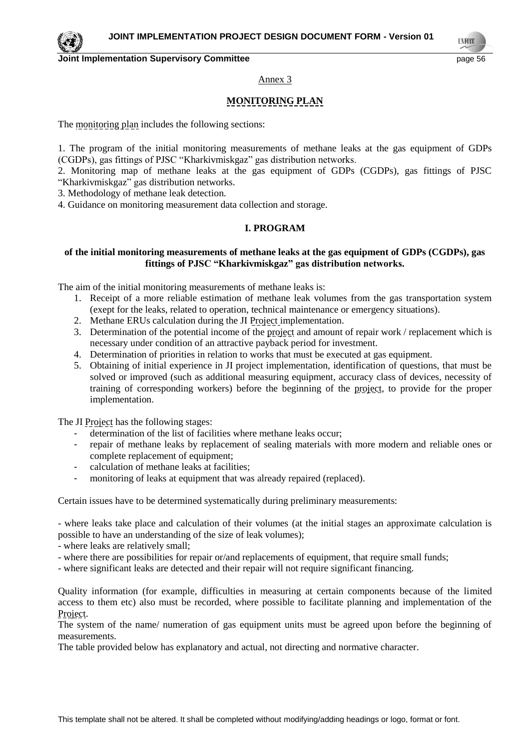**TNFO** 

#### Annex 3

# **MONITORING PLAN**

The monitoring plan includes the following sections:

1. The program of the initial monitoring measurements of methane leaks at the gas equipment of GDPs (CGDPs), gas fittings of PJSC "Kharkivmiskgaz" gas distribution networks.

2. Monitoring map of methane leaks at the gas equipment of GDPs (CGDPs), gas fittings of PJSC "Kharkivmiskgaz" gas distribution networks.

3. Methodology of methane leak detection.

4. Guidance on monitoring measurement data collection and storage.

## **I. PROGRAM**

#### **of the initial monitoring measurements of methane leaks at the gas equipment of GDPs (CGDPs), gas fittings of PJSC "Kharkivmiskgaz" gas distribution networks.**

The aim of the initial monitoring measurements of methane leaks is:

- 1. Receipt of a more reliable estimation of methane leak volumes from the gas transportation system (exept for the leaks, related to operation, technical maintenance or emergency situations).
- 2. Methane ERUs calculation during the JI Project implementation.
- 3. Determination of the potential income of the project and amount of repair work / replacement which is necessary under condition of an attractive payback period for investment.
- 4. Determination of priorities in relation to works that must be executed at gas equipment.
- 5. Obtaining of initial experience in JI project implementation, identification of questions, that must be solved or improved (such as additional measuring equipment, accuracy class of devices, necessity of training of corresponding workers) before the beginning of the project, to provide for the proper implementation.

The JI Project has the following stages:

- determination of the list of facilities where methane leaks occur;
- repair of methane leaks by replacement of sealing materials with more modern and reliable ones or complete replacement of equipment;
- calculation of methane leaks at facilities;
- monitoring of leaks at equipment that was already repaired (replaced).

Certain issues have to be determined systematically during preliminary measurements:

- where leaks take place and calculation of their volumes (at the initial stages an approximate calculation is possible to have an understanding of the size of leak volumes);

- where leaks are relatively small;
- where there are possibilities for repair or/and replacements of equipment, that require small funds;
- where significant leaks are detected and their repair will not require significant financing.

Quality information (for example, difficulties in measuring at certain components because of the limited access to them etc) also must be recorded, where possible to facilitate planning and implementation of the Project.

The system of the name/ numeration of gas equipment units must be agreed upon before the beginning of measurements.

The table provided below has explanatory and actual, not directing and normative character.

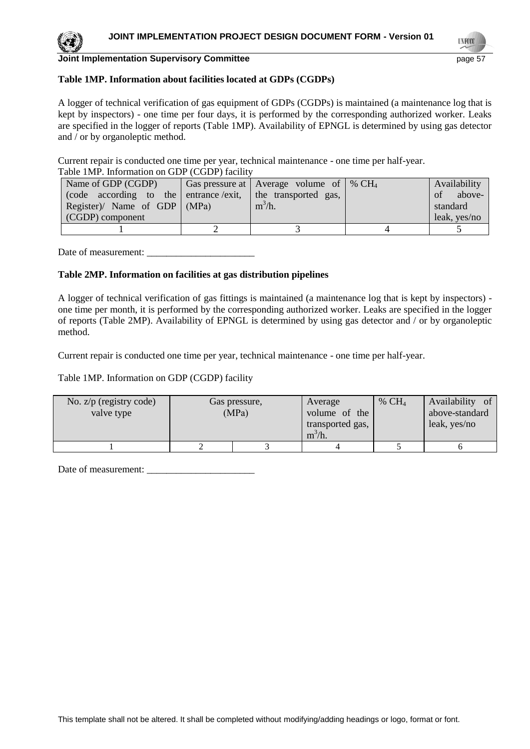# **Table 1MP. Information about facilities located at GDPs (CGDPs)**

A logger of technical verification of gas equipment of GDPs (CGDPs) is maintained (a maintenance log that is kept by inspectors) - one time per four days, it is performed by the corresponding authorized worker. Leaks are specified in the logger of reports (Table 1MP). Availability of EPNGL is determined by using gas detector and / or by organoleptic method.

Current repair is conducted one time per year, technical maintenance - one time per half-year. Table 1MP. Information on GDP (CGDP) facility

| 1 acie 11,11 ; mitolination on ODI (CODI) iachit           |  |                                                |  |              |
|------------------------------------------------------------|--|------------------------------------------------|--|--------------|
| Name of GDP (CGDP)                                         |  | Gas pressure at   Average volume of   % $CH_4$ |  | Availability |
| (code according to the entrance exit, the transported gas, |  |                                                |  | of above-    |
| Register)/ Name of GDP $ (MPa) $                           |  | $m^3/h$ .                                      |  | standard     |
| (CGDP) component                                           |  |                                                |  | leak, yes/no |
|                                                            |  |                                                |  |              |

Date of measurement: \_\_\_\_\_\_\_\_\_\_\_\_\_\_\_\_\_\_\_\_\_\_

# **Table 2MP. Information on facilities at gas distribution pipelines**

A logger of technical verification of gas fittings is maintained (a maintenance log that is kept by inspectors) one time per month, it is performed by the corresponding authorized worker. Leaks are specified in the logger of reports (Table 2MP). Availability of EPNGL is determined by using gas detector and / or by organoleptic method.

Current repair is conducted one time per year, technical maintenance - one time per half-year.

Table 1MP. Information on GDP (CGDP) facility

| No. $z/p$ (registry code)<br>valve type | Gas pressure,<br>(MPa) | Average<br>volume of the<br>transported gas,<br>$m^3/h$ . | % $CH4$ | Availability of<br>above-standard<br>leak, yes/no |
|-----------------------------------------|------------------------|-----------------------------------------------------------|---------|---------------------------------------------------|
|                                         |                        |                                                           |         |                                                   |

Date of measurement: \_\_\_\_\_\_\_\_\_\_\_\_\_\_\_\_\_\_\_\_\_\_

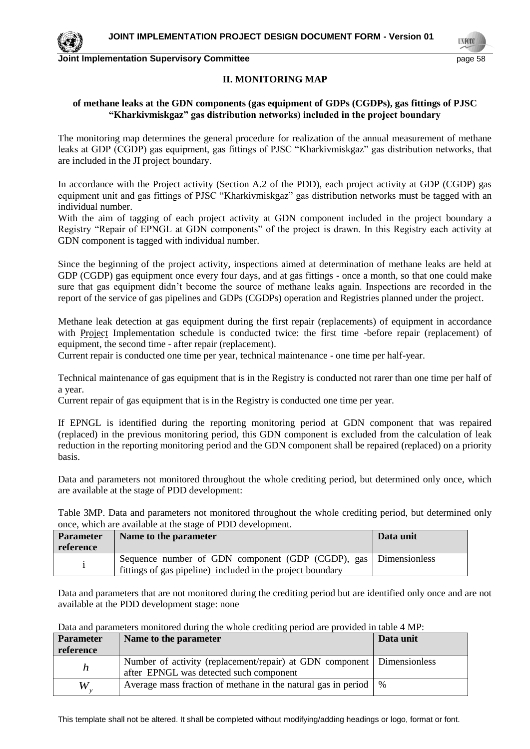## **II. MONITORING MAP**

## **of methane leaks at the GDN components (gas equipment of GDPs (CGDPs), gas fittings of PJSC "Kharkivmiskgaz" gas distribution networks) included in the project boundary**

The monitoring map determines the general procedure for realization of the annual measurement of methane leaks at GDP (CGDP) gas equipment, gas fittings of PJSC "Kharkivmiskgaz" gas distribution networks, that are included in the JI project boundary.

In accordance with the Project activity (Section A.2 of the PDD), each project activity at GDP (CGDP) gas equipment unit and gas fittings of PJSC "Kharkivmiskgaz" gas distribution networks must be tagged with an individual number.

With the aim of tagging of each project activity at GDN component included in the project boundary a Registry "Repair of EPNGL at GDN components" of the project is drawn. In this Registry each activity at GDN component is tagged with individual number.

Since the beginning of the project activity, inspections aimed at determination of methane leaks are held at GDP (CGDP) gas equipment once every four days, and at gas fittings - once a month, so that one could make sure that gas equipment didn't become the source of methane leaks again. Inspections are recorded in the report of the service of gas pipelines and GDPs (CGDPs) operation and Registries planned under the project.

Methane leak detection at gas equipment during the first repair (replacements) of equipment in accordance with Project Implementation schedule is conducted twice: the first time -before repair (replacement) of equipment, the second time - after repair (replacement).

Current repair is conducted one time per year, technical maintenance - one time per half-year.

Technical maintenance of gas equipment that is in the Registry is conducted not rarer than one time per half of a year.

Current repair of gas equipment that is in the Registry is conducted one time per year.

If EPNGL is identified during the reporting monitoring period at GDN component that was repaired (replaced) in the previous monitoring period, this GDN component is excluded from the calculation of leak reduction in the reporting monitoring period and the GDN component shall be repaired (replaced) on a priority basis.

Data and parameters not monitored throughout the whole crediting period, but determined only once, which are available at the stage of PDD development:

Table 3MP. Data and parameters not monitored throughout the whole crediting period, but determined only once, which are available at the stage of PDD development.

| <b>Parameter</b><br>reference | Name to the parameter                                                                                                         | Data unit |
|-------------------------------|-------------------------------------------------------------------------------------------------------------------------------|-----------|
|                               | Sequence number of GDN component (GDP (CGDP), gas Dimensionless<br>fittings of gas pipeline) included in the project boundary |           |

Data and parameters that are not monitored during the crediting period but are identified only once and are not available at the PDD development stage: none

| Parameter | Name to the parameter                                                                                             | Data unit |
|-----------|-------------------------------------------------------------------------------------------------------------------|-----------|
| reference |                                                                                                                   |           |
| n         | Number of activity (replacement/repair) at GDN component Dimensionless<br>after EPNGL was detected such component |           |
| W         | Average mass fraction of methane in the natural gas in period   %                                                 |           |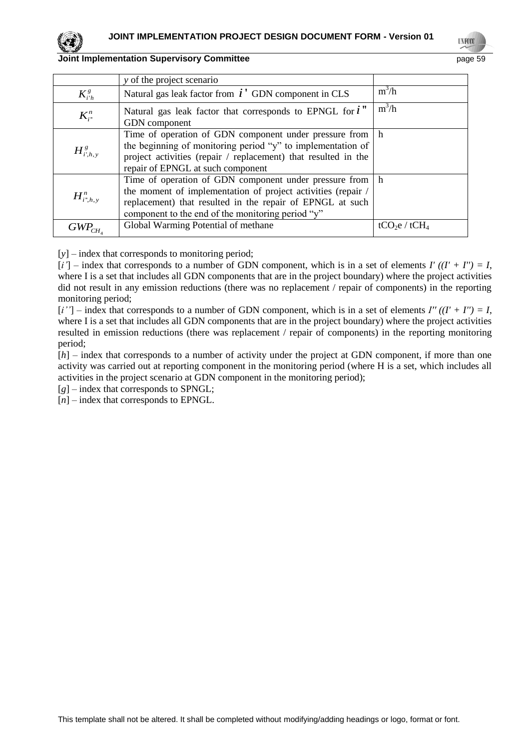|                 | y of the project scenario                                                                                                                                                                                                                  |                                       |
|-----------------|--------------------------------------------------------------------------------------------------------------------------------------------------------------------------------------------------------------------------------------------|---------------------------------------|
| $K^{g}_{i'h}$   | Natural gas leak factor from $i'$ GDN component in CLS                                                                                                                                                                                     | $m^3/h$                               |
| $K_{i}^{n}$     | Natural gas leak factor that corresponds to EPNGL for $i$ "<br>GDN component                                                                                                                                                               | $m^3/h$                               |
| $H^s_{i',h,v}$  | Time of operation of GDN component under pressure from h<br>the beginning of monitoring period "y" to implementation of<br>project activities (repair / replacement) that resulted in the<br>repair of EPNGL at such component             |                                       |
| $H^n_{i^*,h,v}$ | Time of operation of GDN component under pressure from h<br>the moment of implementation of project activities (repair /<br>replacement) that resulted in the repair of EPNGL at such<br>component to the end of the monitoring period "y" |                                       |
| GWP.            | Global Warming Potential of methane                                                                                                                                                                                                        | tCO <sub>2</sub> e / tCH <sub>4</sub> |

[*y*] – index that corresponds to monitoring period;

 $[i']$  – index that corresponds to a number of GDN component, which is in a set of elements  $I'((I' + I'') = I$ , where I is a set that includes all GDN components that are in the project boundary) where the project activities did not result in any emission reductions (there was no replacement / repair of components) in the reporting monitoring period;

 $[i'']$  – index that corresponds to a number of GDN component, which is in a set of elements  $I''((I' + I'') = I$ , where I is a set that includes all GDN components that are in the project boundary) where the project activities resulted in emission reductions (there was replacement / repair of components) in the reporting monitoring period;

[*h*] – index that corresponds to a number of activity under the project at GDN component, if more than one activity was carried out at reporting component in the monitoring period (where H is a set, which includes all activities in the project scenario at GDN component in the monitoring period);

 $[g]$  – index that corresponds to SPNGL;

[*n*] – index that corresponds to EPNGL.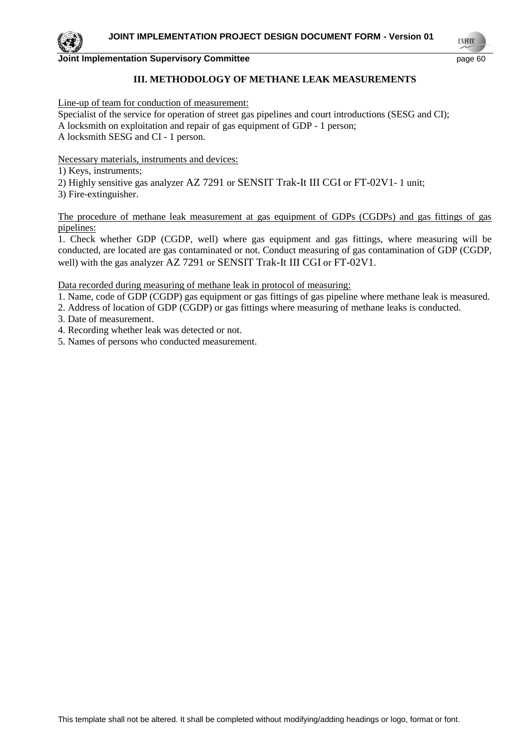#### **III. METHODOLOGY OF METHANE LEAK MEASUREMENTS**

Line-up of team for conduction of measurement:

Specialist of the service for operation of street gas pipelines and court introductions (SESG and CI); A locksmith on exploitation and repair of gas equipment of GDP - 1 person; A locksmith SESG and CI - 1 person.

Necessary materials, instruments and devices:

1) Keys, instruments;

2) Highly sensitive gas analyzer AZ 7291 or SENSIT Trak-It III CGI or FT-02V1- 1 unit;

3) Fire-extinguisher.

The procedure of methane leak measurement at gas equipment of GDPs (CGDPs) and gas fittings of gas pipelines:

1. Check whether GDP (CGDP, well) where gas equipment and gas fittings, where measuring will be conducted, are located are gas contaminated or not. Conduct measuring of gas contamination of GDP (CGDP, well) with the gas analyzer AZ 7291 or SENSIT Trak-It III CGI or FT-02V1.

Data recorded during measuring of methane leak in protocol of measuring:

1. Name, code of GDP (CGDP) gas equipment or gas fittings of gas pipeline where methane leak is measured.

- 2. Address of location of GDP (CGDP) or gas fittings where measuring of methane leaks is conducted.
- 3. Date of measurement.
- 4. Recording whether leak was detected or not.
- 5. Names of persons who conducted measurement.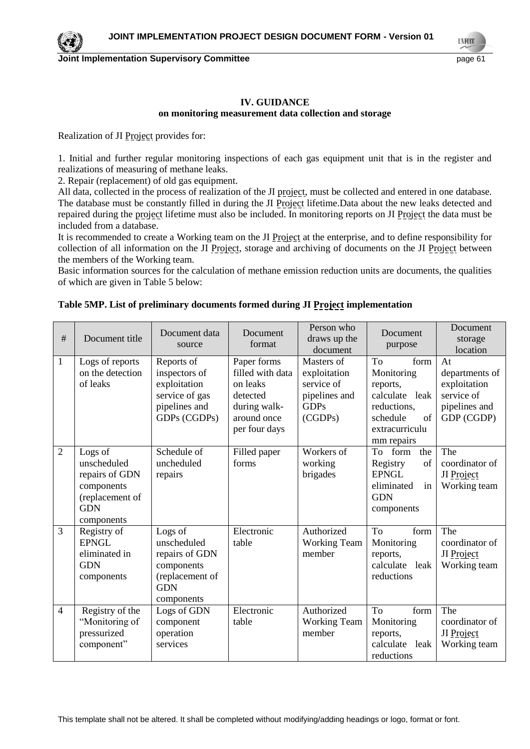#### **IV. GUIDANCE on monitoring measurement data collection and storage**

Realization of JI Project provides for:

1. Initial and further regular monitoring inspections of each gas equipment unit that is in the register and realizations of measuring of methane leaks.

2. Repair (replacement) of old gas equipment.

All data, collected in the process of realization of the JI project, must be collected and entered in one database. The database must be constantly filled in during the JI Project lifetime. Data about the new leaks detected and repaired during the project lifetime must also be included. In monitoring reports on JI Project the data must be included from a database.

It is recommended to create a Working team on the JI Project at the enterprise, and to define responsibility for collection of all information on the JI Project, storage and archiving of documents on the JI Project between the members of the Working team.

Basic information sources for the calculation of methane emission reduction units are documents, the qualities of which are given in Table 5 below:

| $\#$           | Document title                                                                                        | Document data<br>source                                                                               | Document<br>format                                                                                      | Person who<br>draws up the<br>document                                              | Document<br>purpose                                                                                                            | Document<br>storage<br>location                                                   |
|----------------|-------------------------------------------------------------------------------------------------------|-------------------------------------------------------------------------------------------------------|---------------------------------------------------------------------------------------------------------|-------------------------------------------------------------------------------------|--------------------------------------------------------------------------------------------------------------------------------|-----------------------------------------------------------------------------------|
| $\mathbf{1}$   | Logs of reports<br>on the detection<br>of leaks                                                       | Reports of<br>inspectors of<br>exploitation<br>service of gas<br>pipelines and<br>GDPs (CGDPs)        | Paper forms<br>filled with data<br>on leaks<br>detected<br>during walk-<br>around once<br>per four days | Masters of<br>exploitation<br>service of<br>pipelines and<br><b>GDPs</b><br>(CGDPs) | <b>To</b><br>form<br>Monitoring<br>reports,<br>calculate leak<br>reductions,<br>of<br>schedule<br>extracurriculu<br>mm repairs | At<br>departments of<br>exploitation<br>service of<br>pipelines and<br>GDP (CGDP) |
| $\overline{2}$ | Logs of<br>unscheduled<br>repairs of GDN<br>components<br>(replacement of<br><b>GDN</b><br>components | Schedule of<br>uncheduled<br>repairs                                                                  | Filled paper<br>forms                                                                                   | Workers of<br>working<br>brigades                                                   | To form<br>the<br>Registry<br>of<br><b>EPNGL</b><br>eliminated<br>in<br><b>GDN</b><br>components                               | The<br>coordinator of<br>JI Project<br>Working team                               |
| $\overline{3}$ | Registry of<br><b>EPNGL</b><br>eliminated in<br><b>GDN</b><br>components                              | Logs of<br>unscheduled<br>repairs of GDN<br>components<br>(replacement of<br><b>GDN</b><br>components | Electronic<br>table                                                                                     | Authorized<br><b>Working Team</b><br>member                                         | To<br>form<br>Monitoring<br>reports,<br>calculate leak<br>reductions                                                           | The<br>coordinator of<br>JI Project<br>Working team                               |
| $\overline{4}$ | Registry of the<br>"Monitoring of<br>pressurized<br>component"                                        | Logs of GDN<br>component<br>operation<br>services                                                     | Electronic<br>table                                                                                     | Authorized<br><b>Working Team</b><br>member                                         | To<br>form<br>Monitoring<br>reports,<br>calculate leak<br>reductions                                                           | The<br>coordinator of<br>JI Project<br>Working team                               |

#### **Table 5MP. List of preliminary documents formed during JI Project implementation**